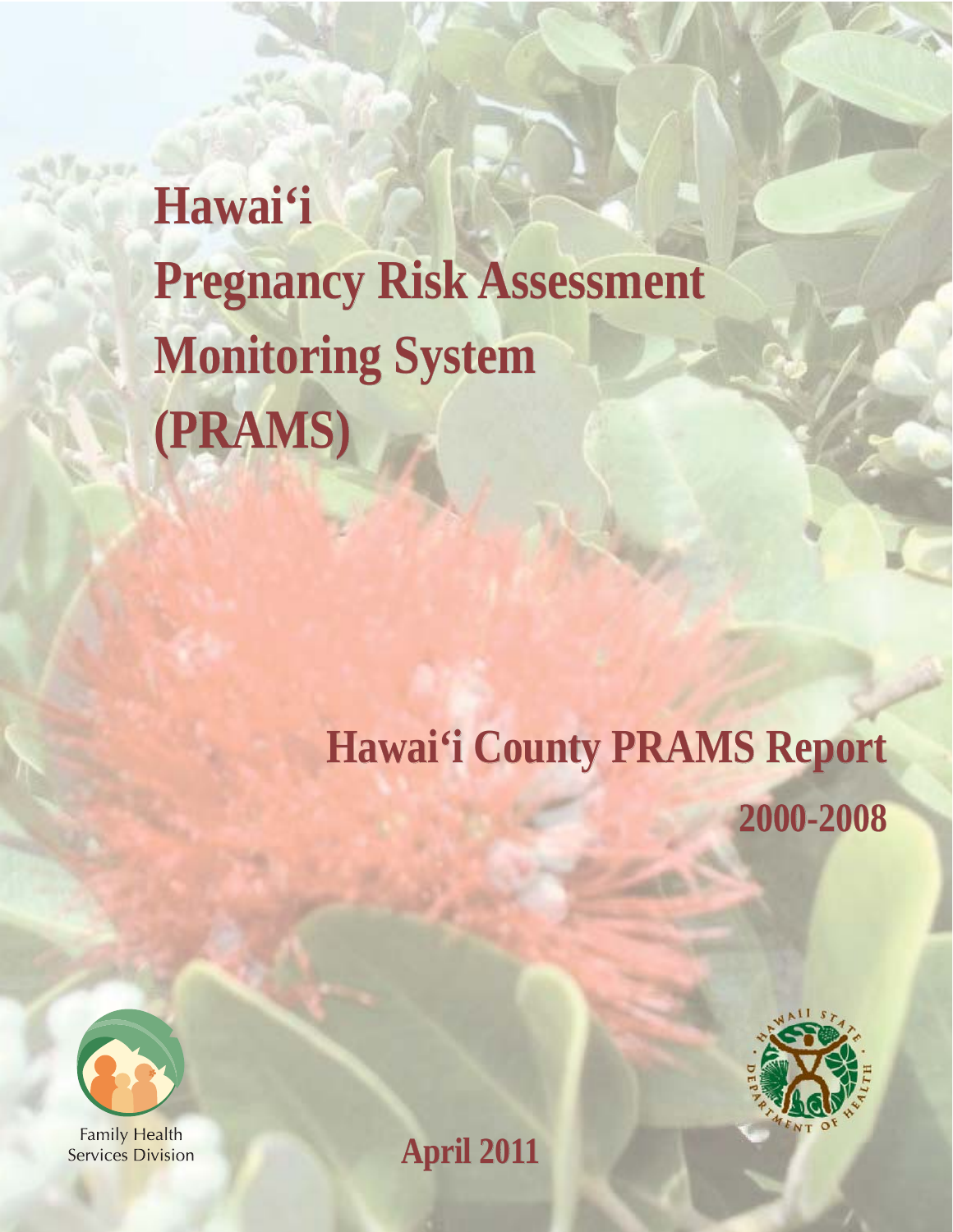## **Hawai'i Pregnancy Risk Assessment regnancy Risk Assessment Monitoring System (PRAMS)**

# **Hawai'i County PRAMS Report awai'i County PRAMS**

**2000-2008 000-2008**



**Family Health Services Division** 



**April 2011 pril**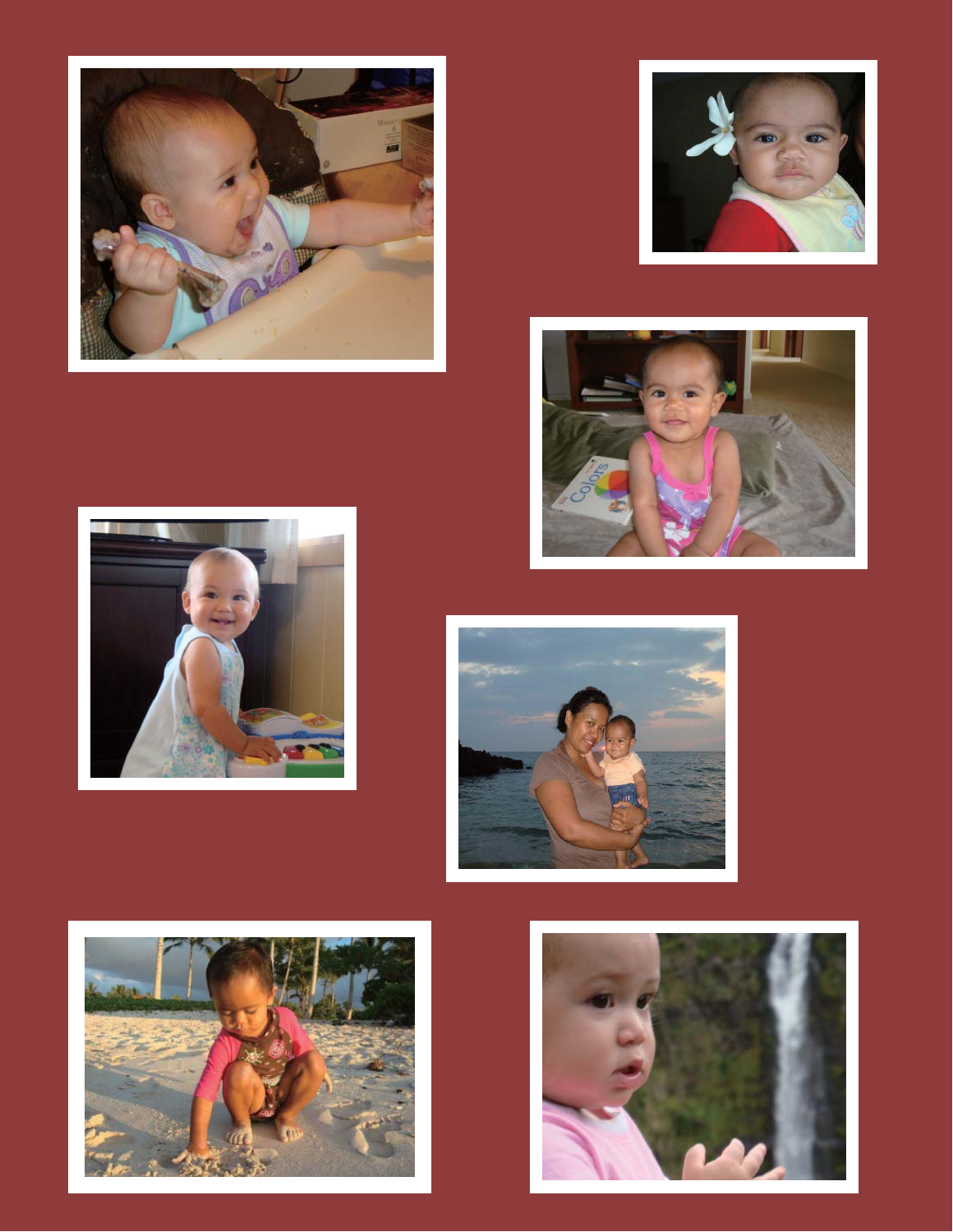











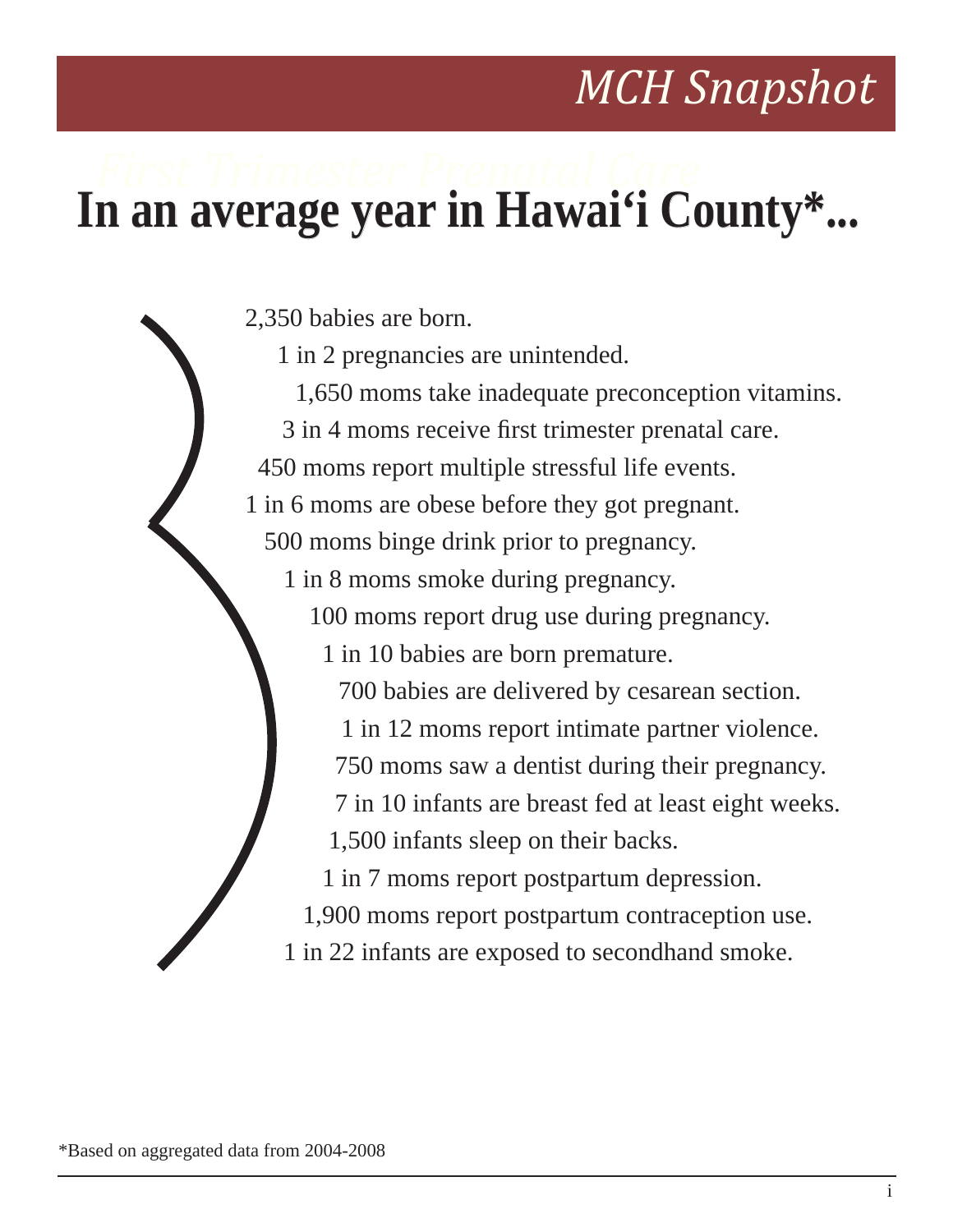### *MCH Snapshot*

### *First Trimester Prenatal Care* **In an average year in Hawai'i County\*... n an average year in Hawai'i County\* ...**

2,350 babies are born.

 1 in 2 pregnancies are unintended. 1,650 moms take inadequate preconception vitamins. 3 in 4 moms receive first trimester prenatal care. 450 moms report multiple stressful life events. 1 in 6 moms are obese before they got pregnant. 500 moms binge drink prior to pregnancy. 1 in 8 moms smoke during pregnancy. 100 moms report drug use during pregnancy. 1 in 10 babies are born premature. 700 babies are delivered by cesarean section. 1 in 12 moms report intimate partner violence. 750 moms saw a dentist during their pregnancy. 7 in 10 infants are breast fed at least eight weeks. 1,500 infants sleep on their backs. 1 in 7 moms report postpartum depression.

1,900 moms report postpartum contraception use.

1 in 22 infants are exposed to secondhand smoke.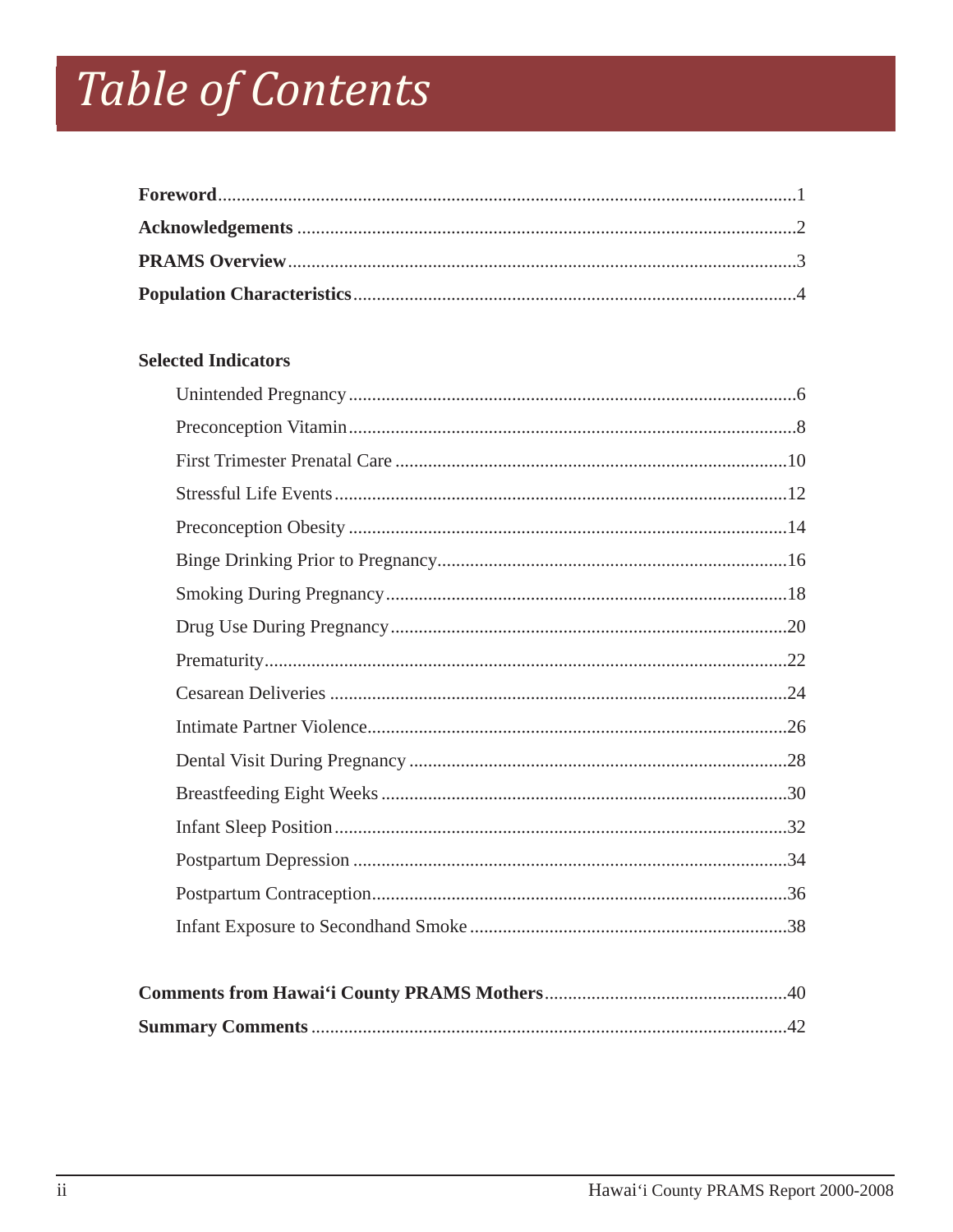### Table of Contents

### **Selected Indicators**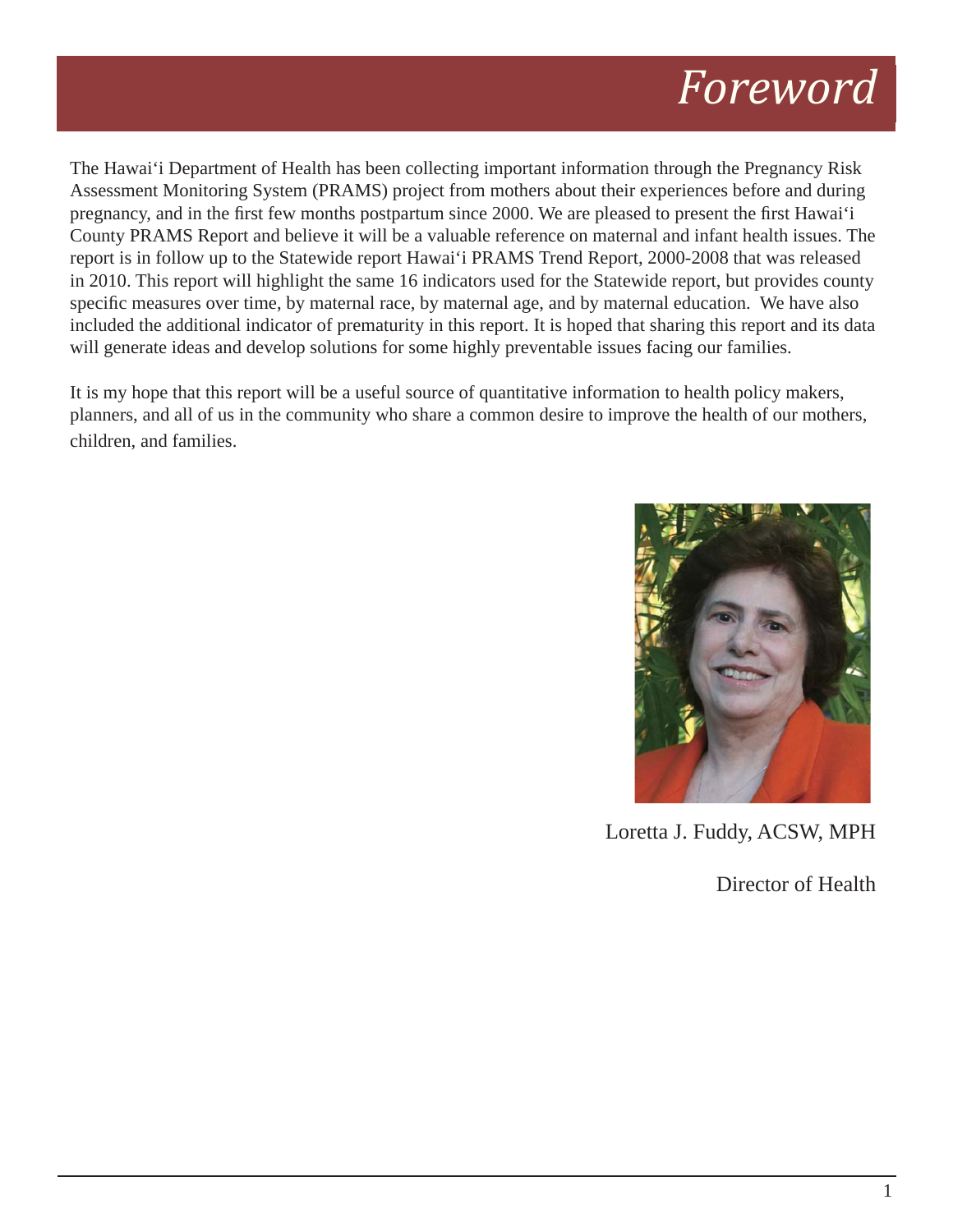### *Foreword*

The Hawai'i Department of Health has been collecting important information through the Pregnancy Risk Assessment Monitoring System (PRAMS) project from mothers about their experiences before and during pregnancy, and in the first few months postpartum since 2000. We are pleased to present the first Hawai'i County PRAMS Report and believe it will be a valuable reference on maternal and infant health issues. The report is in follow up to the Statewide report Hawai'i PRAMS Trend Report, 2000-2008 that was released in 2010. This report will highlight the same 16 indicators used for the Statewide report, but provides county specific measures over time, by maternal race, by maternal age, and by maternal education. We have also included the additional indicator of prematurity in this report. It is hoped that sharing this report and its data will generate ideas and develop solutions for some highly preventable issues facing our families.

It is my hope that this report will be a useful source of quantitative information to health policy makers, planners, and all of us in the community who share a common desire to improve the health of our mothers, children, and families.



Loretta J. Fuddy, ACSW, MPH

Director of Health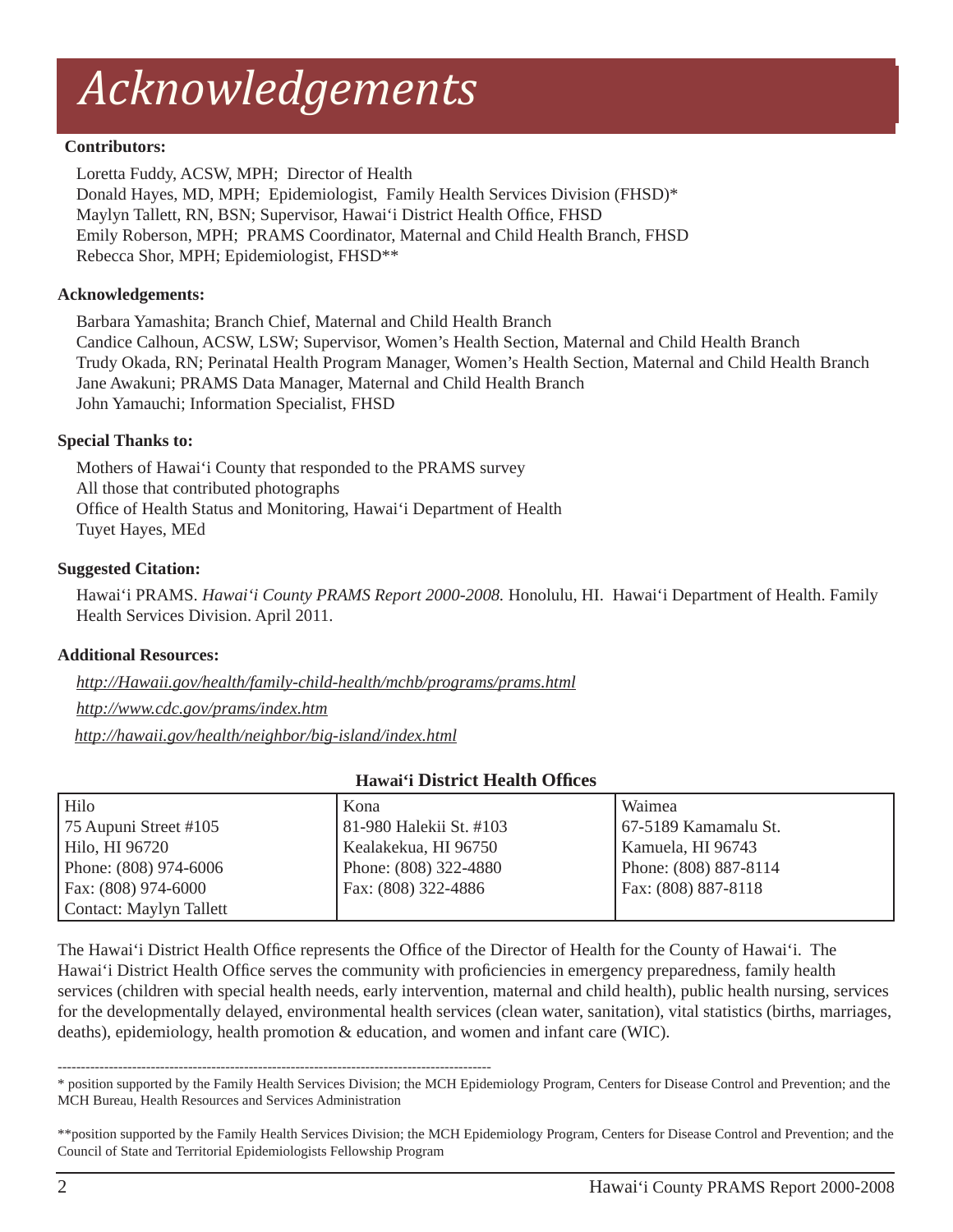### *Acknowledgements*

#### 9**Contributors:**

Loretta Fuddy, ACSW, MPH; Director of Health Donald Hayes, MD, MPH; Epidemiologist, Family Health Services Division (FHSD)\* Maylyn Tallett, RN, BSN; Supervisor, Hawai'i District Health Office, FHSD Emily Roberson, MPH; PRAMS Coordinator, Maternal and Child Health Branch, FHSD Rebecca Shor, MPH; Epidemiologist, FHSD\*\*

#### **Acknowledgements:**

Barbara Yamashita; Branch Chief, Maternal and Child Health Branch Candice Calhoun, ACSW, LSW; Supervisor, Women's Health Section, Maternal and Child Health Branch Trudy Okada, RN; Perinatal Health Program Manager, Women's Health Section, Maternal and Child Health Branch Jane Awakuni; PRAMS Data Manager, Maternal and Child Health Branch John Yamauchi; Information Specialist, FHSD

#### **Special Thanks to:**

Mothers of Hawai'i County that responded to the PRAMS survey All those that contributed photographs Office of Health Status and Monitoring, Hawai'i Department of Health Tuyet Hayes, MEd

#### **Suggested Citation:**

Hawai'i PRAMS. *Hawai'i County PRAMS Report 2000-2008.* Honolulu, HI. Hawai'i Department of Health. Family Health Services Division. April 2011.

#### **Additional Resources:**

*http://Hawaii.gov/health/family-child-health/mchb/programs/prams.html http://www.cdc.gov/prams/index.htm http://hawaii.gov/health/neighbor/big-island/index.html*

#### **Hawai'i District Health Offices**

| l Hilo                  | Kona                    | Waimea                |
|-------------------------|-------------------------|-----------------------|
| 75 Aupuni Street #105   | 81-980 Halekii St. #103 | 67-5189 Kamamalu St.  |
| Hilo, HI 96720          | Kealakekua, HI 96750    | Kamuela, HI 96743     |
| Phone: (808) 974-6006   | Phone: (808) 322-4880   | Phone: (808) 887-8114 |
| Fax: (808) 974-6000     | Fax: (808) 322-4886     | Fax: (808) 887-8118   |
| Contact: Maylyn Tallett |                         |                       |

The Hawai'i District Health Office represents the Office of the Director of Health for the County of Hawai'i. The Hawai'i District Health Office serves the community with proficiencies in emergency preparedness, family health services (children with special health needs, early intervention, maternal and child health), public health nursing, services for the developmentally delayed, environmental health services (clean water, sanitation), vital statistics (births, marriages, deaths), epidemiology, health promotion & education, and women and infant care (WIC).

---------------------------------------------------------------------------------------------

<sup>\*</sup> position supported by the Family Health Services Division; the MCH Epidemiology Program, Centers for Disease Control and Prevention; and the MCH Bureau, Health Resources and Services Administration

<sup>\*\*</sup>position supported by the Family Health Services Division; the MCH Epidemiology Program, Centers for Disease Control and Prevention; and the Council of State and Territorial Epidemiologists Fellowship Program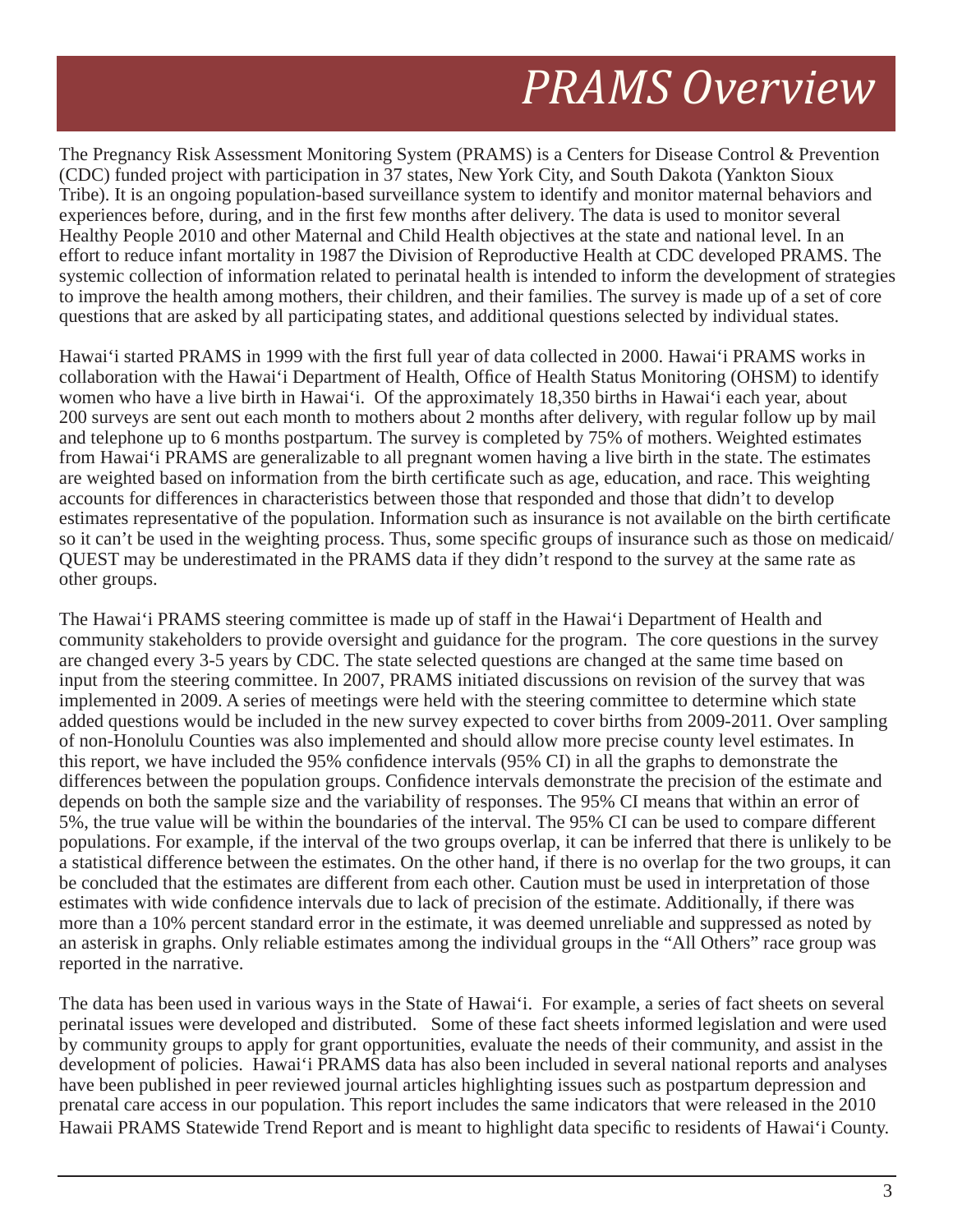### *PRAMS Overview*

The Pregnancy Risk Assessment Monitoring System (PRAMS) is a Centers for Disease Control & Prevention (CDC) funded project with participation in 37 states, New York City, and South Dakota (Yankton Sioux Tribe). It is an ongoing population-based surveillance system to identify and monitor maternal behaviors and experiences before, during, and in the first few months after delivery. The data is used to monitor several Healthy People 2010 and other Maternal and Child Health objectives at the state and national level. In an effort to reduce infant mortality in 1987 the Division of Reproductive Health at CDC developed PRAMS. The systemic collection of information related to perinatal health is intended to inform the development of strategies to improve the health among mothers, their children, and their families. The survey is made up of a set of core questions that are asked by all participating states, and additional questions selected by individual states.

Hawai'i started PRAMS in 1999 with the first full year of data collected in 2000. Hawai'i PRAMS works in collaboration with the Hawai'i Department of Health, Office of Health Status Monitoring (OHSM) to identify women who have a live birth in Hawai'i. Of the approximately 18,350 births in Hawai'i each year, about 200 surveys are sent out each month to mothers about 2 months after delivery, with regular follow up by mail and telephone up to 6 months postpartum. The survey is completed by 75% of mothers. Weighted estimates from Hawai'i PRAMS are generalizable to all pregnant women having a live birth in the state. The estimates are weighted based on information from the birth certificate such as age, education, and race. This weighting accounts for differences in characteristics between those that responded and those that didn't to develop estimates representative of the population. Information such as insurance is not available on the birth certificate so it can't be used in the weighting process. Thus, some specific groups of insurance such as those on medicaid/ QUEST may be underestimated in the PRAMS data if they didn't respond to the survey at the same rate as other groups.

The Hawai'i PRAMS steering committee is made up of staff in the Hawai'i Department of Health and community stakeholders to provide oversight and guidance for the program. The core questions in the survey are changed every 3-5 years by CDC. The state selected questions are changed at the same time based on input from the steering committee. In 2007, PRAMS initiated discussions on revision of the survey that was implemented in 2009. A series of meetings were held with the steering committee to determine which state added questions would be included in the new survey expected to cover births from 2009-2011. Over sampling of non-Honolulu Counties was also implemented and should allow more precise county level estimates. In this report, we have included the 95% confidence intervals (95% CI) in all the graphs to demonstrate the differences between the population groups. Confidence intervals demonstrate the precision of the estimate and depends on both the sample size and the variability of responses. The 95% CI means that within an error of 5%, the true value will be within the boundaries of the interval. The 95% CI can be used to compare different populations. For example, if the interval of the two groups overlap, it can be inferred that there is unlikely to be a statistical difference between the estimates. On the other hand, if there is no overlap for the two groups, it can be concluded that the estimates are different from each other. Caution must be used in interpretation of those estimates with wide confidence intervals due to lack of precision of the estimate. Additionally, if there was more than a 10% percent standard error in the estimate, it was deemed unreliable and suppressed as noted by an asterisk in graphs. Only reliable estimates among the individual groups in the "All Others" race group was reported in the narrative.

The data has been used in various ways in the State of Hawai'i. For example, a series of fact sheets on several perinatal issues were developed and distributed. Some of these fact sheets informed legislation and were used by community groups to apply for grant opportunities, evaluate the needs of their community, and assist in the development of policies. Hawai'i PRAMS data has also been included in several national reports and analyses have been published in peer reviewed journal articles highlighting issues such as postpartum depression and prenatal care access in our population. This report includes the same indicators that were released in the 2010 Hawaii PRAMS Statewide Trend Report and is meant to highlight data specific to residents of Hawai'i County.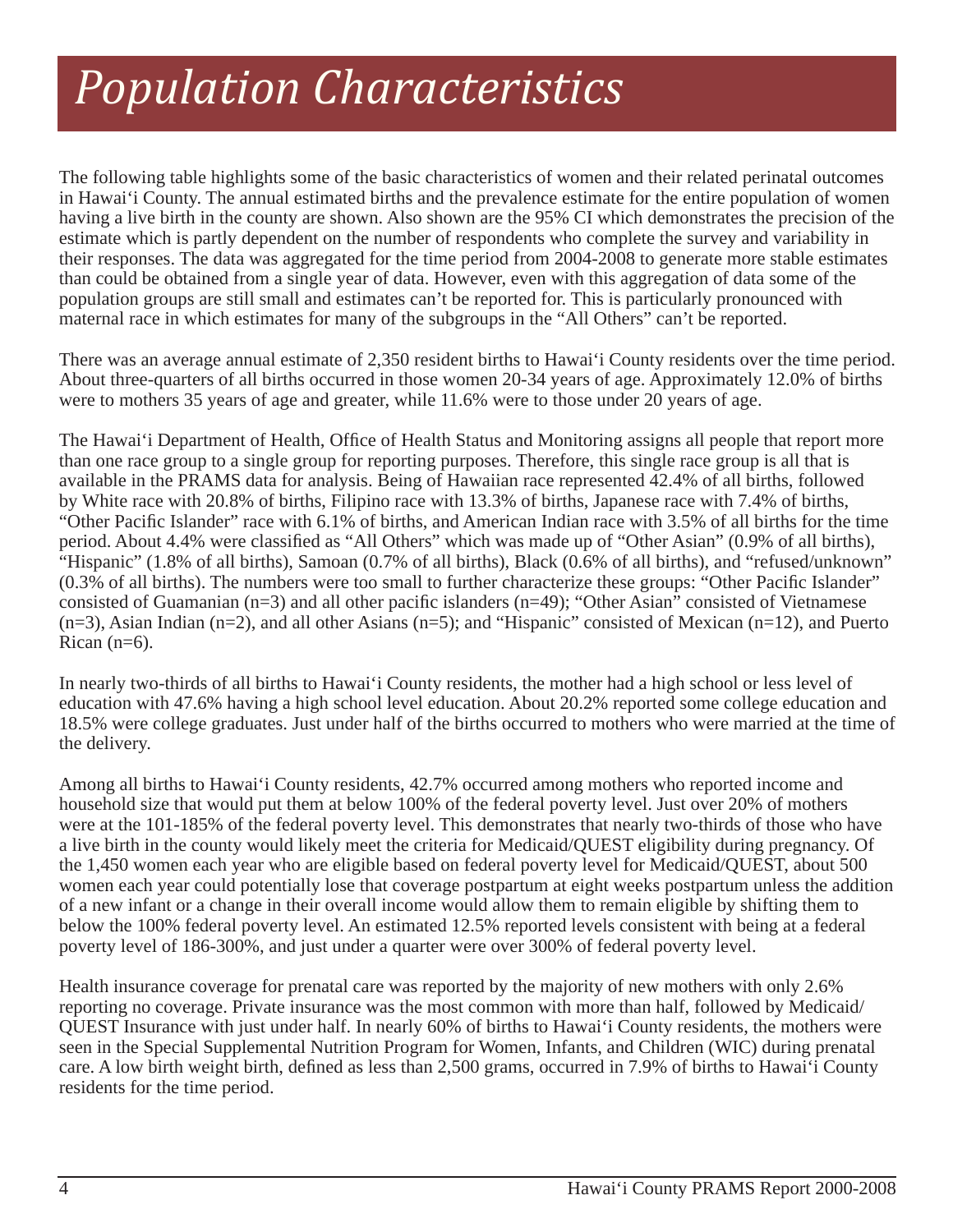### *Population Characteristics*

The following table highlights some of the basic characteristics of women and their related perinatal outcomes in Hawai'i County. The annual estimated births and the prevalence estimate for the entire population of women having a live birth in the county are shown. Also shown are the 95% CI which demonstrates the precision of the estimate which is partly dependent on the number of respondents who complete the survey and variability in their responses. The data was aggregated for the time period from 2004-2008 to generate more stable estimates than could be obtained from a single year of data. However, even with this aggregation of data some of the population groups are still small and estimates can't be reported for. This is particularly pronounced with maternal race in which estimates for many of the subgroups in the "All Others" can't be reported.

There was an average annual estimate of 2,350 resident births to Hawai'i County residents over the time period. About three-quarters of all births occurred in those women 20-34 years of age. Approximately 12.0% of births were to mothers 35 years of age and greater, while 11.6% were to those under 20 years of age.

The Hawai'i Department of Health, Office of Health Status and Monitoring assigns all people that report more than one race group to a single group for reporting purposes. Therefore, this single race group is all that is available in the PRAMS data for analysis. Being of Hawaiian race represented 42.4% of all births, followed by White race with 20.8% of births, Filipino race with 13.3% of births, Japanese race with 7.4% of births, "Other Pacific Islander" race with 6.1% of births, and American Indian race with 3.5% of all births for the time period. About 4.4% were classified as "All Others" which was made up of "Other Asian" (0.9% of all births), "Hispanic" (1.8% of all births), Samoan (0.7% of all births), Black (0.6% of all births), and "refused/unknown" (0.3% of all births). The numbers were too small to further characterize these groups: "Other Pacific Islander" consisted of Guamanian ( $n=3$ ) and all other pacific islanders ( $n=49$ ); "Other Asian" consisted of Vietnamese (n=3), Asian Indian (n=2), and all other Asians (n=5); and "Hispanic" consisted of Mexican (n=12), and Puerto Rican  $(n=6)$ .

In nearly two-thirds of all births to Hawai'i County residents, the mother had a high school or less level of education with 47.6% having a high school level education. About 20.2% reported some college education and 18.5% were college graduates. Just under half of the births occurred to mothers who were married at the time of the delivery.

Among all births to Hawai'i County residents, 42.7% occurred among mothers who reported income and household size that would put them at below 100% of the federal poverty level. Just over 20% of mothers were at the 101-185% of the federal poverty level. This demonstrates that nearly two-thirds of those who have a live birth in the county would likely meet the criteria for Medicaid/QUEST eligibility during pregnancy. Of the 1,450 women each year who are eligible based on federal poverty level for Medicaid/QUEST, about 500 women each year could potentially lose that coverage postpartum at eight weeks postpartum unless the addition of a new infant or a change in their overall income would allow them to remain eligible by shifting them to below the 100% federal poverty level. An estimated 12.5% reported levels consistent with being at a federal poverty level of 186-300%, and just under a quarter were over 300% of federal poverty level.

Health insurance coverage for prenatal care was reported by the majority of new mothers with only 2.6% reporting no coverage. Private insurance was the most common with more than half, followed by Medicaid/ QUEST Insurance with just under half. In nearly 60% of births to Hawai'i County residents, the mothers were seen in the Special Supplemental Nutrition Program for Women, Infants, and Children (WIC) during prenatal care. A low birth weight birth, defined as less than 2,500 grams, occurred in 7.9% of births to Hawai'i County residents for the time period.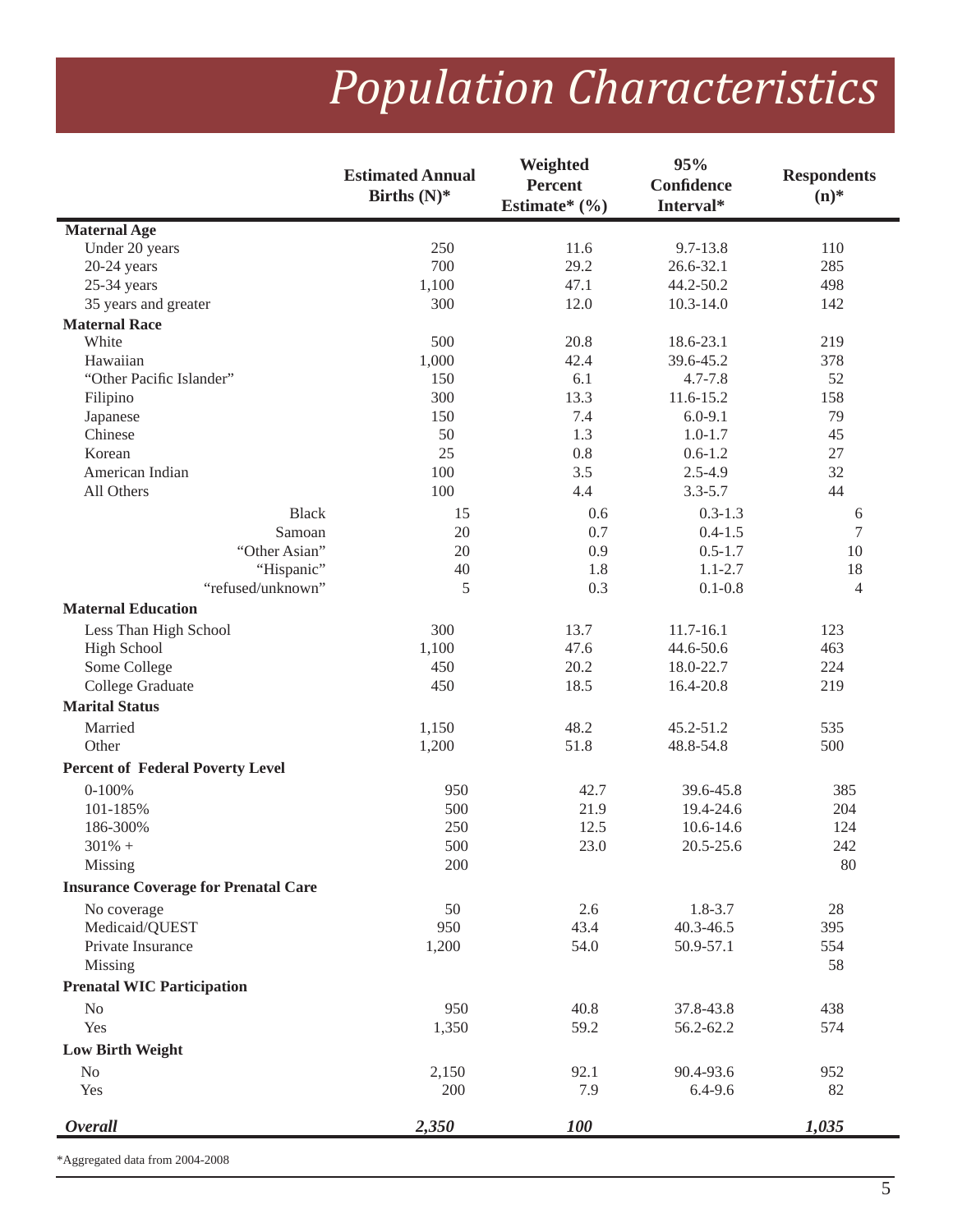### *Population Characteristics*

|                                             | <b>Estimated Annual</b><br>Births $(N)^*$ | Weighted<br><b>Percent</b><br>Estimate* $(\% )$ | 95%<br>Confidence<br>Interval* | <b>Respondents</b><br>$(n)$ * |
|---------------------------------------------|-------------------------------------------|-------------------------------------------------|--------------------------------|-------------------------------|
| <b>Maternal Age</b>                         |                                           |                                                 |                                |                               |
| Under 20 years                              | 250                                       | 11.6                                            | $9.7 - 13.8$                   | 110                           |
| $20-24$ years                               | 700                                       | 29.2                                            | 26.6-32.1                      | 285                           |
| $25-34$ years                               | 1,100                                     | 47.1                                            | 44.2-50.2                      | 498                           |
| 35 years and greater                        | 300                                       | 12.0                                            | $10.3 - 14.0$                  | 142                           |
| <b>Maternal Race</b>                        |                                           |                                                 |                                |                               |
| White                                       | 500                                       | 20.8                                            | 18.6-23.1                      | 219                           |
| Hawaiian                                    | 1,000                                     | 42.4                                            | 39.6-45.2                      | 378                           |
| "Other Pacific Islander"                    | 150                                       | 6.1                                             | $4.7 - 7.8$                    | 52                            |
| Filipino                                    | 300                                       | 13.3                                            | 11.6-15.2                      | 158                           |
| Japanese                                    | 150                                       | 7.4                                             | $6.0 - 9.1$                    | 79                            |
| Chinese                                     | 50                                        | 1.3                                             | $1.0 - 1.7$                    | 45                            |
| Korean                                      | 25                                        | 0.8                                             | $0.6 - 1.2$                    | 27                            |
| American Indian                             | 100                                       | 3.5                                             | $2.5 - 4.9$                    | 32                            |
| All Others                                  | 100                                       | 4.4                                             | $3.3 - 5.7$                    | 44                            |
| <b>Black</b>                                | 15                                        | 0.6                                             | $0.3 - 1.3$                    | 6                             |
| Samoan                                      | 20                                        | 0.7                                             | $0.4 - 1.5$                    | 7                             |
| "Other Asian"                               | 20                                        | 0.9                                             | $0.5 - 1.7$                    | 10                            |
| "Hispanic"                                  | 40                                        | 1.8                                             | $1.1 - 2.7$                    | 18                            |
| "refused/unknown"                           | 5                                         | 0.3                                             | $0.1 - 0.8$                    | $\overline{4}$                |
| <b>Maternal Education</b>                   |                                           |                                                 |                                |                               |
| Less Than High School                       | 300                                       | 13.7                                            | 11.7-16.1                      | 123                           |
| <b>High School</b>                          | 1,100                                     | 47.6                                            | 44.6-50.6                      | 463                           |
| Some College                                | 450                                       | 20.2                                            | 18.0-22.7                      | 224                           |
| College Graduate                            | 450                                       | 18.5                                            | 16.4-20.8                      | 219                           |
| <b>Marital Status</b>                       |                                           |                                                 |                                |                               |
| Married                                     | 1,150                                     | 48.2                                            | 45.2-51.2                      | 535                           |
| Other                                       | 1,200                                     | 51.8                                            | 48.8-54.8                      | 500                           |
| <b>Percent of Federal Poverty Level</b>     |                                           |                                                 |                                |                               |
| $0 - 100%$                                  | 950                                       | 42.7                                            | 39.6-45.8                      | 385                           |
| 101-185%                                    | 500                                       | 21.9                                            | 19.4-24.6                      | 204                           |
| 186-300%                                    | 250                                       | 12.5                                            | $10.6 - 14.6$                  | 124                           |
| $301\% +$                                   | 500                                       | 23.0                                            | $20.5 - 25.6$                  | 242                           |
| Missing                                     | 200                                       |                                                 |                                | 80                            |
| <b>Insurance Coverage for Prenatal Care</b> |                                           |                                                 |                                |                               |
| No coverage                                 | 50                                        | 2.6                                             | 1.8-3.7                        | 28                            |
| Medicaid/QUEST                              | 950                                       | 43.4                                            | 40.3-46.5                      | 395                           |
| Private Insurance                           | 1,200                                     | 54.0                                            | 50.9-57.1                      | 554                           |
| Missing                                     |                                           |                                                 |                                | 58                            |
| <b>Prenatal WIC Participation</b>           |                                           |                                                 |                                |                               |
| No                                          | 950                                       | 40.8                                            | 37.8-43.8                      | 438                           |
| Yes                                         | 1,350                                     | 59.2                                            | 56.2-62.2                      | 574                           |
|                                             |                                           |                                                 |                                |                               |
| <b>Low Birth Weight</b>                     |                                           |                                                 |                                |                               |
| N <sub>o</sub>                              | 2,150                                     | 92.1                                            | 90.4-93.6                      | 952                           |
| Yes                                         | 200                                       | 7.9                                             | $6.4 - 9.6$                    | 82                            |
| <b>Overall</b>                              | 2,350                                     | 100                                             |                                | 1,035                         |

\*Aggregated data from 2004-2008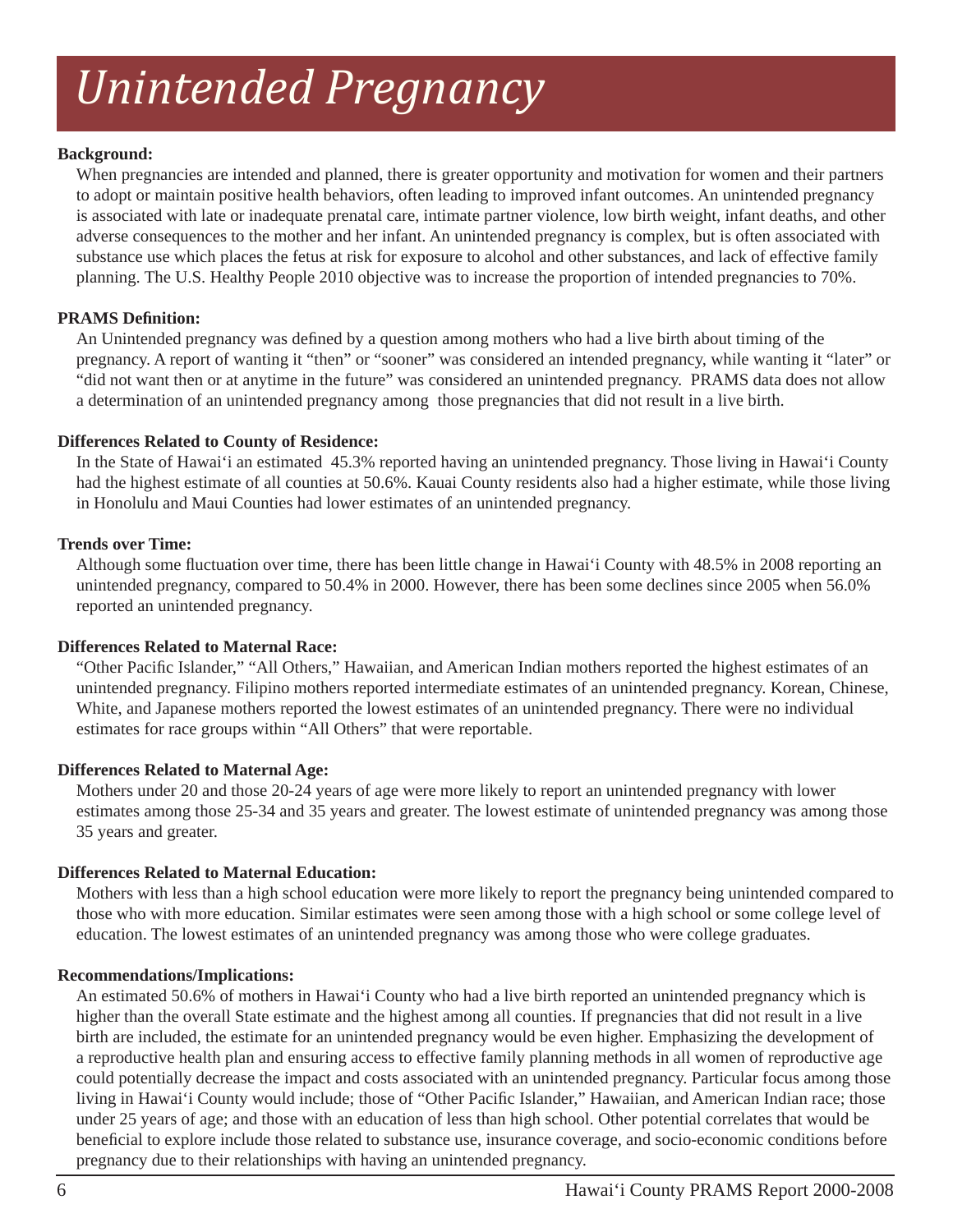### *Unintended Pregnancy*

#### **Background:**

When pregnancies are intended and planned, there is greater opportunity and motivation for women and their partners to adopt or maintain positive health behaviors, often leading to improved infant outcomes. An unintended pregnancy is associated with late or inadequate prenatal care, intimate partner violence, low birth weight, infant deaths, and other adverse consequences to the mother and her infant. An unintended pregnancy is complex, but is often associated with substance use which places the fetus at risk for exposure to alcohol and other substances, and lack of effective family planning. The U.S. Healthy People 2010 objective was to increase the proportion of intended pregnancies to 70%.

#### **PRAMS Definition:**

An Unintended pregnancy was defined by a question among mothers who had a live birth about timing of the pregnancy. A report of wanting it "then" or "sooner" was considered an intended pregnancy, while wanting it "later" or "did not want then or at anytime in the future" was considered an unintended pregnancy. PRAMS data does not allow a determination of an unintended pregnancy among those pregnancies that did not result in a live birth.

#### **Differences Related to County of Residence:**

In the State of Hawai'i an estimated 45.3% reported having an unintended pregnancy. Those living in Hawai'i County had the highest estimate of all counties at 50.6%. Kauai County residents also had a higher estimate, while those living in Honolulu and Maui Counties had lower estimates of an unintended pregnancy.

#### **Trends over Time:**

Although some fluctuation over time, there has been little change in Hawai'i County with 48.5% in 2008 reporting an unintended pregnancy, compared to 50.4% in 2000. However, there has been some declines since 2005 when 56.0% reported an unintended pregnancy.

#### **Differences Related to Maternal Race:**

"Other Pacific Islander," "All Others," Hawaiian, and American Indian mothers reported the highest estimates of an unintended pregnancy. Filipino mothers reported intermediate estimates of an unintended pregnancy. Korean, Chinese, White, and Japanese mothers reported the lowest estimates of an unintended pregnancy. There were no individual estimates for race groups within "All Others" that were reportable.

#### **Differences Related to Maternal Age:**

Mothers under 20 and those 20-24 years of age were more likely to report an unintended pregnancy with lower estimates among those 25-34 and 35 years and greater. The lowest estimate of unintended pregnancy was among those 35 years and greater.

#### **Differences Related to Maternal Education:**

Mothers with less than a high school education were more likely to report the pregnancy being unintended compared to those who with more education. Similar estimates were seen among those with a high school or some college level of education. The lowest estimates of an unintended pregnancy was among those who were college graduates.

#### **Recommendations/Implications:**

An estimated 50.6% of mothers in Hawai'i County who had a live birth reported an unintended pregnancy which is higher than the overall State estimate and the highest among all counties. If pregnancies that did not result in a live birth are included, the estimate for an unintended pregnancy would be even higher. Emphasizing the development of a reproductive health plan and ensuring access to effective family planning methods in all women of reproductive age could potentially decrease the impact and costs associated with an unintended pregnancy. Particular focus among those living in Hawai'i County would include; those of "Other Pacific Islander," Hawaiian, and American Indian race; those under 25 years of age; and those with an education of less than high school. Other potential correlates that would be beneficial to explore include those related to substance use, insurance coverage, and socio-economic conditions before pregnancy due to their relationships with having an unintended pregnancy.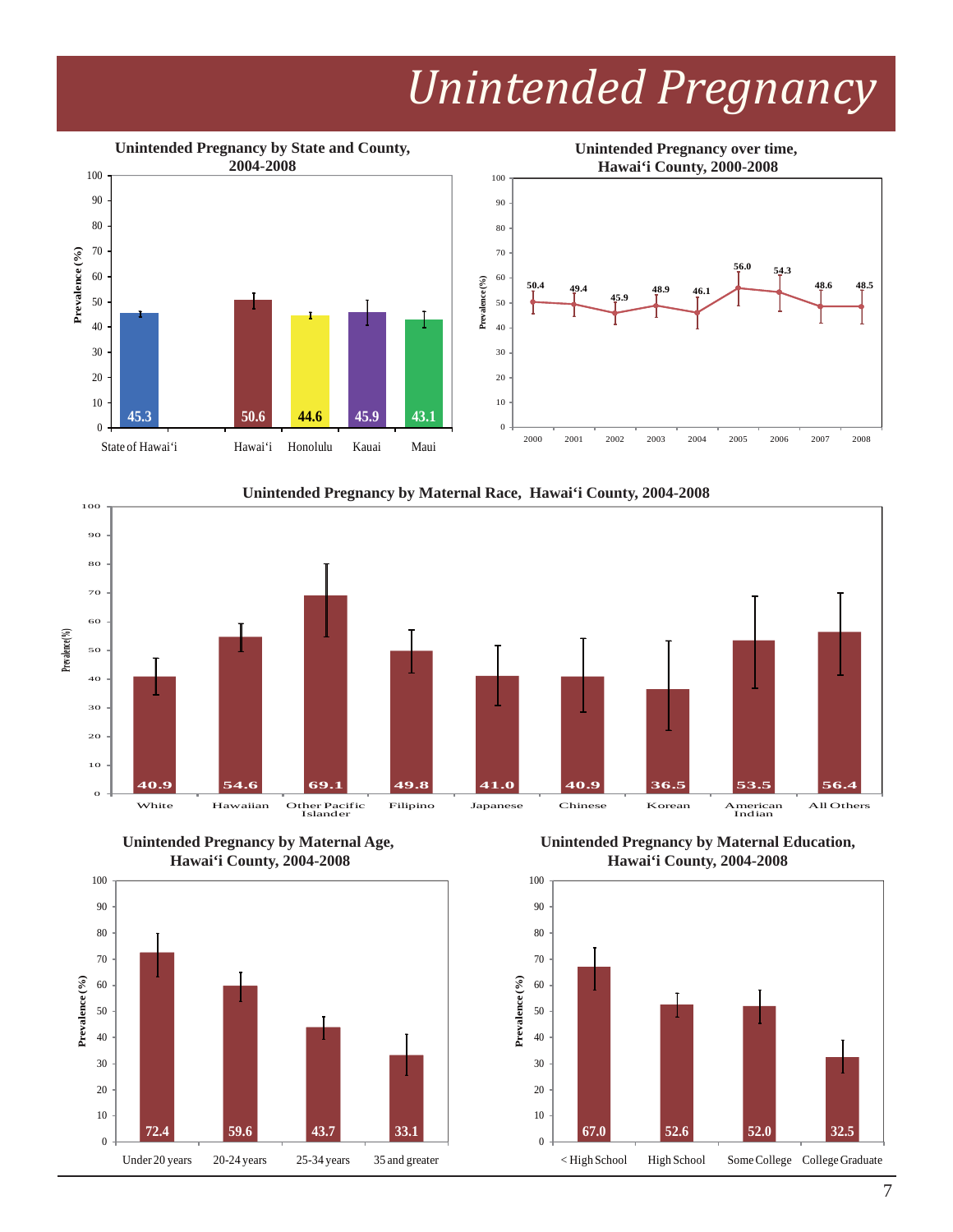### *Unintended Pregnancy*









**Unintended Pregnancy by Maternal Education, Hawai'i County, 2004-2008**

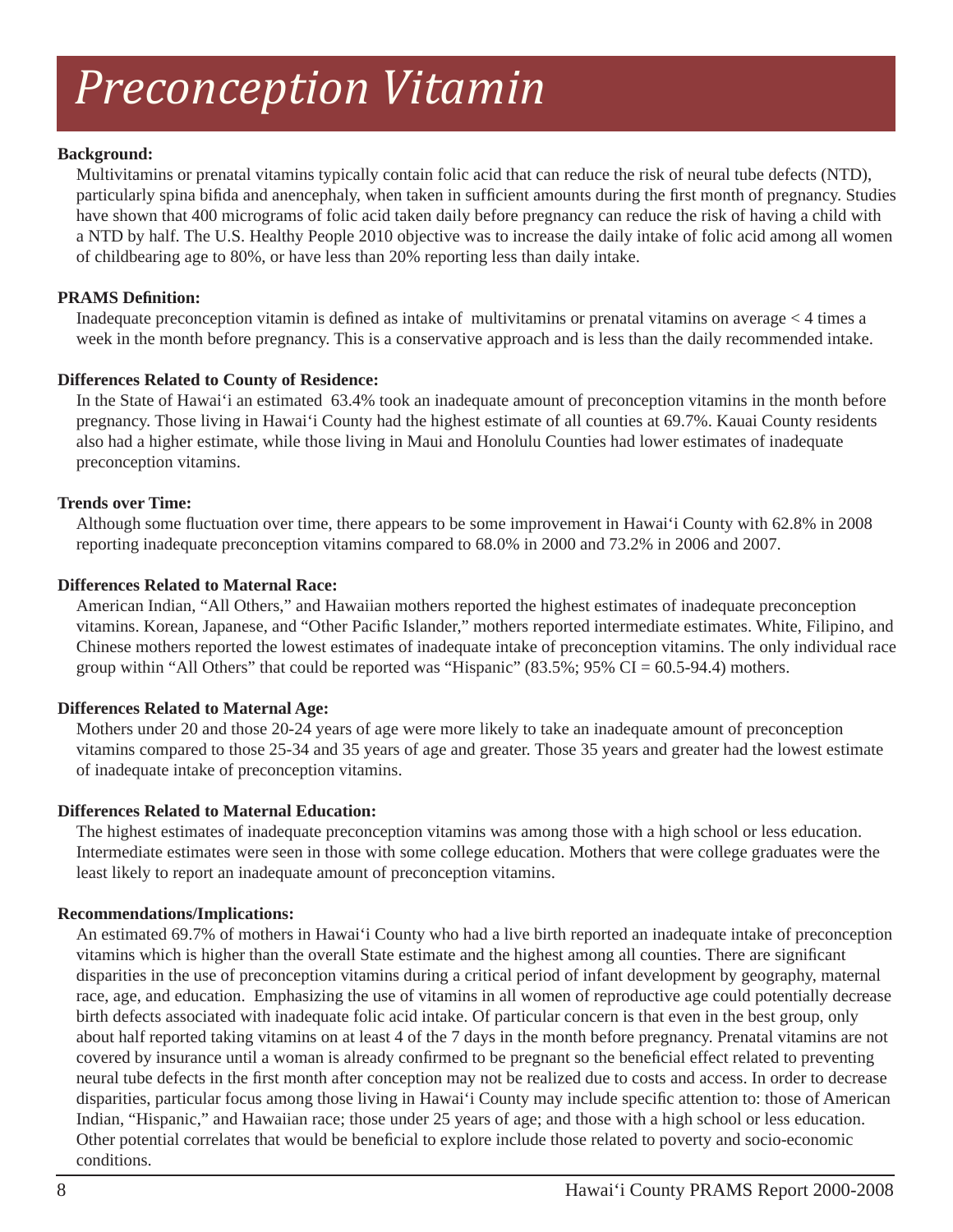### *Preconception Vitamin*

#### **Background:**

Multivitamins or prenatal vitamins typically contain folic acid that can reduce the risk of neural tube defects (NTD), particularly spina bifida and anencephaly, when taken in sufficient amounts during the first month of pregnancy. Studies have shown that 400 micrograms of folic acid taken daily before pregnancy can reduce the risk of having a child with a NTD by half. The U.S. Healthy People 2010 objective was to increase the daily intake of folic acid among all women of childbearing age to 80%, or have less than 20% reporting less than daily intake.

#### **PRAMS Definition:**

Inadequate preconception vitamin is defined as intake of multivitamins or prenatal vitamins on average  $<$  4 times a week in the month before pregnancy. This is a conservative approach and is less than the daily recommended intake.

#### **Differences Related to County of Residence:**

In the State of Hawai'i an estimated 63.4% took an inadequate amount of preconception vitamins in the month before pregnancy. Those living in Hawai'i County had the highest estimate of all counties at 69.7%. Kauai County residents also had a higher estimate, while those living in Maui and Honolulu Counties had lower estimates of inadequate preconception vitamins.

#### **Trends over Time:**

Although some fluctuation over time, there appears to be some improvement in Hawai'i County with 62.8% in 2008 reporting inadequate preconception vitamins compared to 68.0% in 2000 and 73.2% in 2006 and 2007.

#### **Differences Related to Maternal Race:**

American Indian, "All Others," and Hawaiian mothers reported the highest estimates of inadequate preconception vitamins. Korean, Japanese, and "Other Pacific Islander," mothers reported intermediate estimates. White, Filipino, and Chinese mothers reported the lowest estimates of inadequate intake of preconception vitamins. The only individual race group within "All Others" that could be reported was "Hispanic"  $(83.5\%; 95\% \text{ CI} = 60.5-94.4)$  mothers.

#### **Differences Related to Maternal Age:**

Mothers under 20 and those 20-24 years of age were more likely to take an inadequate amount of preconception vitamins compared to those 25-34 and 35 years of age and greater. Those 35 years and greater had the lowest estimate of inadequate intake of preconception vitamins.

#### **Differences Related to Maternal Education:**

The highest estimates of inadequate preconception vitamins was among those with a high school or less education. Intermediate estimates were seen in those with some college education. Mothers that were college graduates were the least likely to report an inadequate amount of preconception vitamins.

#### **Recommendations/Implications:**

An estimated 69.7% of mothers in Hawai'i County who had a live birth reported an inadequate intake of preconception vitamins which is higher than the overall State estimate and the highest among all counties. There are significant disparities in the use of preconception vitamins during a critical period of infant development by geography, maternal race, age, and education. Emphasizing the use of vitamins in all women of reproductive age could potentially decrease birth defects associated with inadequate folic acid intake. Of particular concern is that even in the best group, only about half reported taking vitamins on at least 4 of the 7 days in the month before pregnancy. Prenatal vitamins are not covered by insurance until a woman is already confirmed to be pregnant so the beneficial effect related to preventing neural tube defects in the first month after conception may not be realized due to costs and access. In order to decrease disparities, particular focus among those living in Hawai'i County may include specific attention to: those of American Indian, "Hispanic," and Hawaiian race; those under 25 years of age; and those with a high school or less education. Other potential correlates that would be beneficial to explore include those related to poverty and socio-economic conditions.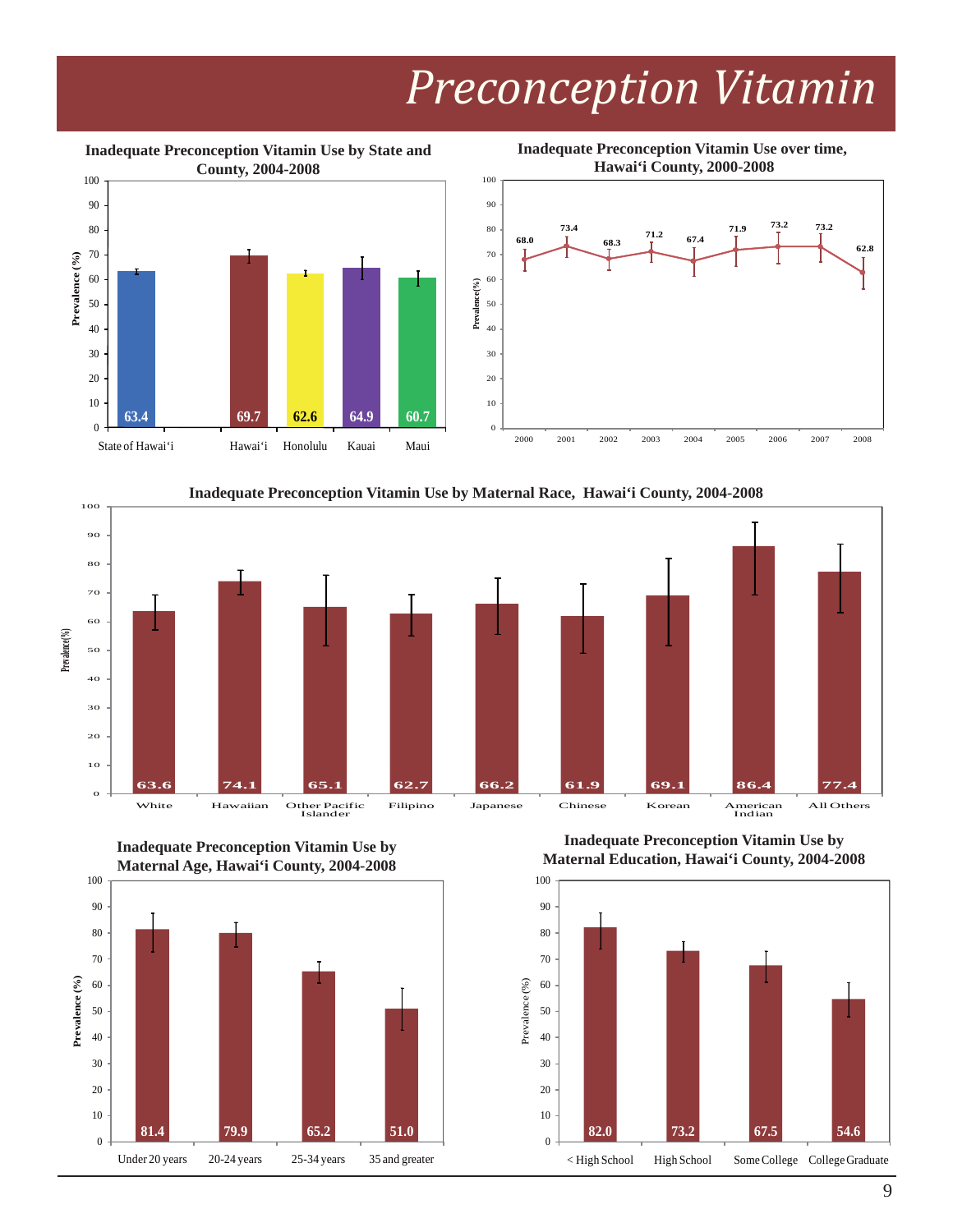### *Preconception Vitamin*

**71.9 73.2 73.2**

**62.8**

**Inadequate Preconception Vitamin Use over time, Inadequate Preconception Vitamin Use by State and Hawai'i County, 2000-2008 County, 2004-2008 73.4 68.3 71.2 67.4 68.0** Prevalence (%) **Prevalence (%)** Prevalence  $(°_0)$ **Prevalence (%) 63.4 69.7 62.6 64.9 60.7** 2001 2002 2003 2004 2005 2006 2007 2008 State of Hawai'i Hawai'i Honolulu Kauai Maui







**Inadequate Preconception Vitamin Use by Maternal Education, Hawai'i County, 2004-2008**

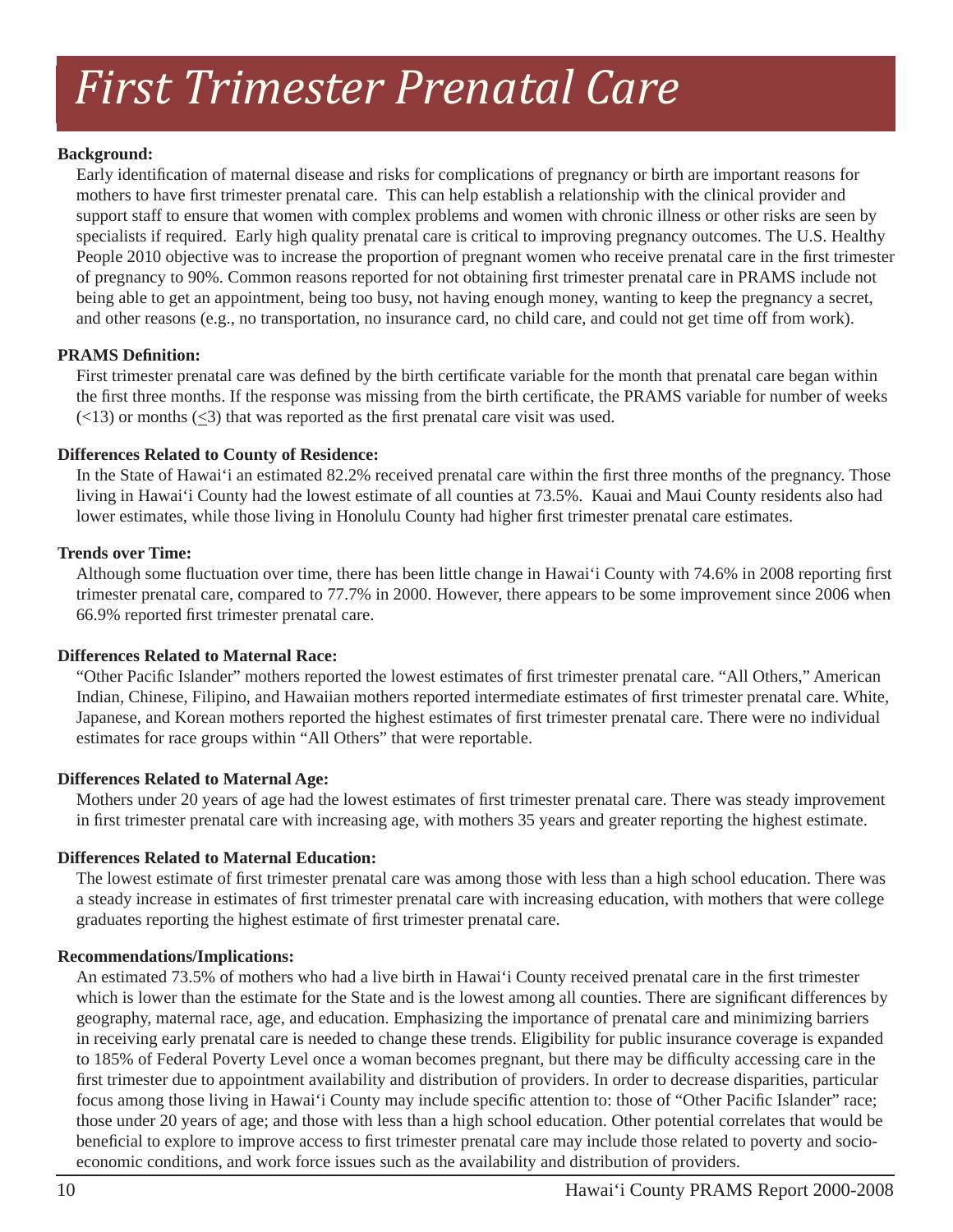### *First Trimester Prenatal Care*

#### **Background:**

Early identification of maternal disease and risks for complications of pregnancy or birth are important reasons for mothers to have first trimester prenatal care. This can help establish a relationship with the clinical provider and support staff to ensure that women with complex problems and women with chronic illness or other risks are seen by specialists if required. Early high quality prenatal care is critical to improving pregnancy outcomes. The U.S. Healthy People 2010 objective was to increase the proportion of pregnant women who receive prenatal care in the first trimester of pregnancy to 90%. Common reasons reported for not obtaining first trimester prenatal care in PRAMS include not being able to get an appointment, being too busy, not having enough money, wanting to keep the pregnancy a secret, and other reasons (e.g., no transportation, no insurance card, no child care, and could not get time off from work).

#### **PRAMS Definition:**

First trimester prenatal care was defined by the birth certificate variable for the month that prenatal care began within the first three months. If the response was missing from the birth certificate, the PRAMS variable for number of weeks  $(\leq 13)$  or months  $(\leq 3)$  that was reported as the first prenatal care visit was used.

#### **Differences Related to County of Residence:**

In the State of Hawai'i an estimated 82.2% received prenatal care within the first three months of the pregnancy. Those living in Hawai'i County had the lowest estimate of all counties at 73.5%. Kauai and Maui County residents also had lower estimates, while those living in Honolulu County had higher first trimester prenatal care estimates.

#### **Trends over Time:**

Although some fluctuation over time, there has been little change in Hawai'i County with 74.6% in 2008 reporting first trimester prenatal care, compared to 77.7% in 2000. However, there appears to be some improvement since 2006 when 66.9% reported first trimester prenatal care.

#### **Differences Related to Maternal Race:**

"Other Pacific Islander" mothers reported the lowest estimates of first trimester prenatal care. "All Others," American Indian, Chinese, Filipino, and Hawaiian mothers reported intermediate estimates of first trimester prenatal care. White, Japanese, and Korean mothers reported the highest estimates of first trimester prenatal care. There were no individual estimates for race groups within "All Others" that were reportable.

#### **Differences Related to Maternal Age:**

Mothers under 20 years of age had the lowest estimates of first trimester prenatal care. There was steady improvement in first trimester prenatal care with increasing age, with mothers 35 years and greater reporting the highest estimate.

#### **Differences Related to Maternal Education:**

The lowest estimate of first trimester prenatal care was among those with less than a high school education. There was a steady increase in estimates of first trimester prenatal care with increasing education, with mothers that were college graduates reporting the highest estimate of first trimester prenatal care.

#### **Recommendations/Implications:**

An estimated 73.5% of mothers who had a live birth in Hawai'i County received prenatal care in the first trimester which is lower than the estimate for the State and is the lowest among all counties. There are significant differences by geography, maternal race, age, and education. Emphasizing the importance of prenatal care and minimizing barriers in receiving early prenatal care is needed to change these trends. Eligibility for public insurance coverage is expanded to 185% of Federal Poverty Level once a woman becomes pregnant, but there may be difficulty accessing care in the first trimester due to appointment availability and distribution of providers. In order to decrease disparities, particular focus among those living in Hawai'i County may include specific attention to: those of "Other Pacific Islander" race; those under 20 years of age; and those with less than a high school education. Other potential correlates that would be beneficial to explore to improve access to first trimester prenatal care may include those related to poverty and socioeconomic conditions, and work force issues such as the availability and distribution of providers.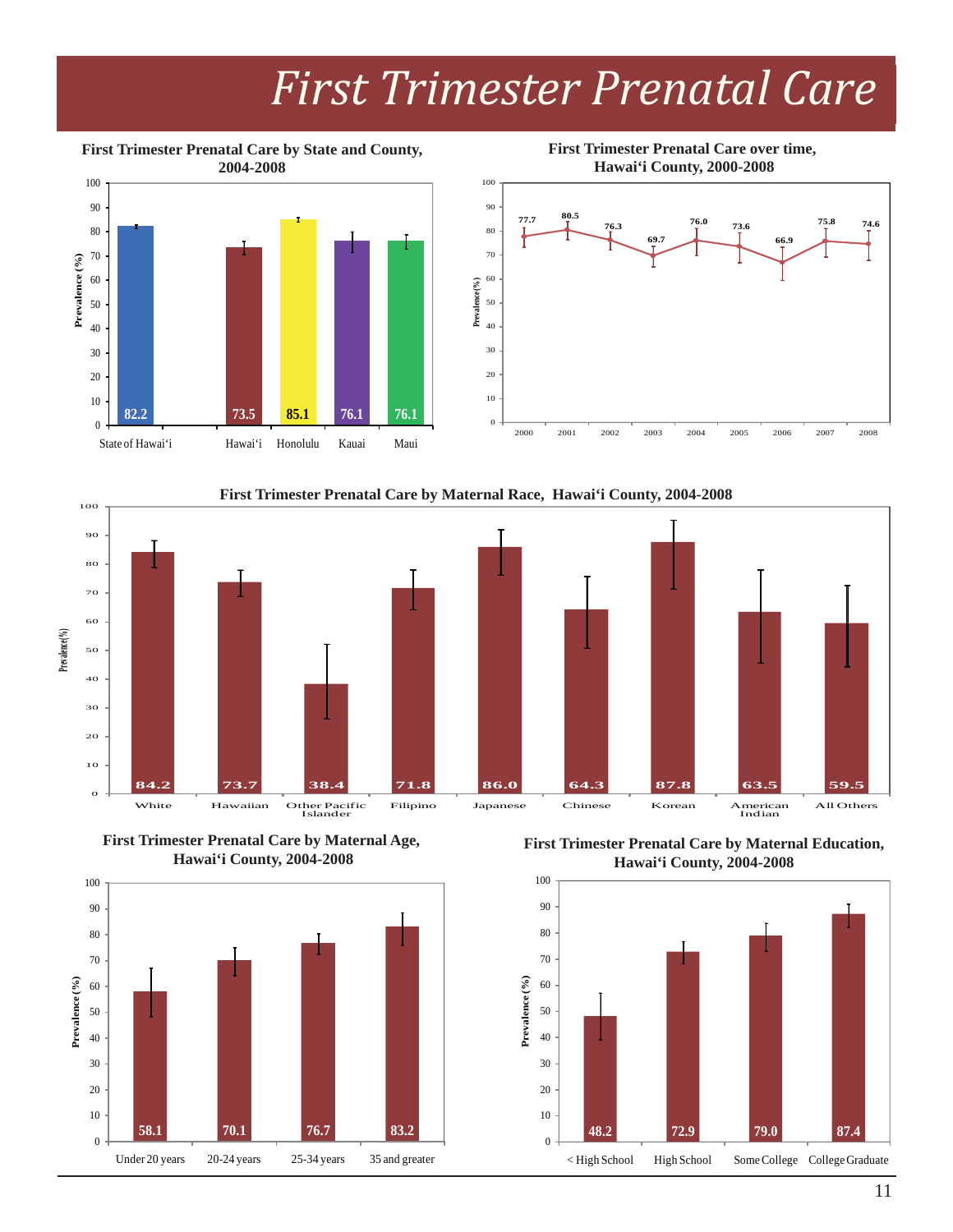#### *First Trimester Prenatal Care***First Trimester Prenatal Care by State and County, First Trimester Prenatal Care over time, 2004-2008 Hawai'i County, 2000-2008 77.7 80.5 76.0 73.6 75.8 74.6 76.3 69.7 66.9** Prevalence  $(%)$ **Prevalence (%)**



**First Trimester Prenatal Care by Maternal Age, Hawai'i County, 2004-2008**

**82.2 73.5 85.1 76.1 76.1**

State of Hawai'i Hawai'i Honolulu Kauai Maui

**Prevalence (%)**

Prevalence (%)



**First Trimester Prenatal Care by Maternal Education, Hawai'i County, 2004-2008**

2001 2002 2003 2004 2005 2006 2007 2008

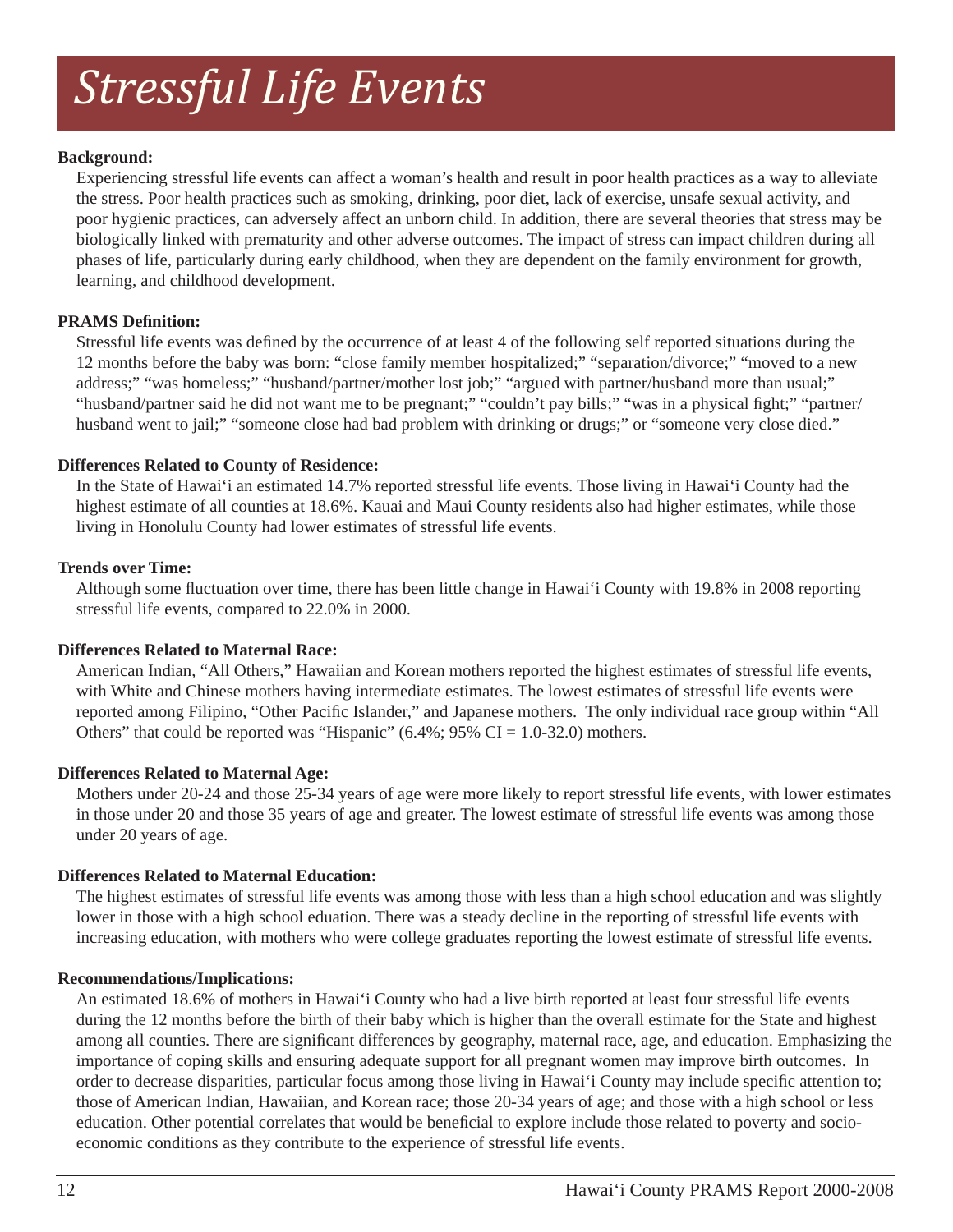### *Stressful Life Events*

#### **Background:**

Experiencing stressful life events can affect a woman's health and result in poor health practices as a way to alleviate the stress. Poor health practices such as smoking, drinking, poor diet, lack of exercise, unsafe sexual activity, and poor hygienic practices, can adversely affect an unborn child. In addition, there are several theories that stress may be biologically linked with prematurity and other adverse outcomes. The impact of stress can impact children during all phases of life, particularly during early childhood, when they are dependent on the family environment for growth, learning, and childhood development.

#### **PRAMS Definition:**

Stressful life events was defined by the occurrence of at least 4 of the following self reported situations during the 12 months before the baby was born: "close family member hospitalized;" "separation/divorce;" "moved to a new address;" "was homeless;" "husband/partner/mother lost job;" "argued with partner/husband more than usual;" "husband/partner said he did not want me to be pregnant;" "couldn't pay bills;" "was in a physical fight;" "partner/ husband went to jail;" "someone close had bad problem with drinking or drugs;" or "someone very close died."

#### **Differences Related to County of Residence:**

In the State of Hawai'i an estimated 14.7% reported stressful life events. Those living in Hawai'i County had the highest estimate of all counties at 18.6%. Kauai and Maui County residents also had higher estimates, while those living in Honolulu County had lower estimates of stressful life events.

#### **Trends over Time:**

Although some fluctuation over time, there has been little change in Hawai'i County with 19.8% in 2008 reporting stressful life events, compared to 22.0% in 2000.

#### **Differences Related to Maternal Race:**

American Indian, "All Others," Hawaiian and Korean mothers reported the highest estimates of stressful life events, with White and Chinese mothers having intermediate estimates. The lowest estimates of stressful life events were reported among Filipino, "Other Pacific Islander," and Japanese mothers. The only individual race group within "All Others" that could be reported was "Hispanic"  $(6.4\%; 95\% \text{ CI} = 1.0-32.0)$  mothers.

#### **Differences Related to Maternal Age:**

Mothers under 20-24 and those 25-34 years of age were more likely to report stressful life events, with lower estimates in those under 20 and those 35 years of age and greater. The lowest estimate of stressful life events was among those under 20 years of age.

#### **Differences Related to Maternal Education:**

The highest estimates of stressful life events was among those with less than a high school education and was slightly lower in those with a high school eduation. There was a steady decline in the reporting of stressful life events with increasing education, with mothers who were college graduates reporting the lowest estimate of stressful life events.

#### **Recommendations/Implications:**

An estimated 18.6% of mothers in Hawai'i County who had a live birth reported at least four stressful life events during the 12 months before the birth of their baby which is higher than the overall estimate for the State and highest among all counties. There are significant differences by geography, maternal race, age, and education. Emphasizing the importance of coping skills and ensuring adequate support for all pregnant women may improve birth outcomes. In order to decrease disparities, particular focus among those living in Hawai'i County may include specifi c attention to; those of American Indian, Hawaiian, and Korean race; those 20-34 years of age; and those with a high school or less education. Other potential correlates that would be beneficial to explore include those related to poverty and socioeconomic conditions as they contribute to the experience of stressful life events.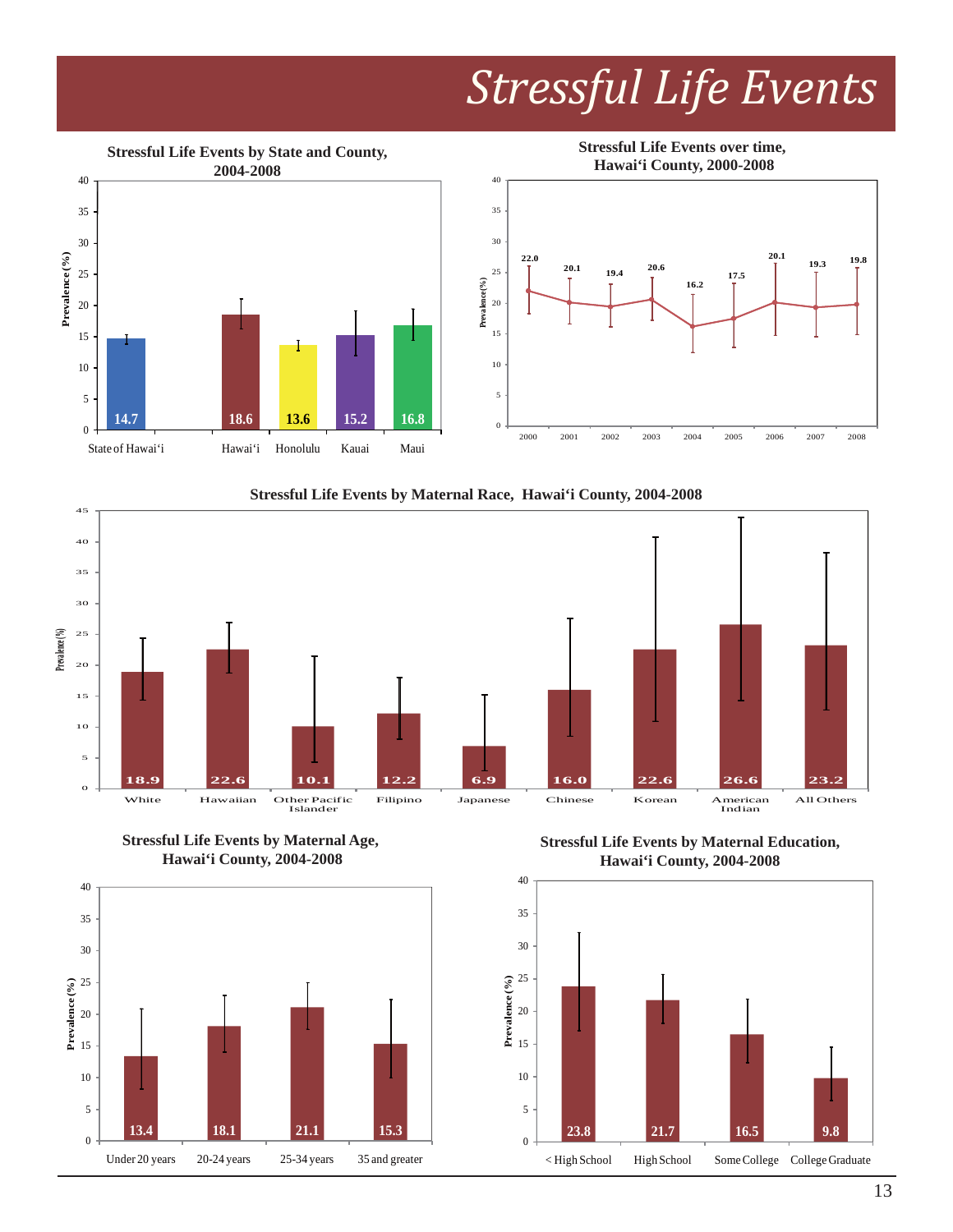### *Stressful Life Events*









**Stressful Life Events by Maternal Education, Hawai'i County, 2004-2008**

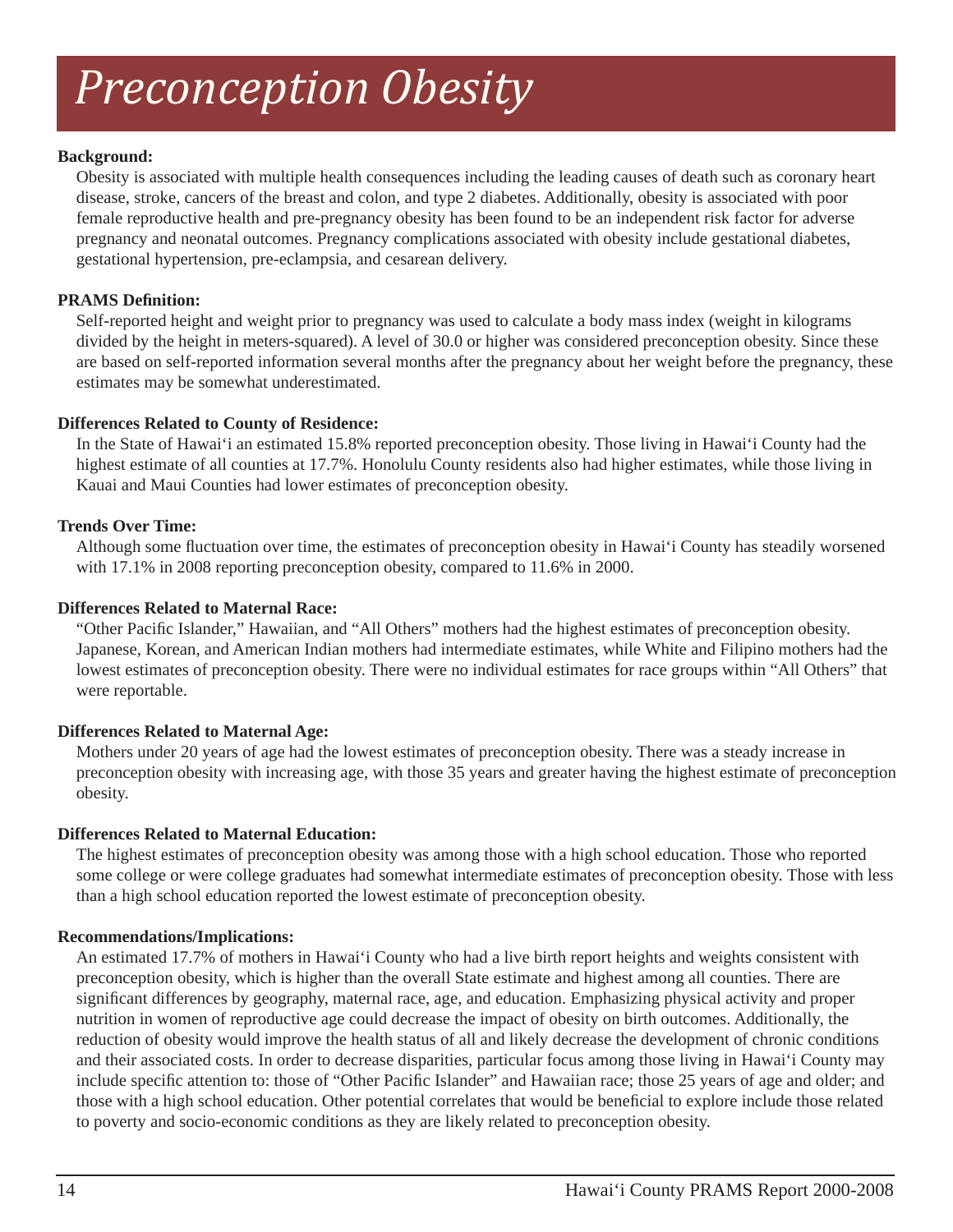### *Preconception Obesity*

#### **Background:**

Obesity is associated with multiple health consequences including the leading causes of death such as coronary heart disease, stroke, cancers of the breast and colon, and type 2 diabetes. Additionally, obesity is associated with poor female reproductive health and pre-pregnancy obesity has been found to be an independent risk factor for adverse pregnancy and neonatal outcomes. Pregnancy complications associated with obesity include gestational diabetes, gestational hypertension, pre-eclampsia, and cesarean delivery.

#### **PRAMS Defi nition:**

Self-reported height and weight prior to pregnancy was used to calculate a body mass index (weight in kilograms divided by the height in meters-squared). A level of 30.0 or higher was considered preconception obesity. Since these are based on self-reported information several months after the pregnancy about her weight before the pregnancy, these estimates may be somewhat underestimated.

#### **Differences Related to County of Residence:**

In the State of Hawai'i an estimated 15.8% reported preconception obesity. Those living in Hawai'i County had the highest estimate of all counties at 17.7%. Honolulu County residents also had higher estimates, while those living in Kauai and Maui Counties had lower estimates of preconception obesity.

#### **Trends Over Time:**

Although some fluctuation over time, the estimates of preconception obesity in Hawai'i County has steadily worsened with 17.1% in 2008 reporting preconception obesity, compared to 11.6% in 2000.

#### **Differences Related to Maternal Race:**

"Other Pacific Islander," Hawaiian, and "All Others" mothers had the highest estimates of preconception obesity. Japanese, Korean, and American Indian mothers had intermediate estimates, while White and Filipino mothers had the lowest estimates of preconception obesity. There were no individual estimates for race groups within "All Others" that were reportable.

#### **Differences Related to Maternal Age:**

Mothers under 20 years of age had the lowest estimates of preconception obesity. There was a steady increase in preconception obesity with increasing age, with those 35 years and greater having the highest estimate of preconception obesity.

#### **Differences Related to Maternal Education:**

The highest estimates of preconception obesity was among those with a high school education. Those who reported some college or were college graduates had somewhat intermediate estimates of preconception obesity. Those with less than a high school education reported the lowest estimate of preconception obesity.

#### **Recommendations/Implications:**

An estimated 17.7% of mothers in Hawai'i County who had a live birth report heights and weights consistent with preconception obesity, which is higher than the overall State estimate and highest among all counties. There are significant differences by geography, maternal race, age, and education. Emphasizing physical activity and proper nutrition in women of reproductive age could decrease the impact of obesity on birth outcomes. Additionally, the reduction of obesity would improve the health status of all and likely decrease the development of chronic conditions and their associated costs. In order to decrease disparities, particular focus among those living in Hawai'i County may include specific attention to: those of "Other Pacific Islander" and Hawaiian race; those 25 years of age and older; and those with a high school education. Other potential correlates that would be beneficial to explore include those related to poverty and socio-economic conditions as they are likely related to preconception obesity.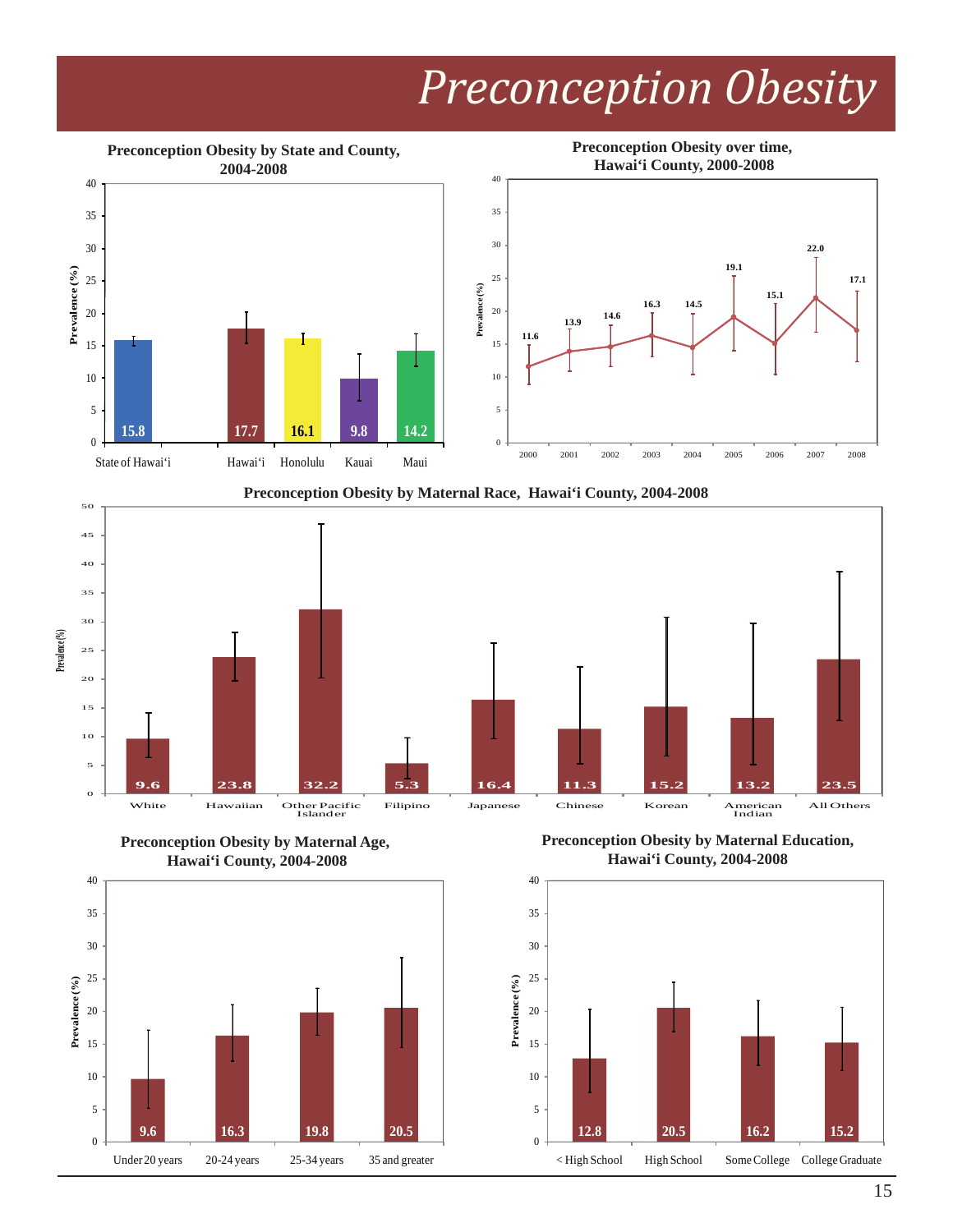### *Preconception Obesity*









**Preconception Obesity by Maternal Education, Hawai'i County, 2004-2008**

American<br>Indian

All Others

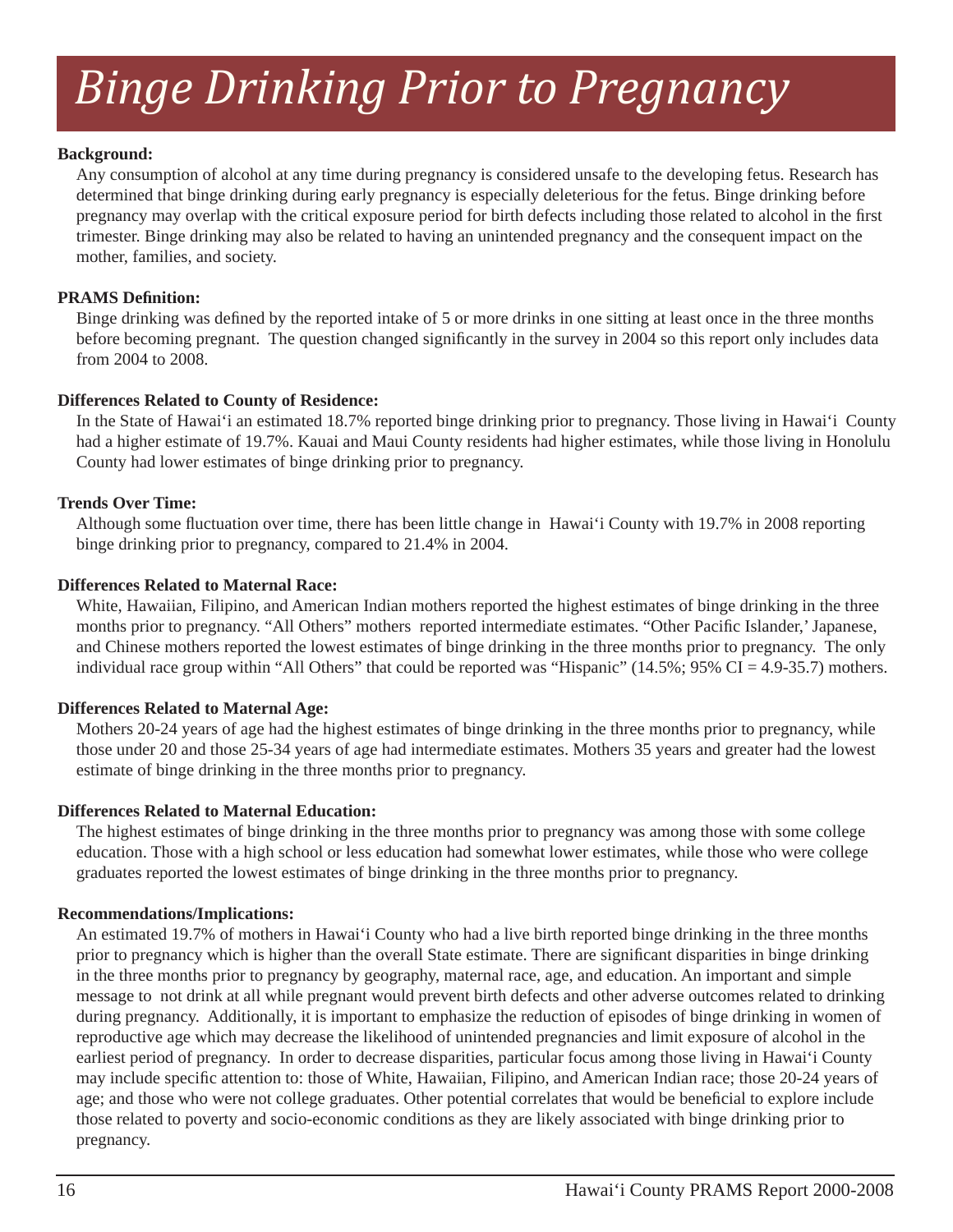### *Binge Drinking Prior to Pregnancy*

#### **Background:**

Any consumption of alcohol at any time during pregnancy is considered unsafe to the developing fetus. Research has determined that binge drinking during early pregnancy is especially deleterious for the fetus. Binge drinking before pregnancy may overlap with the critical exposure period for birth defects including those related to alcohol in the first trimester. Binge drinking may also be related to having an unintended pregnancy and the consequent impact on the mother, families, and society.

#### **PRAMS Definition:**

Binge drinking was defined by the reported intake of 5 or more drinks in one sitting at least once in the three months before becoming pregnant. The question changed significantly in the survey in 2004 so this report only includes data from 2004 to 2008.

#### **Differences Related to County of Residence:**

In the State of Hawai'i an estimated 18.7% reported binge drinking prior to pregnancy. Those living in Hawai'i County had a higher estimate of 19.7%. Kauai and Maui County residents had higher estimates, while those living in Honolulu County had lower estimates of binge drinking prior to pregnancy.

#### **Trends Over Time:**

Although some fluctuation over time, there has been little change in Hawai'i County with 19.7% in 2008 reporting binge drinking prior to pregnancy, compared to 21.4% in 2004.

#### **Differences Related to Maternal Race:**

White, Hawaiian, Filipino, and American Indian mothers reported the highest estimates of binge drinking in the three months prior to pregnancy. "All Others" mothers reported intermediate estimates. "Other Pacific Islander,' Japanese, and Chinese mothers reported the lowest estimates of binge drinking in the three months prior to pregnancy. The only individual race group within "All Others" that could be reported was "Hispanic" (14.5%; 95% CI = 4.9-35.7) mothers.

#### **Differences Related to Maternal Age:**

Mothers 20-24 years of age had the highest estimates of binge drinking in the three months prior to pregnancy, while those under 20 and those 25-34 years of age had intermediate estimates. Mothers 35 years and greater had the lowest estimate of binge drinking in the three months prior to pregnancy.

#### **Differences Related to Maternal Education:**

The highest estimates of binge drinking in the three months prior to pregnancy was among those with some college education. Those with a high school or less education had somewhat lower estimates, while those who were college graduates reported the lowest estimates of binge drinking in the three months prior to pregnancy.

#### **Recommendations/Implications:**

An estimated 19.7% of mothers in Hawai'i County who had a live birth reported binge drinking in the three months prior to pregnancy which is higher than the overall State estimate. There are significant disparities in binge drinking in the three months prior to pregnancy by geography, maternal race, age, and education. An important and simple message to not drink at all while pregnant would prevent birth defects and other adverse outcomes related to drinking during pregnancy. Additionally, it is important to emphasize the reduction of episodes of binge drinking in women of reproductive age which may decrease the likelihood of unintended pregnancies and limit exposure of alcohol in the earliest period of pregnancy. In order to decrease disparities, particular focus among those living in Hawai'i County may include specific attention to: those of White, Hawaiian, Filipino, and American Indian race; those 20-24 years of age; and those who were not college graduates. Other potential correlates that would be beneficial to explore include those related to poverty and socio-economic conditions as they are likely associated with binge drinking prior to pregnancy.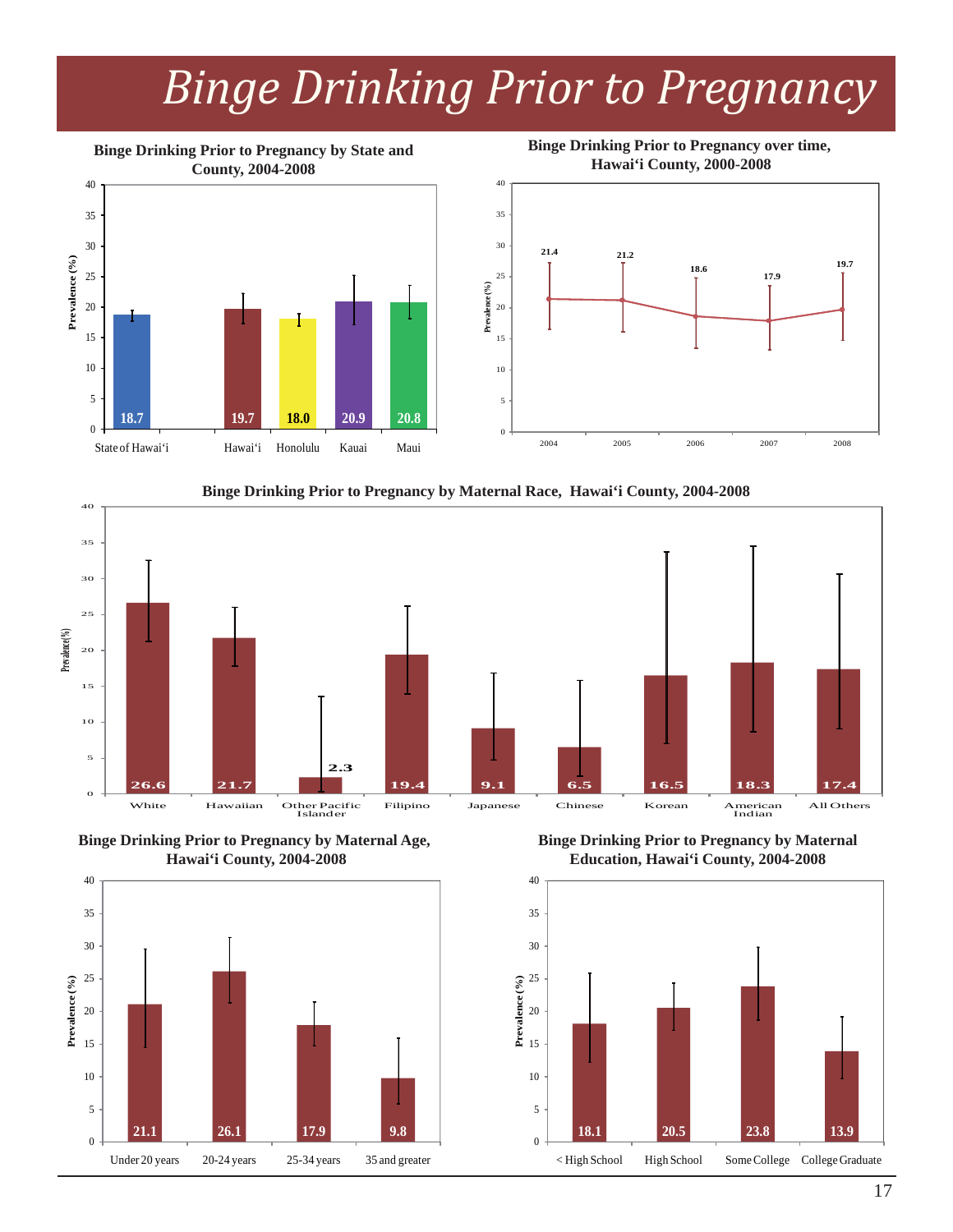## *Binge Drinking Prior to Pregnancy*

**Binge Drinking Prior to Pregnancy by State and County, 2004-2008** 40 35 30 Prevalence (%) **Prevalence (%)** 25 20 15 10 5 **18.7 19.7 18.0 20.9 20.8**  $\theta$ State of Hawai'i Hawai'i Honolulu Kauai Maui





**Binge Drinking Prior to Pregnancy by Maternal Race, Hawai'i County, 2004-2008**



**Binge Drinking Prior to Pregnancy by Maternal Age, Hawai'i County, 2004-2008**



**Binge Drinking Prior to Pregnancy by Maternal Education, Hawai'i County, 2004-2008**

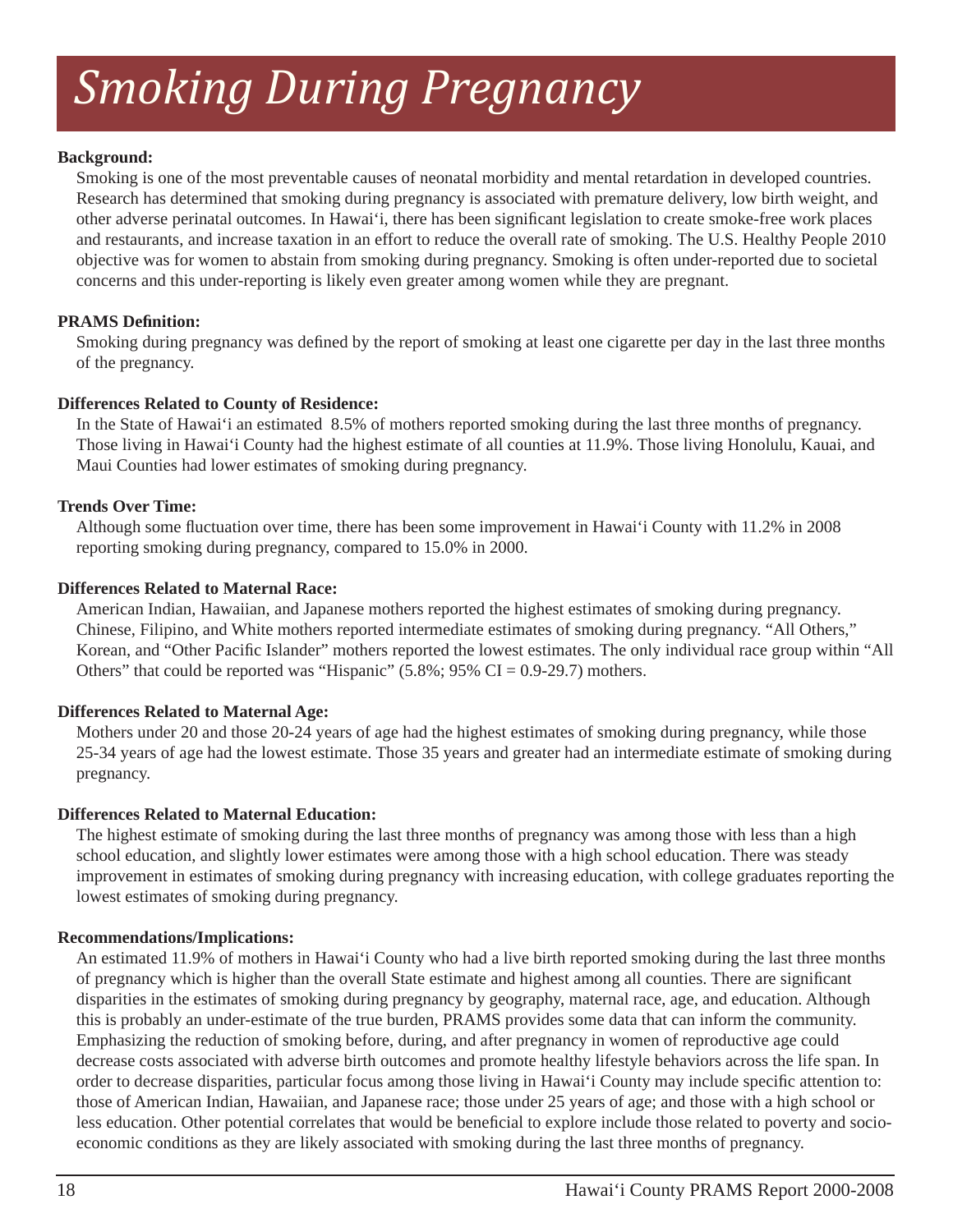## *Smoking During Pregnancy*

#### **Background:**

Smoking is one of the most preventable causes of neonatal morbidity and mental retardation in developed countries. Research has determined that smoking during pregnancy is associated with premature delivery, low birth weight, and other adverse perinatal outcomes. In Hawai'i, there has been significant legislation to create smoke-free work places and restaurants, and increase taxation in an effort to reduce the overall rate of smoking. The U.S. Healthy People 2010 objective was for women to abstain from smoking during pregnancy. Smoking is often under-reported due to societal concerns and this under-reporting is likely even greater among women while they are pregnant.

#### **PRAMS Defi nition:**

Smoking during pregnancy was defined by the report of smoking at least one cigarette per day in the last three months of the pregnancy.

#### **Differences Related to County of Residence:**

In the State of Hawai'i an estimated 8.5% of mothers reported smoking during the last three months of pregnancy. Those living in Hawai'i County had the highest estimate of all counties at 11.9%. Those living Honolulu, Kauai, and Maui Counties had lower estimates of smoking during pregnancy.

#### **Trends Over Time:**

Although some fluctuation over time, there has been some improvement in Hawai'i County with 11.2% in 2008 reporting smoking during pregnancy, compared to 15.0% in 2000.

#### **Differences Related to Maternal Race:**

American Indian, Hawaiian, and Japanese mothers reported the highest estimates of smoking during pregnancy. Chinese, Filipino, and White mothers reported intermediate estimates of smoking during pregnancy. "All Others," Korean, and "Other Pacific Islander" mothers reported the lowest estimates. The only individual race group within "All Others" that could be reported was "Hispanic"  $(5.8\%; 95\% \text{ CI} = 0.9-29.7)$  mothers.

#### **Differences Related to Maternal Age:**

Mothers under 20 and those 20-24 years of age had the highest estimates of smoking during pregnancy, while those 25-34 years of age had the lowest estimate. Those 35 years and greater had an intermediate estimate of smoking during pregnancy.

#### **Differences Related to Maternal Education:**

The highest estimate of smoking during the last three months of pregnancy was among those with less than a high school education, and slightly lower estimates were among those with a high school education. There was steady improvement in estimates of smoking during pregnancy with increasing education, with college graduates reporting the lowest estimates of smoking during pregnancy.

#### **Recommendations/Implications:**

An estimated 11.9% of mothers in Hawai'i County who had a live birth reported smoking during the last three months of pregnancy which is higher than the overall State estimate and highest among all counties. There are significant disparities in the estimates of smoking during pregnancy by geography, maternal race, age, and education. Although this is probably an under-estimate of the true burden, PRAMS provides some data that can inform the community. Emphasizing the reduction of smoking before, during, and after pregnancy in women of reproductive age could decrease costs associated with adverse birth outcomes and promote healthy lifestyle behaviors across the life span. In order to decrease disparities, particular focus among those living in Hawai'i County may include specifi c attention to: those of American Indian, Hawaiian, and Japanese race; those under 25 years of age; and those with a high school or less education. Other potential correlates that would be beneficial to explore include those related to poverty and socioeconomic conditions as they are likely associated with smoking during the last three months of pregnancy.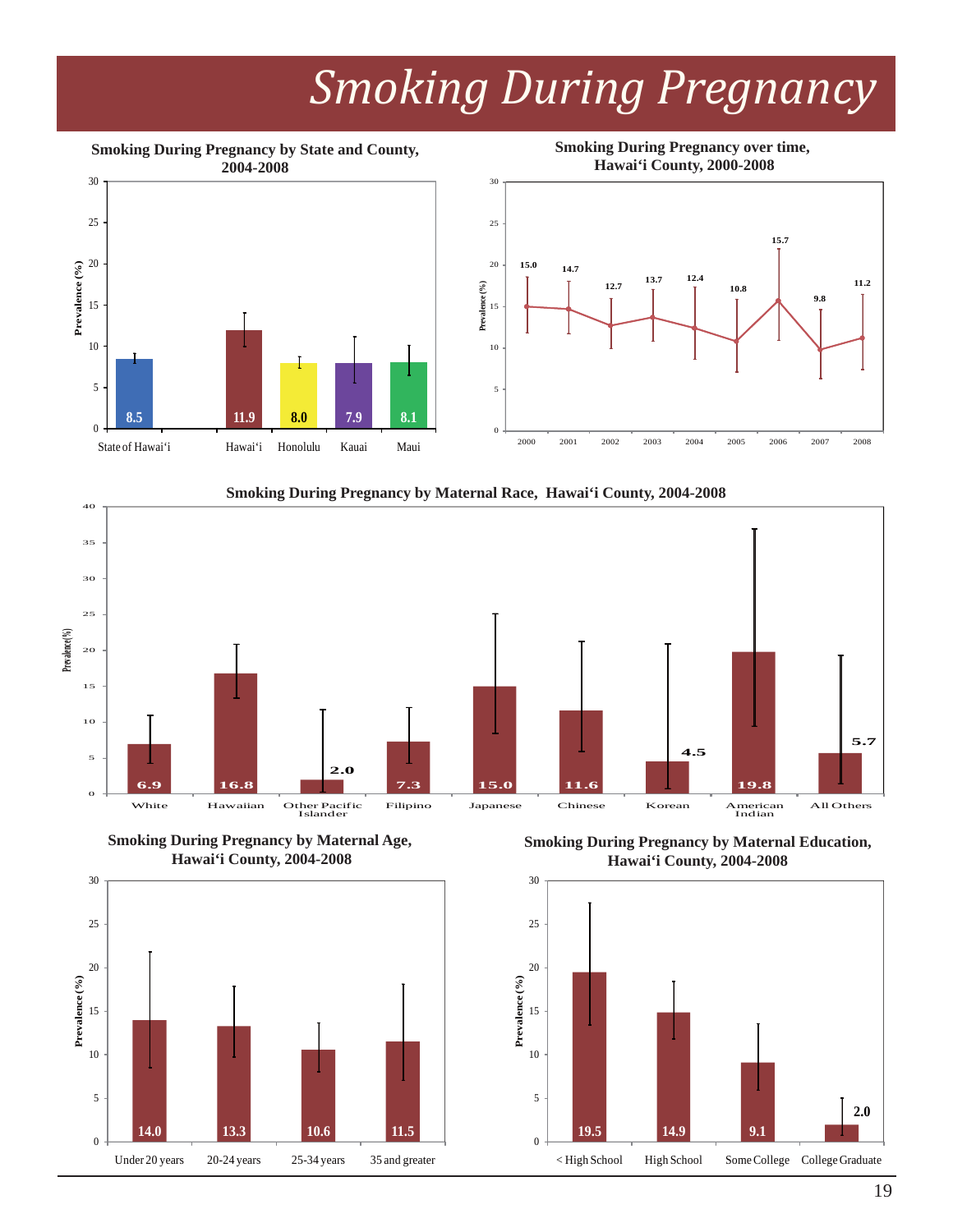### *Smoking During Pregnancy*

**Smoking During Pregnancy by State and County,** 

**Smoking During Pregnancy over time, Hawai'i County, 2000-2008**







**Smoking During Pregnancy by Maternal Age, Hawai'i County, 2004-2008**



**Smoking During Pregnancy by Maternal Education, Hawai'i County, 2004-2008**

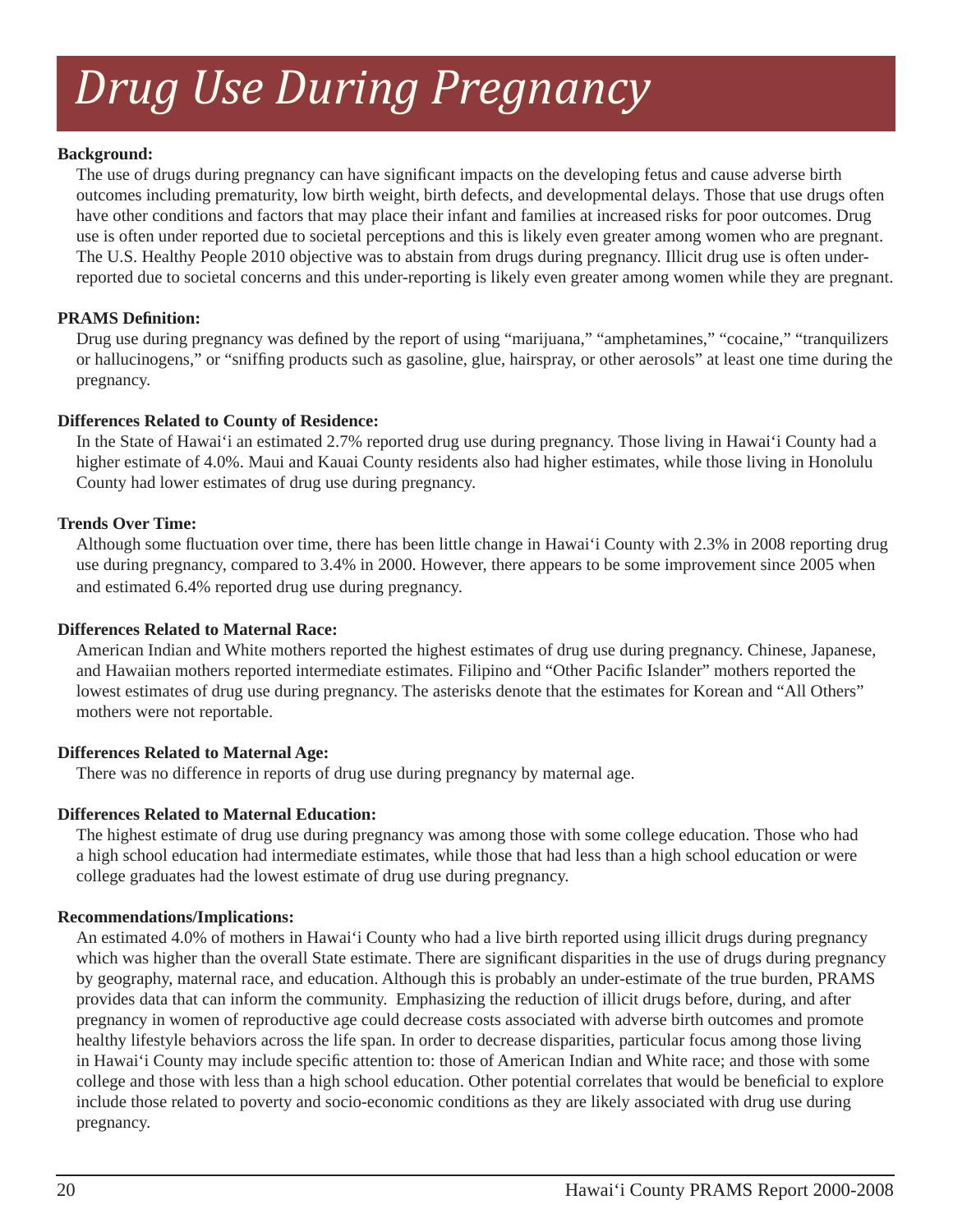## *Drug Use During Pregnancy*

#### **Background:**

The use of drugs during pregnancy can have significant impacts on the developing fetus and cause adverse birth outcomes including prematurity, low birth weight, birth defects, and developmental delays. Those that use drugs often have other conditions and factors that may place their infant and families at increased risks for poor outcomes. Drug use is often under reported due to societal perceptions and this is likely even greater among women who are pregnant. The U.S. Healthy People 2010 objective was to abstain from drugs during pregnancy. Illicit drug use is often underreported due to societal concerns and this under-reporting is likely even greater among women while they are pregnant.

#### **PRAMS Definition:**

Drug use during pregnancy was defined by the report of using "marijuana," "amphetamines," "cocaine," "tranquilizers or hallucinogens," or "sniffing products such as gasoline, glue, hairspray, or other aerosols" at least one time during the pregnancy.

#### **Differences Related to County of Residence:**

In the State of Hawai'i an estimated 2.7% reported drug use during pregnancy. Those living in Hawai'i County had a higher estimate of 4.0%. Maui and Kauai County residents also had higher estimates, while those living in Honolulu County had lower estimates of drug use during pregnancy.

#### **Trends Over Time:**

Although some fluctuation over time, there has been little change in Hawai'i County with 2.3% in 2008 reporting drug use during pregnancy, compared to 3.4% in 2000. However, there appears to be some improvement since 2005 when and estimated 6.4% reported drug use during pregnancy.

#### **Differences Related to Maternal Race:**

American Indian and White mothers reported the highest estimates of drug use during pregnancy. Chinese, Japanese, and Hawaiian mothers reported intermediate estimates. Filipino and "Other Pacific Islander" mothers reported the lowest estimates of drug use during pregnancy. The asterisks denote that the estimates for Korean and "All Others" mothers were not reportable.

#### **Differences Related to Maternal Age:**

There was no difference in reports of drug use during pregnancy by maternal age.

#### **Differences Related to Maternal Education:**

The highest estimate of drug use during pregnancy was among those with some college education. Those who had a high school education had intermediate estimates, while those that had less than a high school education or were college graduates had the lowest estimate of drug use during pregnancy.

#### **Recommendations/Implications:**

An estimated 4.0% of mothers in Hawai'i County who had a live birth reported using illicit drugs during pregnancy which was higher than the overall State estimate. There are significant disparities in the use of drugs during pregnancy by geography, maternal race, and education. Although this is probably an under-estimate of the true burden, PRAMS provides data that can inform the community. Emphasizing the reduction of illicit drugs before, during, and after pregnancy in women of reproductive age could decrease costs associated with adverse birth outcomes and promote healthy lifestyle behaviors across the life span. In order to decrease disparities, particular focus among those living in Hawai'i County may include specific attention to: those of American Indian and White race; and those with some college and those with less than a high school education. Other potential correlates that would be beneficial to explore include those related to poverty and socio-economic conditions as they are likely associated with drug use during pregnancy.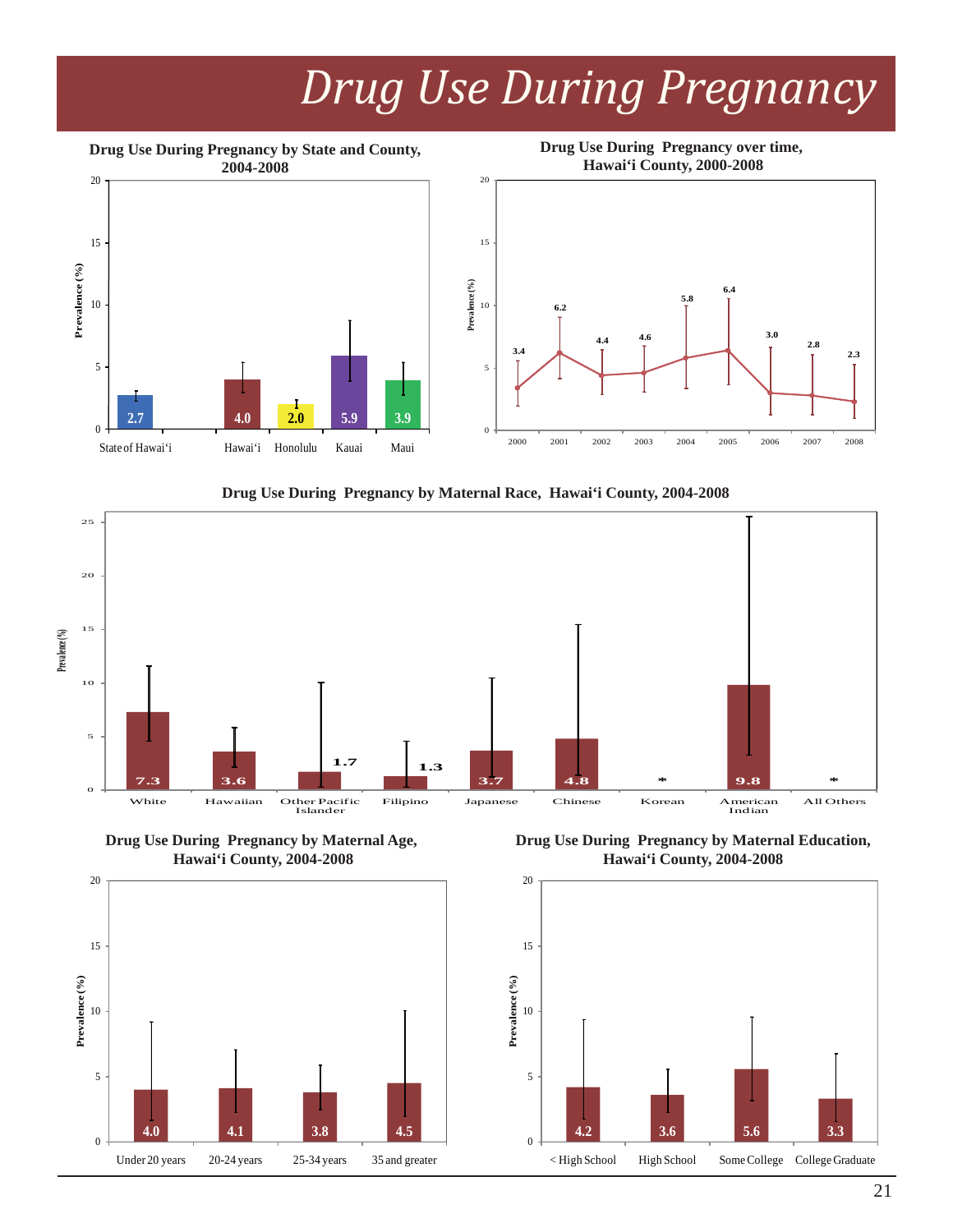### *Drug Use During Pregnancy*

**Drug Use During Pregnancy over time, Drug Use During Pregnancy by State and County, Hawai'i County, 2000-2008 2004-2008** 20 20 15 15 Prevalence  $(°/6)$ **Prevalence (%)** Prevalence  $\left({}^0\!\delta\right)$ **Prevalence (%) 6.4 5.8** 10 10 **6.2 3.0 4.4 4.6 2.8 3.4 2.3** 5 5 Ŧ **2.7 4.0 2.0 5.9 3.9**  $\theta$  $\mathfrak{g}$ 2000 2001 2002 2003 2004 2005 2006 2007 2008 State of Hawai'i Hawai'i Honolulu Kauai Maui





**Drug Use During Pregnancy by Maternal Age, Hawai'i County, 2004-2008**



**Drug Use During Pregnancy by Maternal Education, Hawai'i County, 2004-2008**

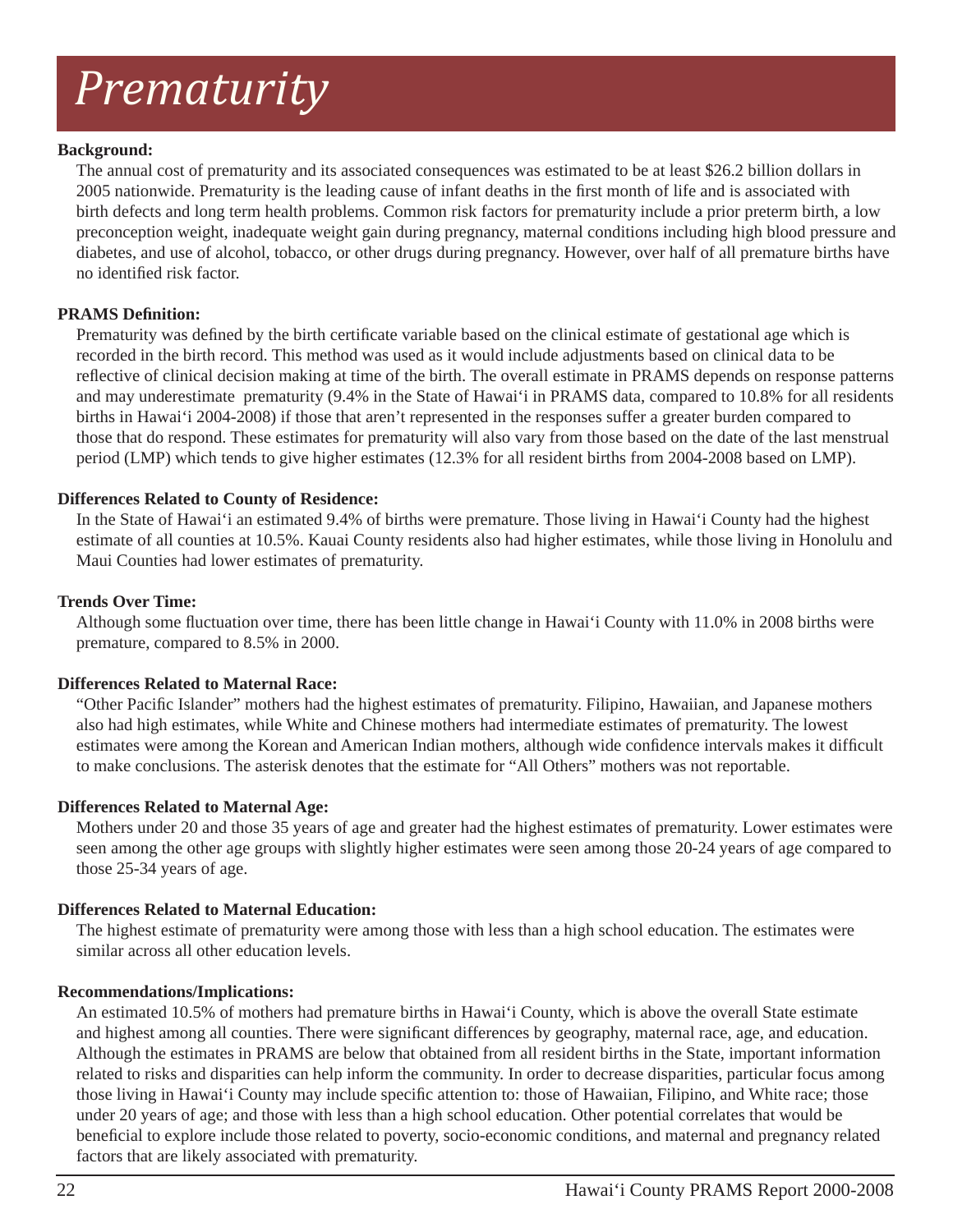### *Prematurity*

#### **Background:**

The annual cost of prematurity and its associated consequences was estimated to be at least \$26.2 billion dollars in 2005 nationwide. Prematurity is the leading cause of infant deaths in the first month of life and is associated with birth defects and long term health problems. Common risk factors for prematurity include a prior preterm birth, a low preconception weight, inadequate weight gain during pregnancy, maternal conditions including high blood pressure and diabetes, and use of alcohol, tobacco, or other drugs during pregnancy. However, over half of all premature births have no identified risk factor.

#### **PRAMS Definition:**

Prematurity was defined by the birth certificate variable based on the clinical estimate of gestational age which is recorded in the birth record. This method was used as it would include adjustments based on clinical data to be reflective of clinical decision making at time of the birth. The overall estimate in PRAMS depends on response patterns and may underestimate prematurity (9.4% in the State of Hawai'i in PRAMS data, compared to 10.8% for all residents births in Hawai'i 2004-2008) if those that aren't represented in the responses suffer a greater burden compared to those that do respond. These estimates for prematurity will also vary from those based on the date of the last menstrual period (LMP) which tends to give higher estimates (12.3% for all resident births from 2004-2008 based on LMP).

#### **Differences Related to County of Residence:**

In the State of Hawai'i an estimated 9.4% of births were premature. Those living in Hawai'i County had the highest estimate of all counties at 10.5%. Kauai County residents also had higher estimates, while those living in Honolulu and Maui Counties had lower estimates of prematurity.

#### **Trends Over Time:**

Although some fluctuation over time, there has been little change in Hawai'i County with 11.0% in 2008 births were premature, compared to 8.5% in 2000.

#### **Differences Related to Maternal Race:**

"Other Pacific Islander" mothers had the highest estimates of prematurity. Filipino, Hawaiian, and Japanese mothers also had high estimates, while White and Chinese mothers had intermediate estimates of prematurity. The lowest estimates were among the Korean and American Indian mothers, although wide confidence intervals makes it difficult to make conclusions. The asterisk denotes that the estimate for "All Others" mothers was not reportable.

#### **Differences Related to Maternal Age:**

Mothers under 20 and those 35 years of age and greater had the highest estimates of prematurity. Lower estimates were seen among the other age groups with slightly higher estimates were seen among those 20-24 years of age compared to those 25-34 years of age.

#### **Differences Related to Maternal Education:**

The highest estimate of prematurity were among those with less than a high school education. The estimates were similar across all other education levels.

#### **Recommendations/Implications:**

An estimated 10.5% of mothers had premature births in Hawai'i County, which is above the overall State estimate and highest among all counties. There were significant differences by geography, maternal race, age, and education. Although the estimates in PRAMS are below that obtained from all resident births in the State, important information related to risks and disparities can help inform the community. In order to decrease disparities, particular focus among those living in Hawai'i County may include specific attention to: those of Hawaiian, Filipino, and White race; those under 20 years of age; and those with less than a high school education. Other potential correlates that would be beneficial to explore include those related to poverty, socio-economic conditions, and maternal and pregnancy related factors that are likely associated with prematurity.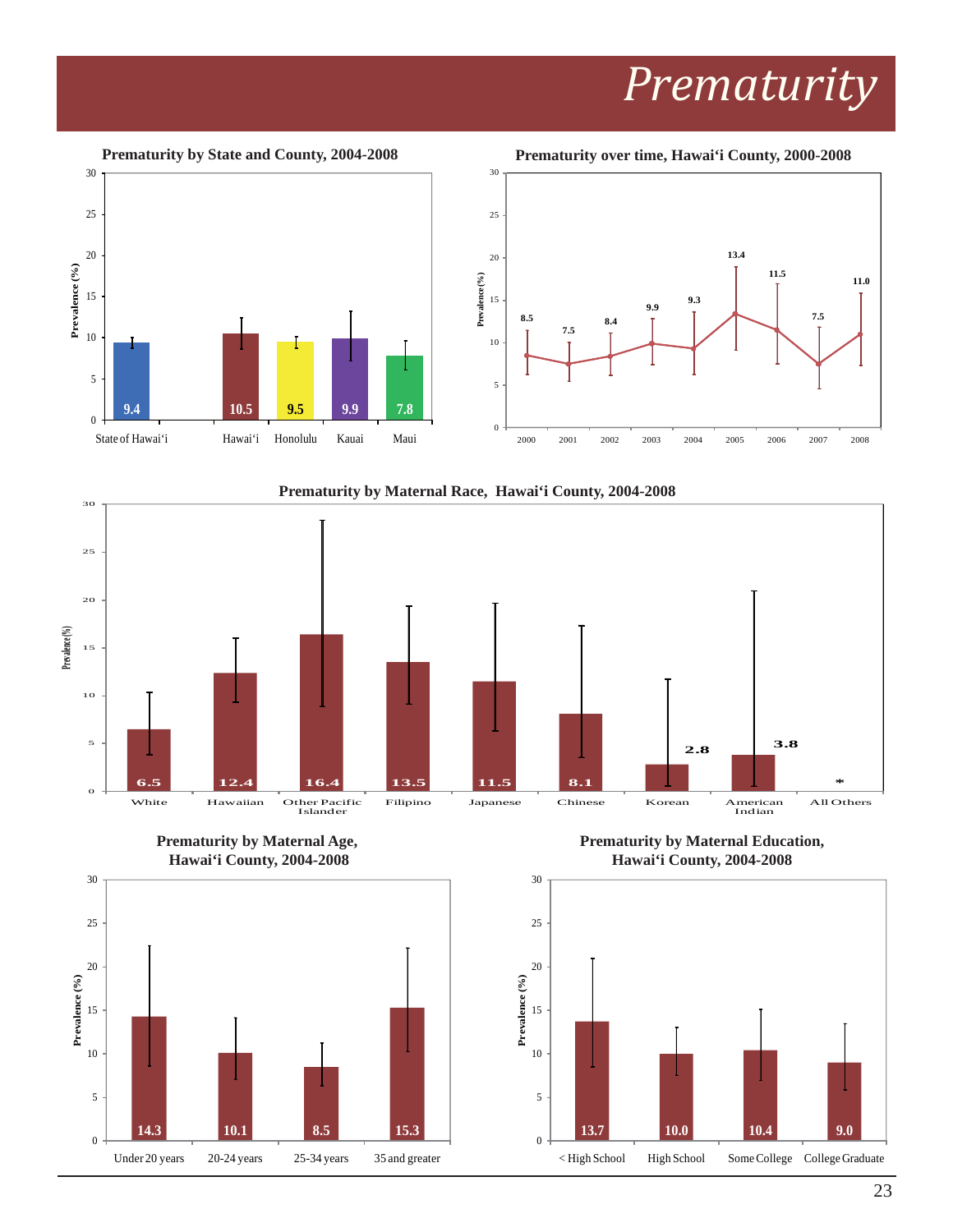### *Prematurity*











**Prematurity by Maternal Education, Hawai'i County, 2004-2008**

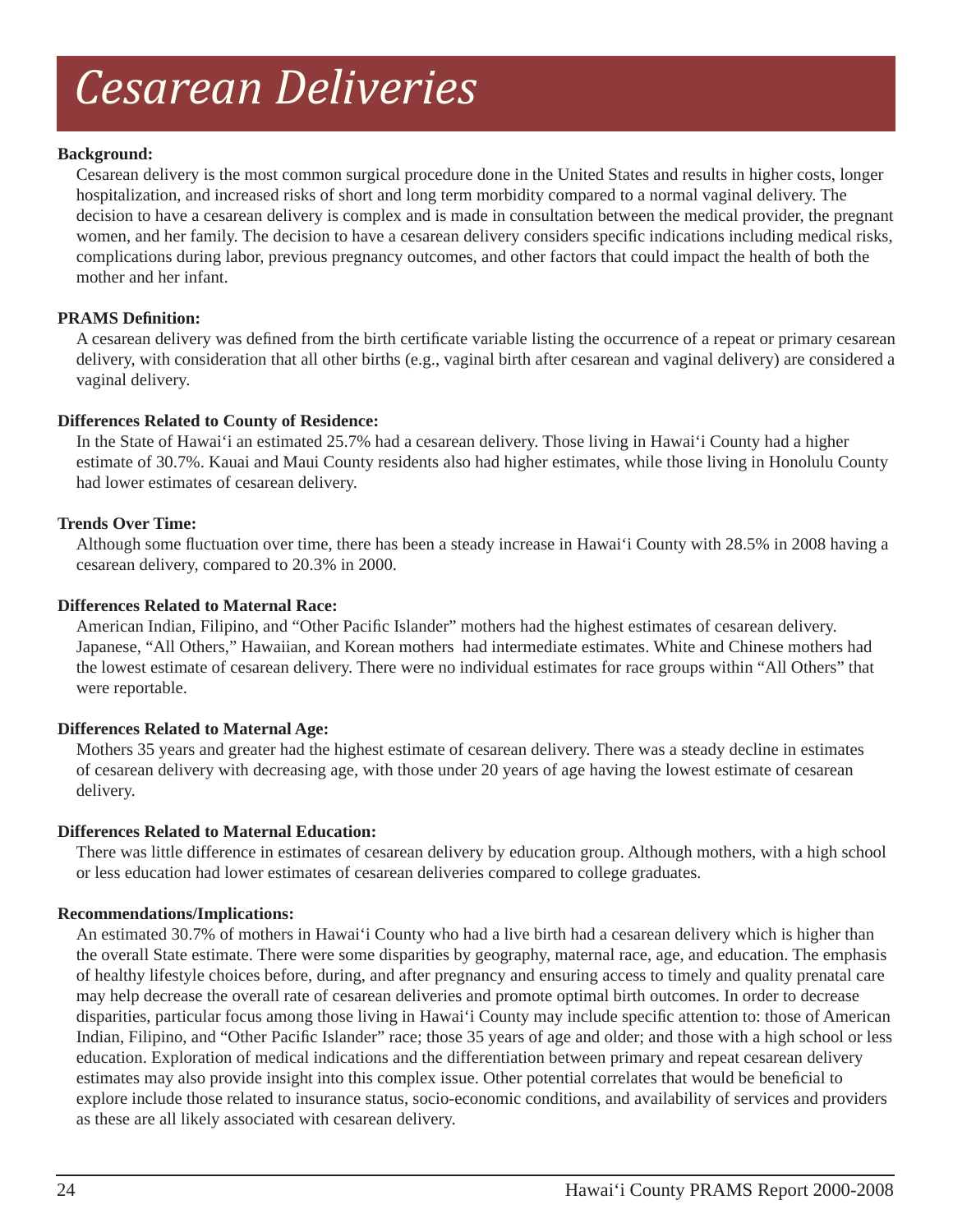### *Cesarean Deliveries*

#### **Background:**

Cesarean delivery is the most common surgical procedure done in the United States and results in higher costs, longer hospitalization, and increased risks of short and long term morbidity compared to a normal vaginal delivery. The decision to have a cesarean delivery is complex and is made in consultation between the medical provider, the pregnant women, and her family. The decision to have a cesarean delivery considers specific indications including medical risks, complications during labor, previous pregnancy outcomes, and other factors that could impact the health of both the mother and her infant.

#### **PRAMS Definition:**

A cesarean delivery was defined from the birth certificate variable listing the occurrence of a repeat or primary cesarean delivery, with consideration that all other births (e.g., vaginal birth after cesarean and vaginal delivery) are considered a vaginal delivery.

#### **Differences Related to County of Residence:**

In the State of Hawai'i an estimated 25.7% had a cesarean delivery. Those living in Hawai'i County had a higher estimate of 30.7%. Kauai and Maui County residents also had higher estimates, while those living in Honolulu County had lower estimates of cesarean delivery.

#### **Trends Over Time:**

Although some fluctuation over time, there has been a steady increase in Hawai'i County with 28.5% in 2008 having a cesarean delivery, compared to 20.3% in 2000.

#### **Differences Related to Maternal Race:**

American Indian, Filipino, and "Other Pacific Islander" mothers had the highest estimates of cesarean delivery. Japanese, "All Others," Hawaiian, and Korean mothers had intermediate estimates. White and Chinese mothers had the lowest estimate of cesarean delivery. There were no individual estimates for race groups within "All Others" that were reportable.

#### **Differences Related to Maternal Age:**

Mothers 35 years and greater had the highest estimate of cesarean delivery. There was a steady decline in estimates of cesarean delivery with decreasing age, with those under 20 years of age having the lowest estimate of cesarean delivery.

#### **Differences Related to Maternal Education:**

There was little difference in estimates of cesarean delivery by education group. Although mothers, with a high school or less education had lower estimates of cesarean deliveries compared to college graduates.

#### **Recommendations/Implications:**

An estimated 30.7% of mothers in Hawai'i County who had a live birth had a cesarean delivery which is higher than the overall State estimate. There were some disparities by geography, maternal race, age, and education. The emphasis of healthy lifestyle choices before, during, and after pregnancy and ensuring access to timely and quality prenatal care may help decrease the overall rate of cesarean deliveries and promote optimal birth outcomes. In order to decrease disparities, particular focus among those living in Hawai'i County may include specific attention to: those of American Indian, Filipino, and "Other Pacific Islander" race; those 35 years of age and older; and those with a high school or less education. Exploration of medical indications and the differentiation between primary and repeat cesarean delivery estimates may also provide insight into this complex issue. Other potential correlates that would be beneficial to explore include those related to insurance status, socio-economic conditions, and availability of services and providers as these are all likely associated with cesarean delivery.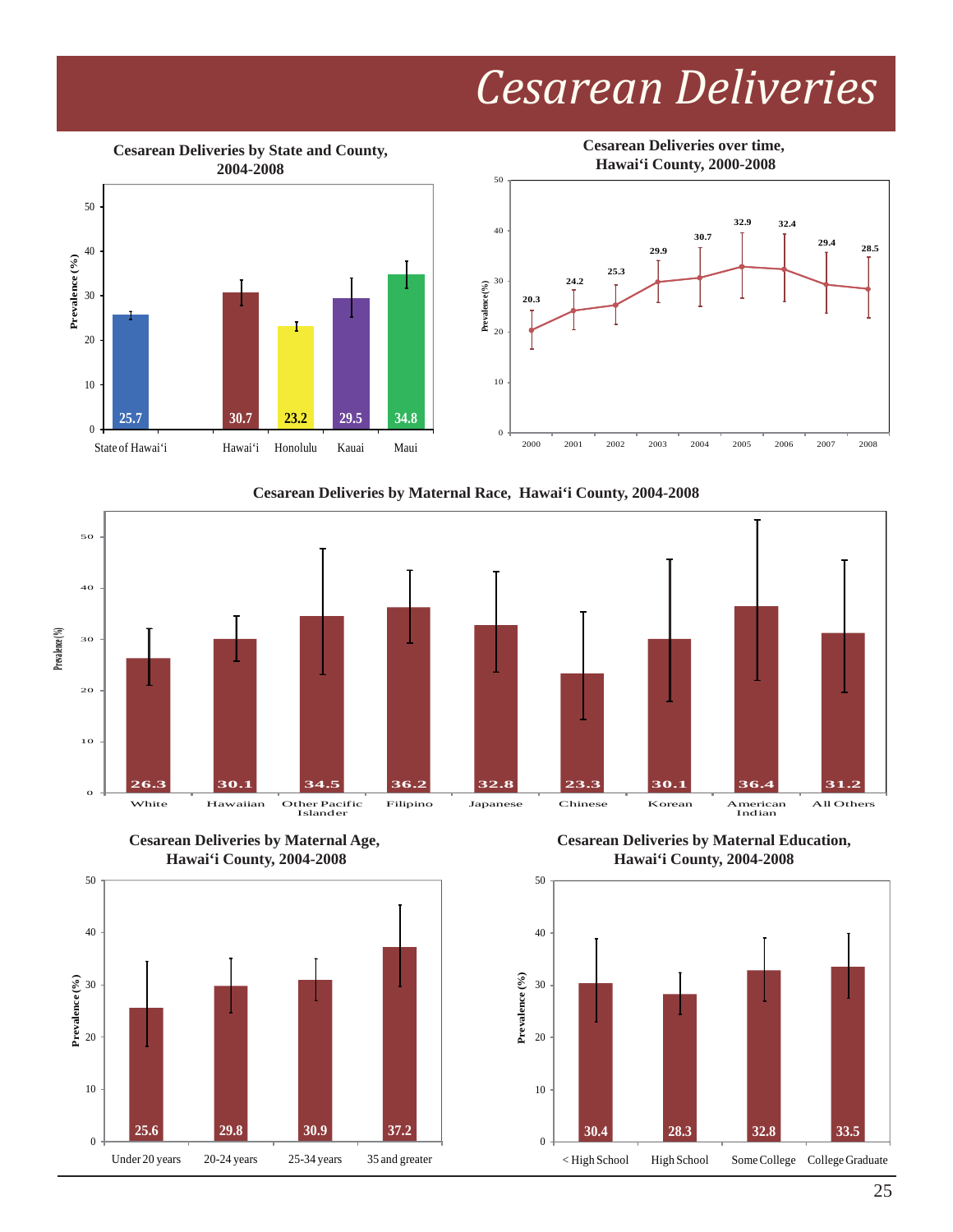### *Cesarean Deliveries*



#### **Cesarean Deliveries by Maternal Race, Hawai'i County, 2004-2008**







**Cesarean Deliveries by Maternal Education, Hawai'i County, 2004-2008**

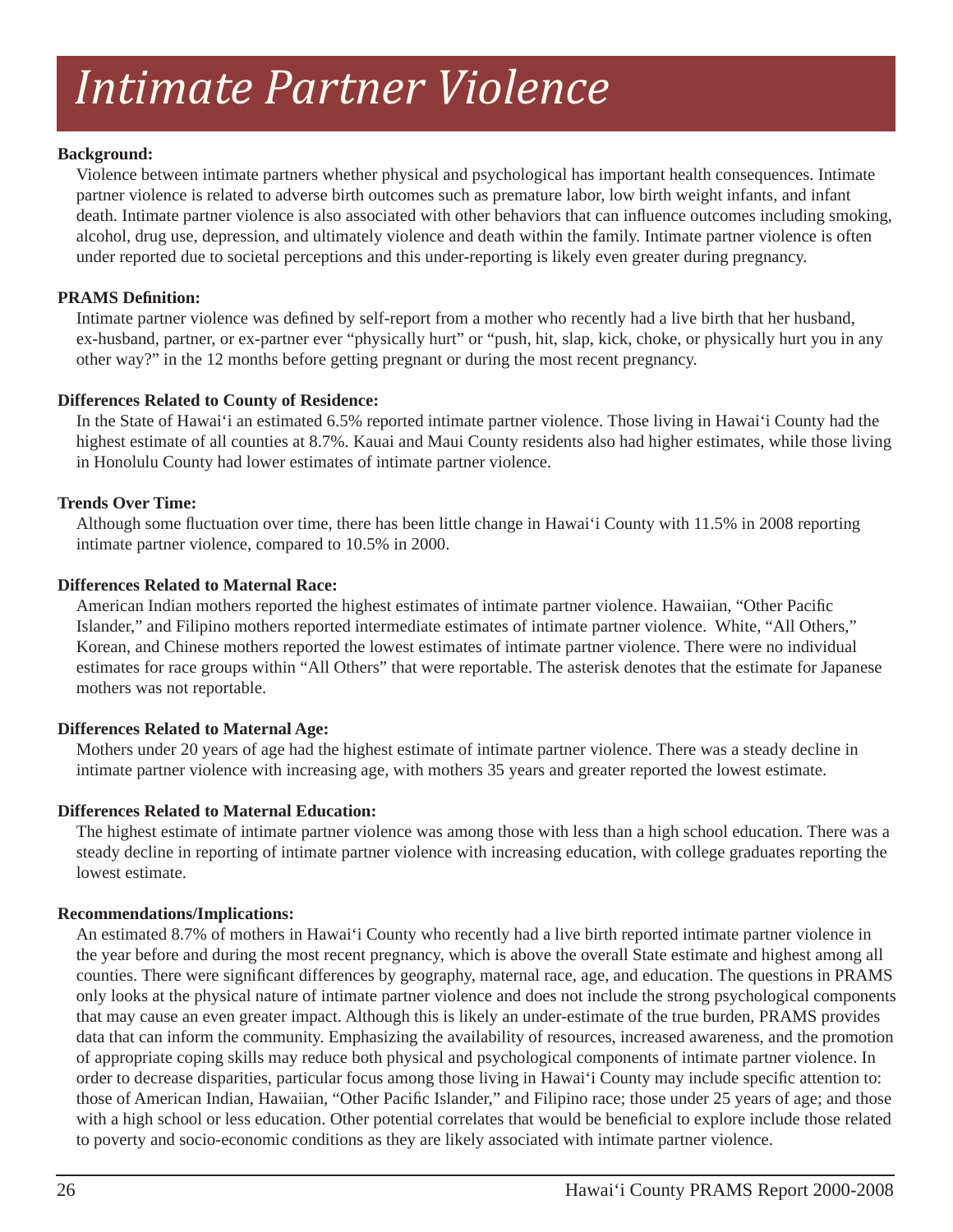### *Intimate Partner Violence*

#### **Background:**

Violence between intimate partners whether physical and psychological has important health consequences. Intimate partner violence is related to adverse birth outcomes such as premature labor, low birth weight infants, and infant death. Intimate partner violence is also associated with other behaviors that can influence outcomes including smoking, alcohol, drug use, depression, and ultimately violence and death within the family. Intimate partner violence is often under reported due to societal perceptions and this under-reporting is likely even greater during pregnancy.

#### **PRAMS Definition:**

Intimate partner violence was defined by self-report from a mother who recently had a live birth that her husband, ex-husband, partner, or ex-partner ever "physically hurt" or "push, hit, slap, kick, choke, or physically hurt you in any other way?" in the 12 months before getting pregnant or during the most recent pregnancy.

#### **Differences Related to County of Residence:**

In the State of Hawai'i an estimated 6.5% reported intimate partner violence. Those living in Hawai'i County had the highest estimate of all counties at 8.7%. Kauai and Maui County residents also had higher estimates, while those living in Honolulu County had lower estimates of intimate partner violence.

#### **Trends Over Time:**

Although some fluctuation over time, there has been little change in Hawai'i County with 11.5% in 2008 reporting intimate partner violence, compared to 10.5% in 2000.

#### **Differences Related to Maternal Race:**

American Indian mothers reported the highest estimates of intimate partner violence. Hawaiian, "Other Pacific Islander," and Filipino mothers reported intermediate estimates of intimate partner violence. White, "All Others," Korean, and Chinese mothers reported the lowest estimates of intimate partner violence. There were no individual estimates for race groups within "All Others" that were reportable. The asterisk denotes that the estimate for Japanese mothers was not reportable.

#### **Differences Related to Maternal Age:**

Mothers under 20 years of age had the highest estimate of intimate partner violence. There was a steady decline in intimate partner violence with increasing age, with mothers 35 years and greater reported the lowest estimate.

#### **Differences Related to Maternal Education:**

The highest estimate of intimate partner violence was among those with less than a high school education. There was a steady decline in reporting of intimate partner violence with increasing education, with college graduates reporting the lowest estimate.

#### **Recommendations/Implications:**

An estimated 8.7% of mothers in Hawai'i County who recently had a live birth reported intimate partner violence in the year before and during the most recent pregnancy, which is above the overall State estimate and highest among all counties. There were significant differences by geography, maternal race, age, and education. The questions in PRAMS only looks at the physical nature of intimate partner violence and does not include the strong psychological components that may cause an even greater impact. Although this is likely an under-estimate of the true burden, PRAMS provides data that can inform the community. Emphasizing the availability of resources, increased awareness, and the promotion of appropriate coping skills may reduce both physical and psychological components of intimate partner violence. In order to decrease disparities, particular focus among those living in Hawai'i County may include specific attention to: those of American Indian, Hawaiian, "Other Pacific Islander," and Filipino race; those under 25 years of age; and those with a high school or less education. Other potential correlates that would be beneficial to explore include those related to poverty and socio-economic conditions as they are likely associated with intimate partner violence.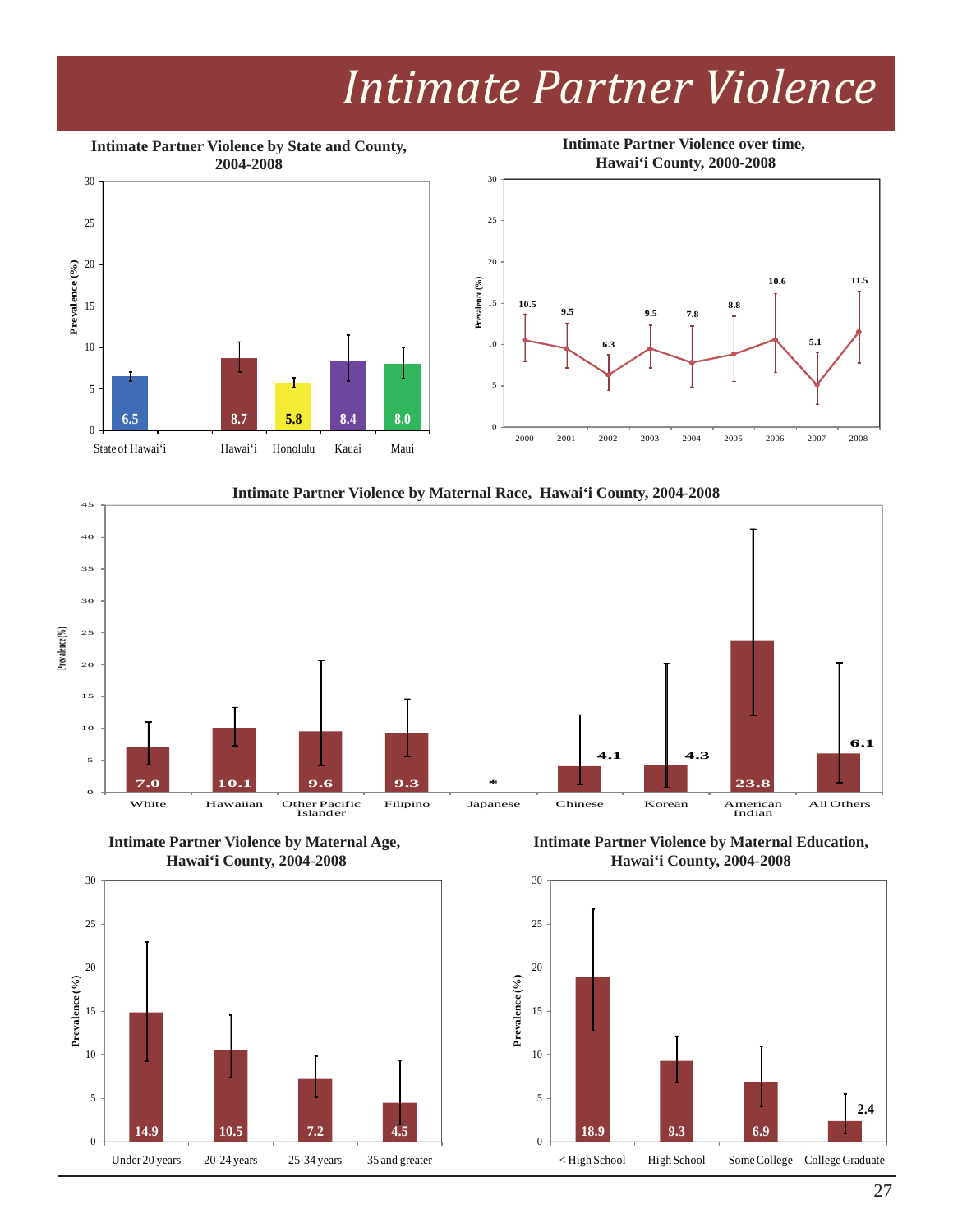### *Intimate Partner Violence*

**Intimate Partner Violence by State and County,** 

#### **Intimate Partner Violence over time, Hawai'i County, 2000-2008**

**8.8**

**10.6**

**5.1**

**11.5**







**Prevalence (%)**



**Intimate Partner Violence by Maternal Education, Hawai'i County, 2004-2008**

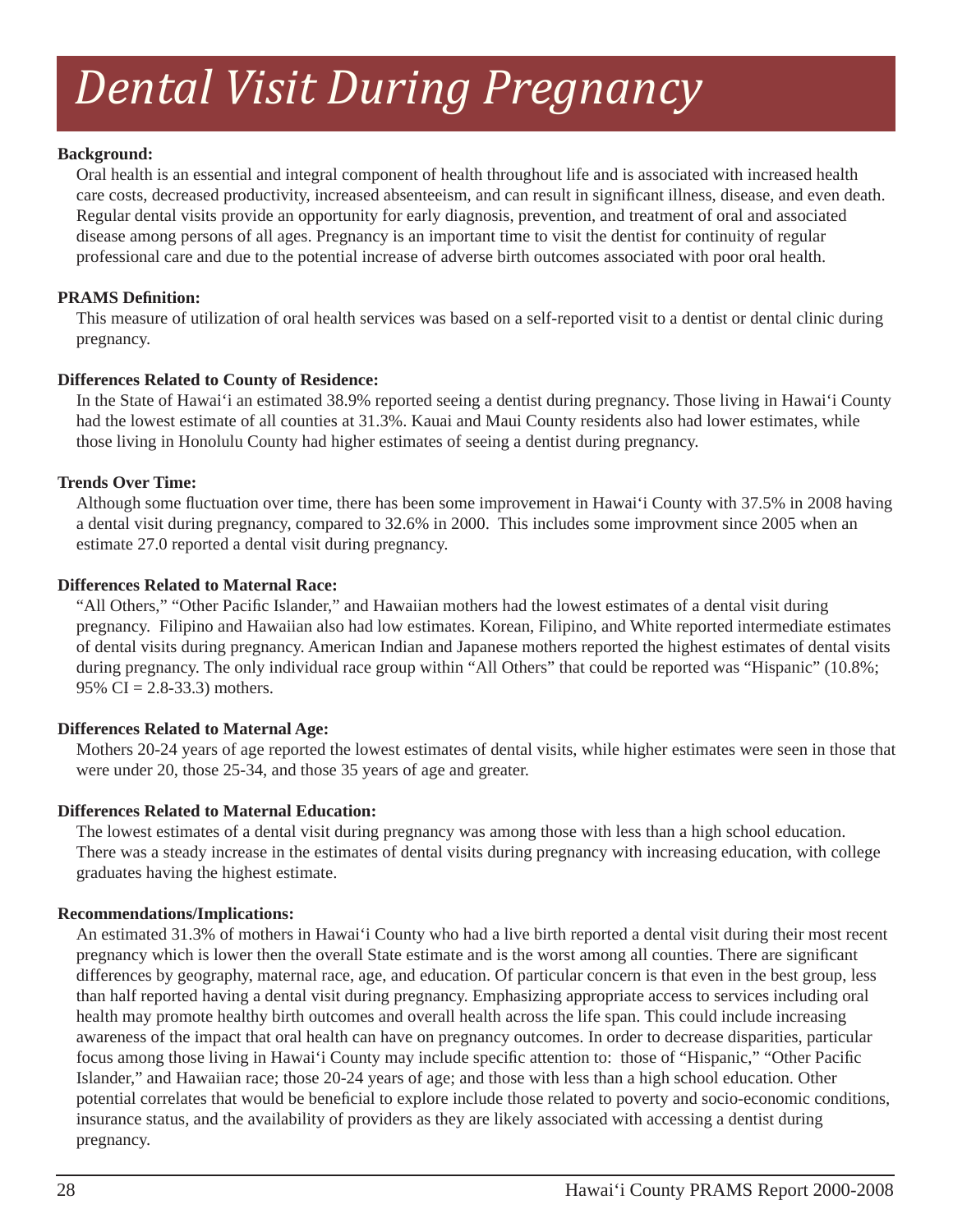### *Dental Visit During Pregnancy*

#### **Background:**

Oral health is an essential and integral component of health throughout life and is associated with increased health care costs, decreased productivity, increased absenteeism, and can result in significant illness, disease, and even death. Regular dental visits provide an opportunity for early diagnosis, prevention, and treatment of oral and associated disease among persons of all ages. Pregnancy is an important time to visit the dentist for continuity of regular professional care and due to the potential increase of adverse birth outcomes associated with poor oral health.

#### **PRAMS Definition:**

This measure of utilization of oral health services was based on a self-reported visit to a dentist or dental clinic during pregnancy.

#### **Differences Related to County of Residence:**

In the State of Hawai'i an estimated 38.9% reported seeing a dentist during pregnancy. Those living in Hawai'i County had the lowest estimate of all counties at 31.3%. Kauai and Maui County residents also had lower estimates, while those living in Honolulu County had higher estimates of seeing a dentist during pregnancy.

#### **Trends Over Time:**

Although some fluctuation over time, there has been some improvement in Hawai'i County with 37.5% in 2008 having a dental visit during pregnancy, compared to 32.6% in 2000. This includes some improvment since 2005 when an estimate 27.0 reported a dental visit during pregnancy.

#### **Differences Related to Maternal Race:**

"All Others," "Other Pacific Islander," and Hawaiian mothers had the lowest estimates of a dental visit during pregnancy. Filipino and Hawaiian also had low estimates. Korean, Filipino, and White reported intermediate estimates of dental visits during pregnancy. American Indian and Japanese mothers reported the highest estimates of dental visits during pregnancy. The only individual race group within "All Others" that could be reported was "Hispanic" (10.8%; 95% CI = 2.8-33.3) mothers.

#### **Differences Related to Maternal Age:**

Mothers 20-24 years of age reported the lowest estimates of dental visits, while higher estimates were seen in those that were under 20, those 25-34, and those 35 years of age and greater.

#### **Differences Related to Maternal Education:**

The lowest estimates of a dental visit during pregnancy was among those with less than a high school education. There was a steady increase in the estimates of dental visits during pregnancy with increasing education, with college graduates having the highest estimate.

#### **Recommendations/Implications:**

An estimated 31.3% of mothers in Hawai'i County who had a live birth reported a dental visit during their most recent pregnancy which is lower then the overall State estimate and is the worst among all counties. There are significant differences by geography, maternal race, age, and education. Of particular concern is that even in the best group, less than half reported having a dental visit during pregnancy. Emphasizing appropriate access to services including oral health may promote healthy birth outcomes and overall health across the life span. This could include increasing awareness of the impact that oral health can have on pregnancy outcomes. In order to decrease disparities, particular focus among those living in Hawai'i County may include specific attention to: those of "Hispanic," "Other Pacific Islander," and Hawaiian race; those 20-24 years of age; and those with less than a high school education. Other potential correlates that would be beneficial to explore include those related to poverty and socio-economic conditions, insurance status, and the availability of providers as they are likely associated with accessing a dentist during pregnancy.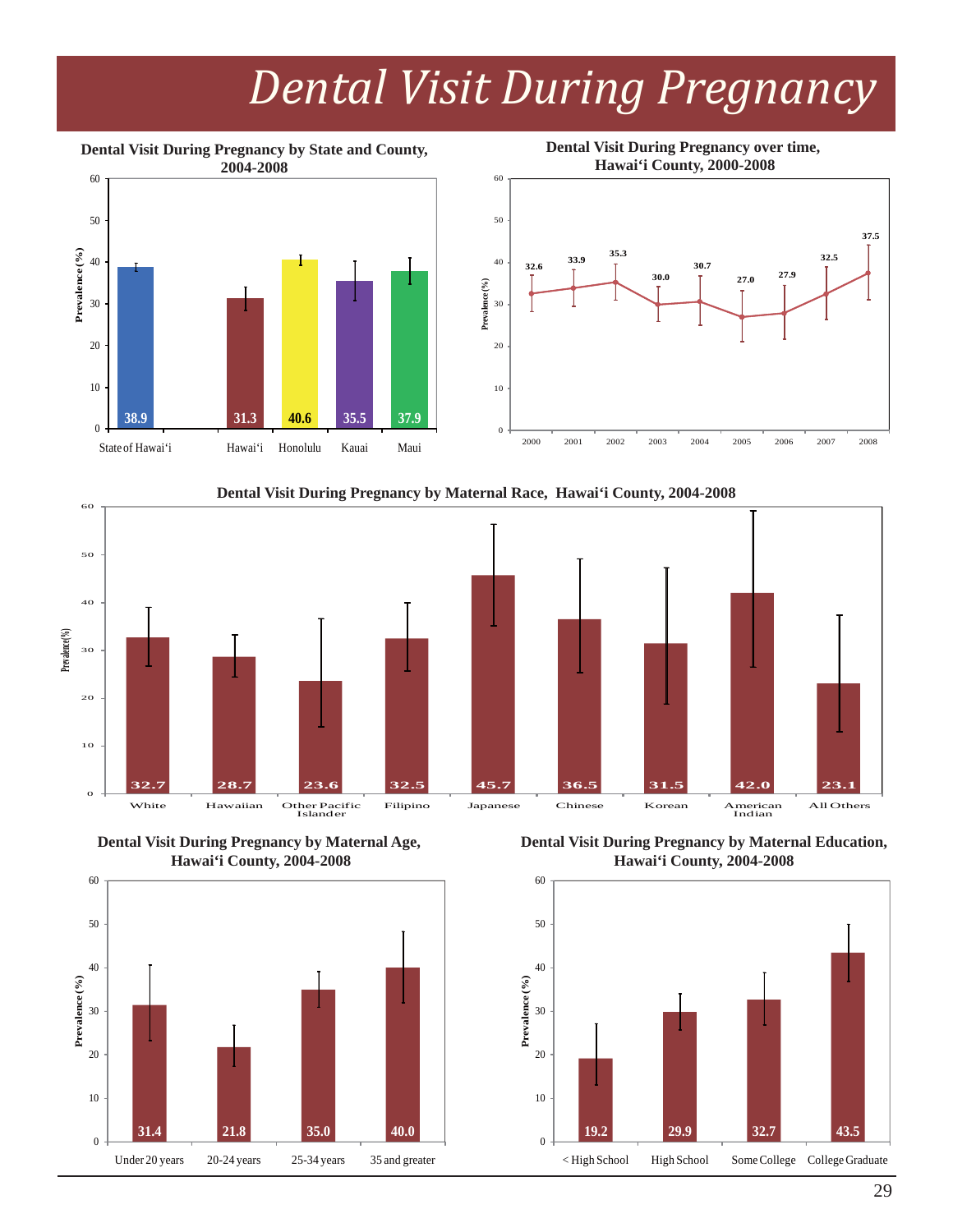### *Dental Visit During Pregnancy*

**Dental Visit During Pregnancy by State and County,** 





**Dental Visit During Pregnancy by Maternal Race, Hawai'i County, 2004-2008**



**Dental Visit During Pregnancy by Maternal Age, Hawai'i County, 2004-2008**



**Dental Visit During Pregnancy by Maternal Education, Hawai'i County, 2004-2008**

American<br>Indian

All Others

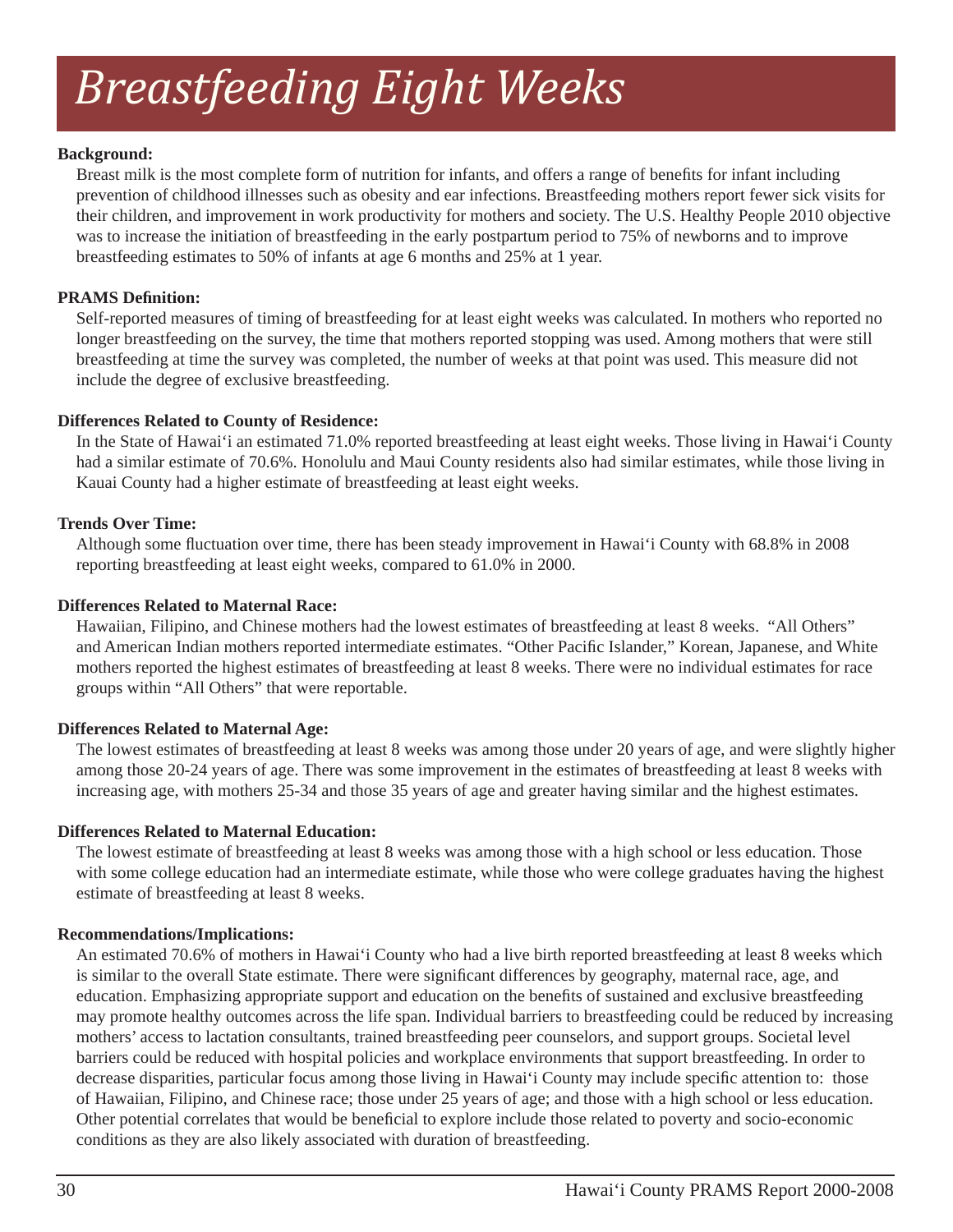### *Breastfeeding Eight Weeks*

#### **Background:**

Breast milk is the most complete form of nutrition for infants, and offers a range of benefits for infant including prevention of childhood illnesses such as obesity and ear infections. Breastfeeding mothers report fewer sick visits for their children, and improvement in work productivity for mothers and society. The U.S. Healthy People 2010 objective was to increase the initiation of breastfeeding in the early postpartum period to 75% of newborns and to improve breastfeeding estimates to 50% of infants at age 6 months and 25% at 1 year.

#### **PRAMS Definition:**

Self-reported measures of timing of breastfeeding for at least eight weeks was calculated. In mothers who reported no longer breastfeeding on the survey, the time that mothers reported stopping was used. Among mothers that were still breastfeeding at time the survey was completed, the number of weeks at that point was used. This measure did not include the degree of exclusive breastfeeding.

#### **Differences Related to County of Residence:**

In the State of Hawai'i an estimated 71.0% reported breastfeeding at least eight weeks. Those living in Hawai'i County had a similar estimate of 70.6%. Honolulu and Maui County residents also had similar estimates, while those living in Kauai County had a higher estimate of breastfeeding at least eight weeks.

#### **Trends Over Time:**

Although some fluctuation over time, there has been steady improvement in Hawai'i County with 68.8% in 2008 reporting breastfeeding at least eight weeks, compared to 61.0% in 2000.

#### **Differences Related to Maternal Race:**

Hawaiian, Filipino, and Chinese mothers had the lowest estimates of breastfeeding at least 8 weeks. "All Others" and American Indian mothers reported intermediate estimates. "Other Pacific Islander," Korean, Japanese, and White mothers reported the highest estimates of breastfeeding at least 8 weeks. There were no individual estimates for race groups within "All Others" that were reportable.

#### **Differences Related to Maternal Age:**

The lowest estimates of breastfeeding at least 8 weeks was among those under 20 years of age, and were slightly higher among those 20-24 years of age. There was some improvement in the estimates of breastfeeding at least 8 weeks with increasing age, with mothers 25-34 and those 35 years of age and greater having similar and the highest estimates.

#### **Differences Related to Maternal Education:**

The lowest estimate of breastfeeding at least 8 weeks was among those with a high school or less education. Those with some college education had an intermediate estimate, while those who were college graduates having the highest estimate of breastfeeding at least 8 weeks.

#### **Recommendations/Implications:**

An estimated 70.6% of mothers in Hawai'i County who had a live birth reported breastfeeding at least 8 weeks which is similar to the overall State estimate. There were significant differences by geography, maternal race, age, and education. Emphasizing appropriate support and education on the benefits of sustained and exclusive breastfeeding may promote healthy outcomes across the life span. Individual barriers to breastfeeding could be reduced by increasing mothers' access to lactation consultants, trained breastfeeding peer counselors, and support groups. Societal level barriers could be reduced with hospital policies and workplace environments that support breastfeeding. In order to decrease disparities, particular focus among those living in Hawai'i County may include specific attention to: those of Hawaiian, Filipino, and Chinese race; those under 25 years of age; and those with a high school or less education. Other potential correlates that would be beneficial to explore include those related to poverty and socio-economic conditions as they are also likely associated with duration of breastfeeding.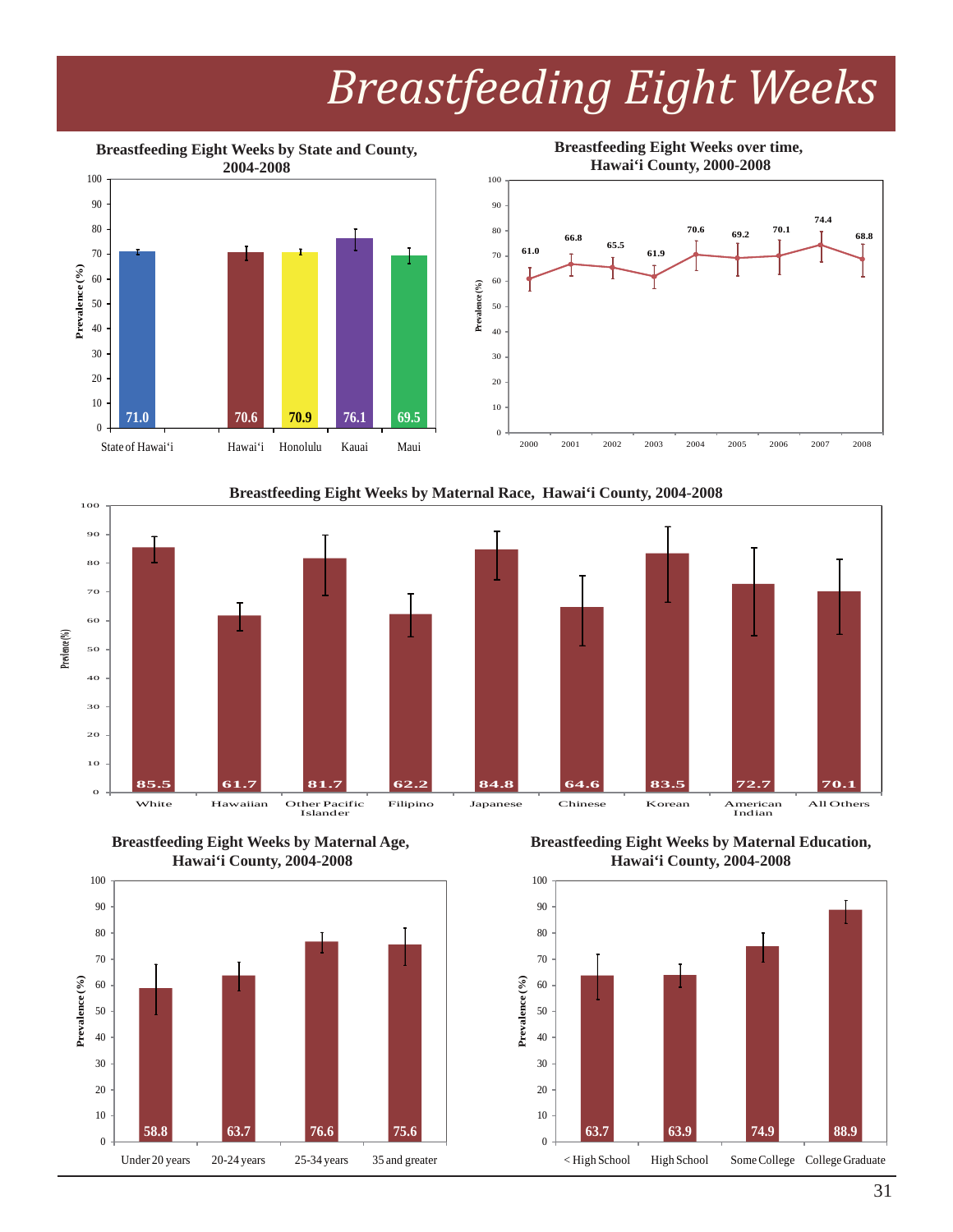### *Breastfeeding Eight Weeks*

**Breastfeeding Eight Weeks over time, Breastfeeding Eight Weeks by State and County, Hawai'i County, 2000-2008 2004-2008 74.4 70.6 69.2 70.1 68.8 66.8 65.5 61.9 61.0** Prevalence (%) **Prevalence (%)** Prevalence (%) **Prevalence (%) 71.0 70.6 70.9 76.1 69.5**  $\theta$  State of Hawai'i Hawai'i Honolulu Kauai Maui 2001 2002 2003 2004 2005 2006 2007 2008









**Breastfeeding Eight Weeks by Maternal Education, Hawai'i County, 2004-2008**

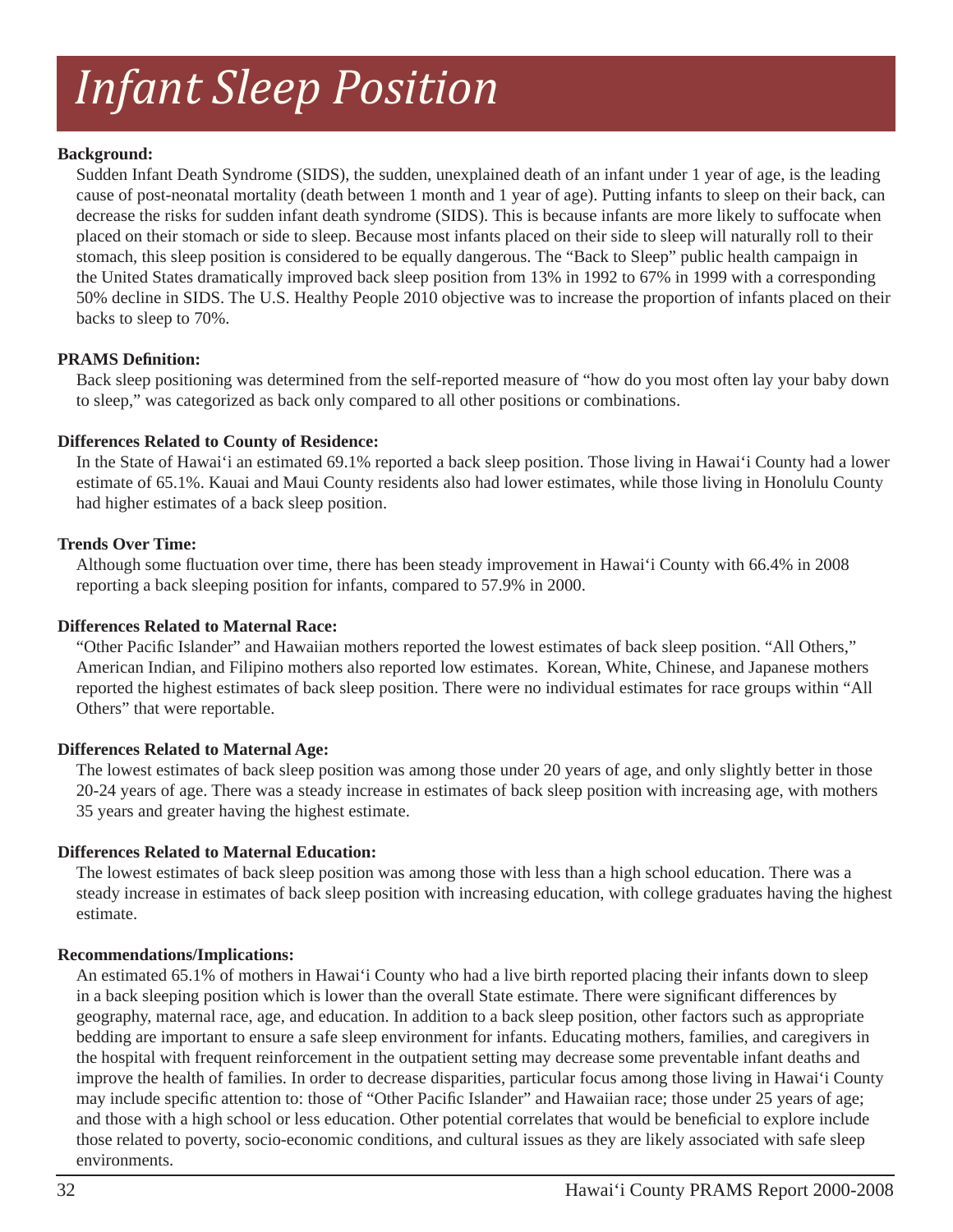### *Infant Sleep Position*

#### **Background:**

Sudden Infant Death Syndrome (SIDS), the sudden, unexplained death of an infant under 1 year of age, is the leading cause of post-neonatal mortality (death between 1 month and 1 year of age). Putting infants to sleep on their back, can decrease the risks for sudden infant death syndrome (SIDS). This is because infants are more likely to suffocate when placed on their stomach or side to sleep. Because most infants placed on their side to sleep will naturally roll to their stomach, this sleep position is considered to be equally dangerous. The "Back to Sleep" public health campaign in the United States dramatically improved back sleep position from 13% in 1992 to 67% in 1999 with a corresponding 50% decline in SIDS. The U.S. Healthy People 2010 objective was to increase the proportion of infants placed on their backs to sleep to 70%.

#### **PRAMS Definition:**

Back sleep positioning was determined from the self-reported measure of "how do you most often lay your baby down to sleep," was categorized as back only compared to all other positions or combinations.

#### **Differences Related to County of Residence:**

In the State of Hawai'i an estimated 69.1% reported a back sleep position. Those living in Hawai'i County had a lower estimate of 65.1%. Kauai and Maui County residents also had lower estimates, while those living in Honolulu County had higher estimates of a back sleep position.

#### **Trends Over Time:**

Although some fluctuation over time, there has been steady improvement in Hawai'i County with 66.4% in 2008 reporting a back sleeping position for infants, compared to 57.9% in 2000.

#### **Differences Related to Maternal Race:**

"Other Pacific Islander" and Hawaiian mothers reported the lowest estimates of back sleep position. "All Others," American Indian, and Filipino mothers also reported low estimates. Korean, White, Chinese, and Japanese mothers reported the highest estimates of back sleep position. There were no individual estimates for race groups within "All Others" that were reportable.

#### **Differences Related to Maternal Age:**

The lowest estimates of back sleep position was among those under 20 years of age, and only slightly better in those 20-24 years of age. There was a steady increase in estimates of back sleep position with increasing age, with mothers 35 years and greater having the highest estimate.

#### **Differences Related to Maternal Education:**

The lowest estimates of back sleep position was among those with less than a high school education. There was a steady increase in estimates of back sleep position with increasing education, with college graduates having the highest estimate.

#### **Recommendations/Implications:**

An estimated 65.1% of mothers in Hawai'i County who had a live birth reported placing their infants down to sleep in a back sleeping position which is lower than the overall State estimate. There were significant differences by geography, maternal race, age, and education. In addition to a back sleep position, other factors such as appropriate bedding are important to ensure a safe sleep environment for infants. Educating mothers, families, and caregivers in the hospital with frequent reinforcement in the outpatient setting may decrease some preventable infant deaths and improve the health of families. In order to decrease disparities, particular focus among those living in Hawai'i County may include specific attention to: those of "Other Pacific Islander" and Hawaiian race; those under 25 years of age; and those with a high school or less education. Other potential correlates that would be beneficial to explore include those related to poverty, socio-economic conditions, and cultural issues as they are likely associated with safe sleep environments.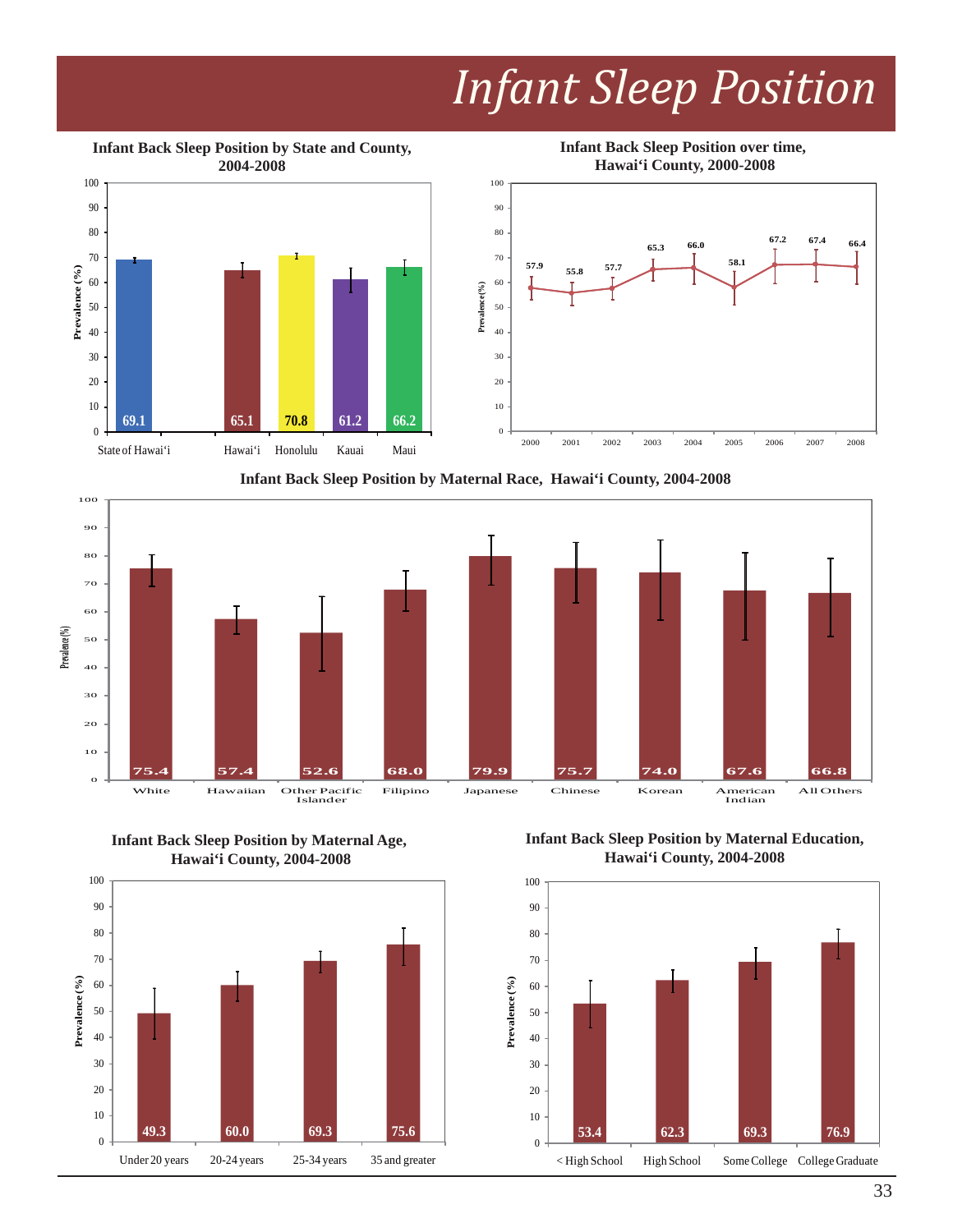### *Infant Sleep Position*

**Infant Back Sleep Position over time, Infant Back Sleep Position by State and County, Hawai'i County, 2000-2008 2004-2008 67.2 67.4 66.4 65.3 66.0 58.1 57.9 55.8 57.7** Prevalence (%) **Prevalence (%)** Prevalence  $( ^{9}/_{0})$ **Prevalence (%) 69.1 65.1 70.8 61.2 66.2** 2001 2002 2003 2004 2005 2006 2007 2008 State of Hawai'i Hawai'i Honolulu Kauai Maui





**Infant Back Sleep Position by Maternal Age, Hawai'i County, 2004-2008**



**Infant Back Sleep Position by Maternal Education, Hawai'i County, 2004-2008**

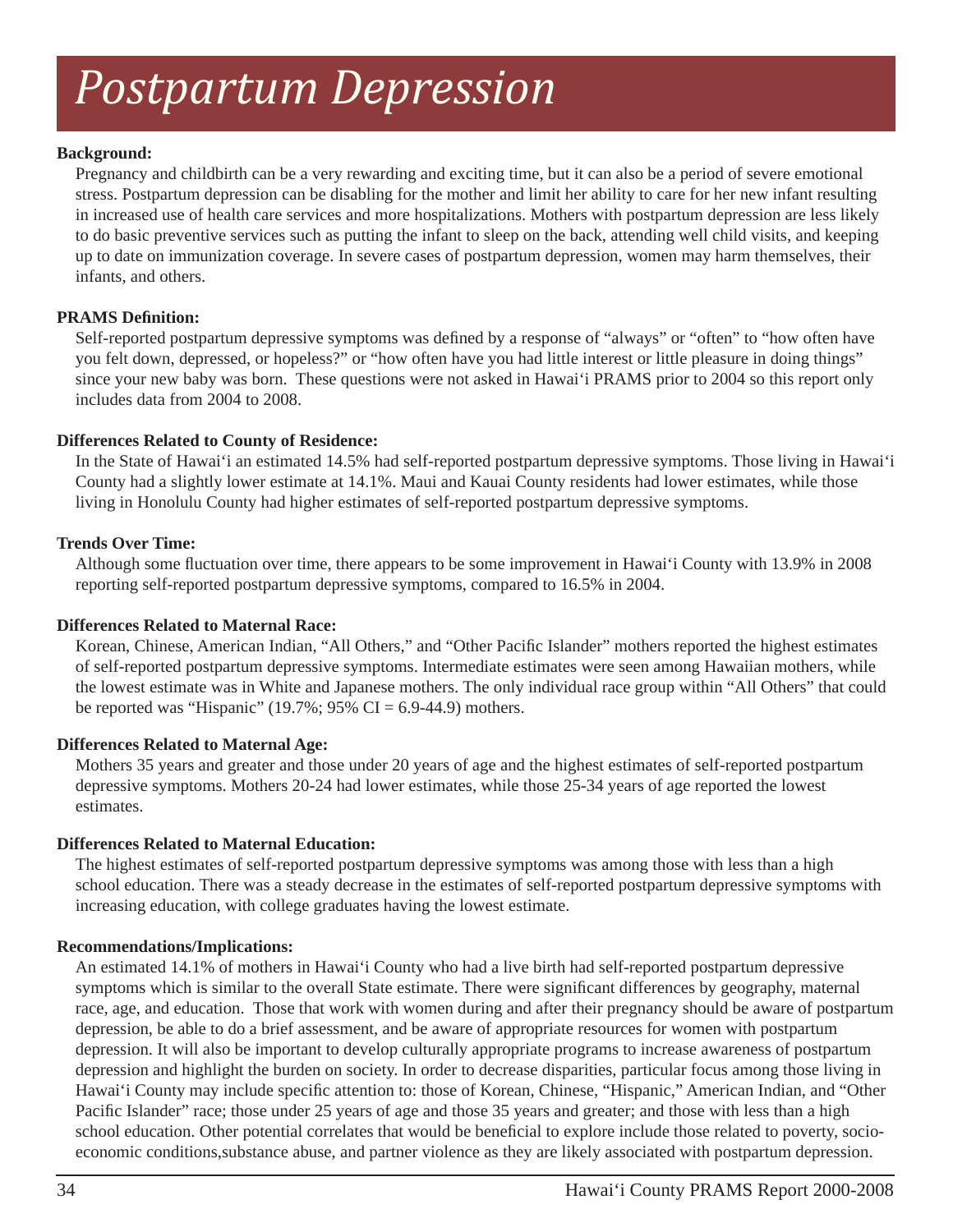### *Postpartum Depression*

#### **Background:**

Pregnancy and childbirth can be a very rewarding and exciting time, but it can also be a period of severe emotional stress. Postpartum depression can be disabling for the mother and limit her ability to care for her new infant resulting in increased use of health care services and more hospitalizations. Mothers with postpartum depression are less likely to do basic preventive services such as putting the infant to sleep on the back, attending well child visits, and keeping up to date on immunization coverage. In severe cases of postpartum depression, women may harm themselves, their infants, and others.

#### **PRAMS Definition:**

Self-reported postpartum depressive symptoms was defined by a response of "always" or "often" to "how often have you felt down, depressed, or hopeless?" or "how often have you had little interest or little pleasure in doing things" since your new baby was born. These questions were not asked in Hawai'i PRAMS prior to 2004 so this report only includes data from 2004 to 2008.

#### **Differences Related to County of Residence:**

In the State of Hawai'i an estimated 14.5% had self-reported postpartum depressive symptoms. Those living in Hawai'i County had a slightly lower estimate at 14.1%. Maui and Kauai County residents had lower estimates, while those living in Honolulu County had higher estimates of self-reported postpartum depressive symptoms.

#### **Trends Over Time:**

Although some fluctuation over time, there appears to be some improvement in Hawai'i County with 13.9% in 2008 reporting self-reported postpartum depressive symptoms, compared to 16.5% in 2004.

#### **Differences Related to Maternal Race:**

Korean, Chinese, American Indian, "All Others," and "Other Pacific Islander" mothers reported the highest estimates of self-reported postpartum depressive symptoms. Intermediate estimates were seen among Hawaiian mothers, while the lowest estimate was in White and Japanese mothers. The only individual race group within "All Others" that could be reported was "Hispanic" (19.7%;  $95\%$  CI = 6.9-44.9) mothers.

#### **Differences Related to Maternal Age:**

Mothers 35 years and greater and those under 20 years of age and the highest estimates of self-reported postpartum depressive symptoms. Mothers 20-24 had lower estimates, while those 25-34 years of age reported the lowest estimates.

#### **Differences Related to Maternal Education:**

The highest estimates of self-reported postpartum depressive symptoms was among those with less than a high school education. There was a steady decrease in the estimates of self-reported postpartum depressive symptoms with increasing education, with college graduates having the lowest estimate.

#### **Recommendations/Implications:**

An estimated 14.1% of mothers in Hawai'i County who had a live birth had self-reported postpartum depressive symptoms which is similar to the overall State estimate. There were significant differences by geography, maternal race, age, and education. Those that work with women during and after their pregnancy should be aware of postpartum depression, be able to do a brief assessment, and be aware of appropriate resources for women with postpartum depression. It will also be important to develop culturally appropriate programs to increase awareness of postpartum depression and highlight the burden on society. In order to decrease disparities, particular focus among those living in Hawai'i County may include specific attention to: those of Korean, Chinese, "Hispanic," American Indian, and "Other Pacific Islander" race; those under 25 years of age and those 35 years and greater; and those with less than a high school education. Other potential correlates that would be beneficial to explore include those related to poverty, socioeconomic conditions,substance abuse, and partner violence as they are likely associated with postpartum depression.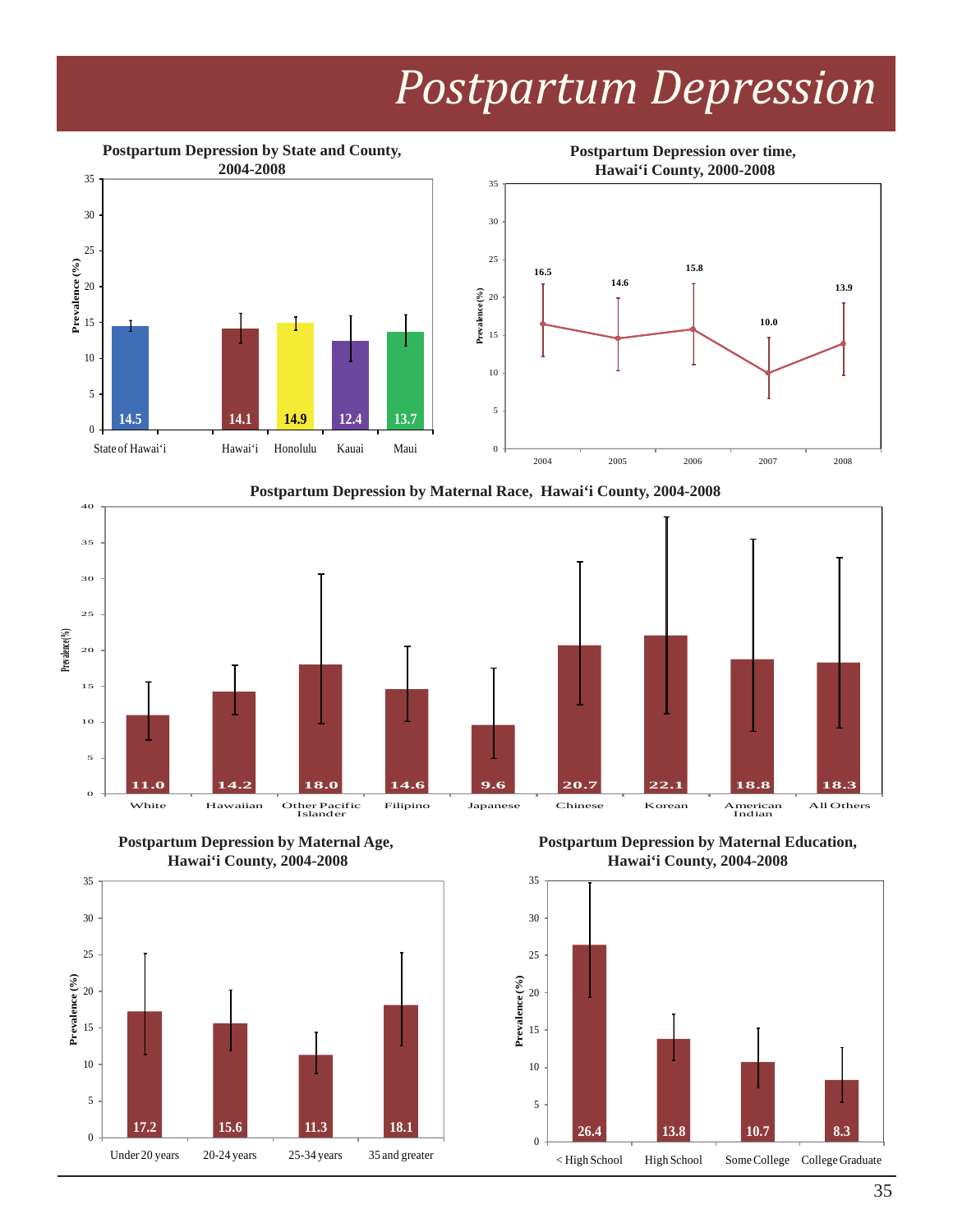### *Postpartum Depression*









**Postpartum Depression by Maternal Education, Hawai'i County, 2004-2008**

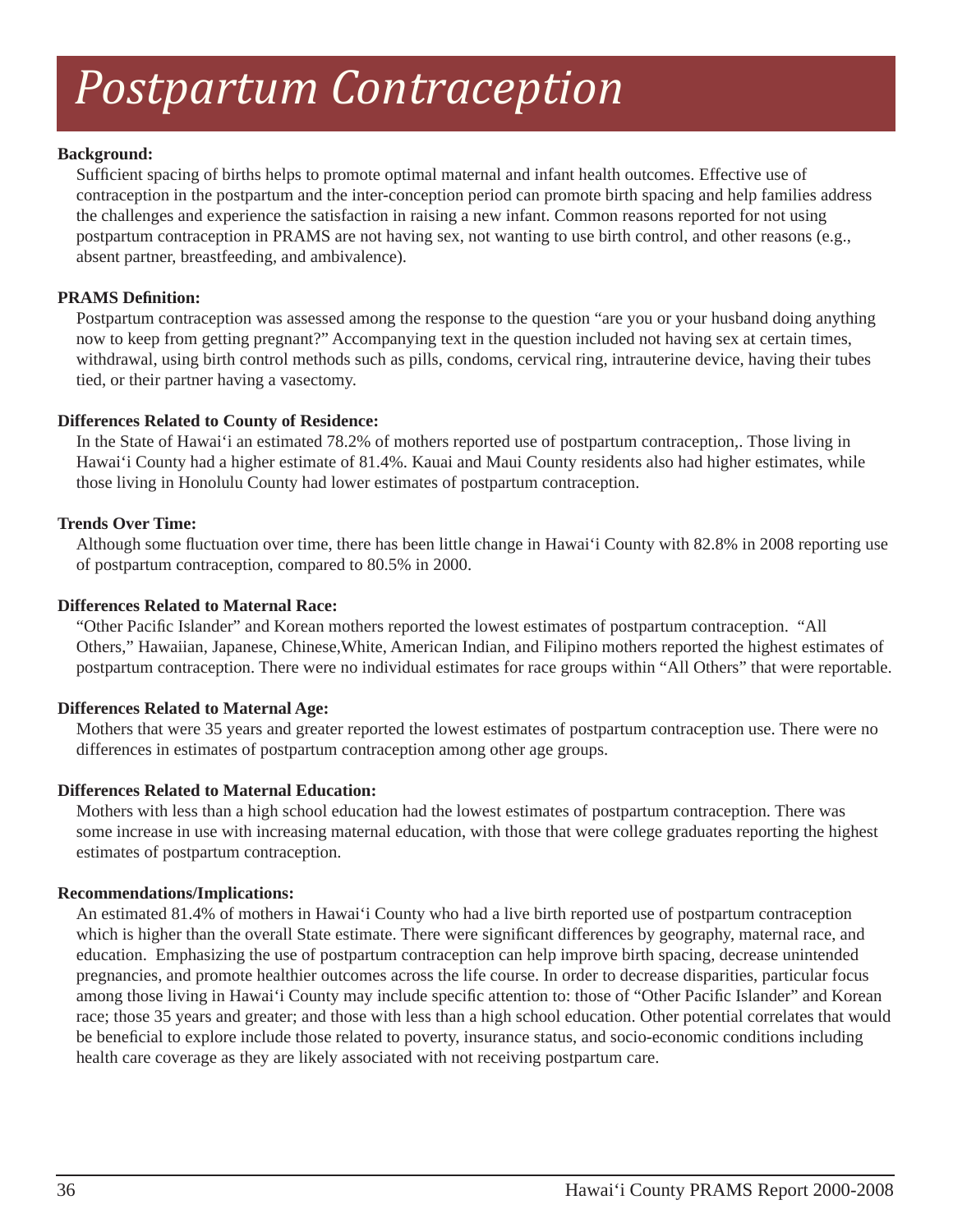### *Postpartum Contraception*

#### **Background:**

Sufficient spacing of births helps to promote optimal maternal and infant health outcomes. Effective use of contraception in the postpartum and the inter-conception period can promote birth spacing and help families address the challenges and experience the satisfaction in raising a new infant. Common reasons reported for not using postpartum contraception in PRAMS are not having sex, not wanting to use birth control, and other reasons (e.g., absent partner, breastfeeding, and ambivalence).

#### **PRAMS Definition:**

Postpartum contraception was assessed among the response to the question "are you or your husband doing anything now to keep from getting pregnant?" Accompanying text in the question included not having sex at certain times, withdrawal, using birth control methods such as pills, condoms, cervical ring, intrauterine device, having their tubes tied, or their partner having a vasectomy.

#### **Differences Related to County of Residence:**

In the State of Hawai'i an estimated 78.2% of mothers reported use of postpartum contraception,. Those living in Hawai'i County had a higher estimate of 81.4%. Kauai and Maui County residents also had higher estimates, while those living in Honolulu County had lower estimates of postpartum contraception.

#### **Trends Over Time:**

Although some fluctuation over time, there has been little change in Hawai'i County with 82.8% in 2008 reporting use of postpartum contraception, compared to 80.5% in 2000.

#### **Differences Related to Maternal Race:**

"Other Pacific Islander" and Korean mothers reported the lowest estimates of postpartum contraception. "All Others," Hawaiian, Japanese, Chinese,White, American Indian, and Filipino mothers reported the highest estimates of postpartum contraception. There were no individual estimates for race groups within "All Others" that were reportable.

#### **Differences Related to Maternal Age:**

Mothers that were 35 years and greater reported the lowest estimates of postpartum contraception use. There were no differences in estimates of postpartum contraception among other age groups.

#### **Differences Related to Maternal Education:**

Mothers with less than a high school education had the lowest estimates of postpartum contraception. There was some increase in use with increasing maternal education, with those that were college graduates reporting the highest estimates of postpartum contraception.

#### **Recommendations/Implications:**

An estimated 81.4% of mothers in Hawai'i County who had a live birth reported use of postpartum contraception which is higher than the overall State estimate. There were significant differences by geography, maternal race, and education. Emphasizing the use of postpartum contraception can help improve birth spacing, decrease unintended pregnancies, and promote healthier outcomes across the life course. In order to decrease disparities, particular focus among those living in Hawai'i County may include specific attention to: those of "Other Pacific Islander" and Korean race; those 35 years and greater; and those with less than a high school education. Other potential correlates that would be beneficial to explore include those related to poverty, insurance status, and socio-economic conditions including health care coverage as they are likely associated with not receiving postpartum care.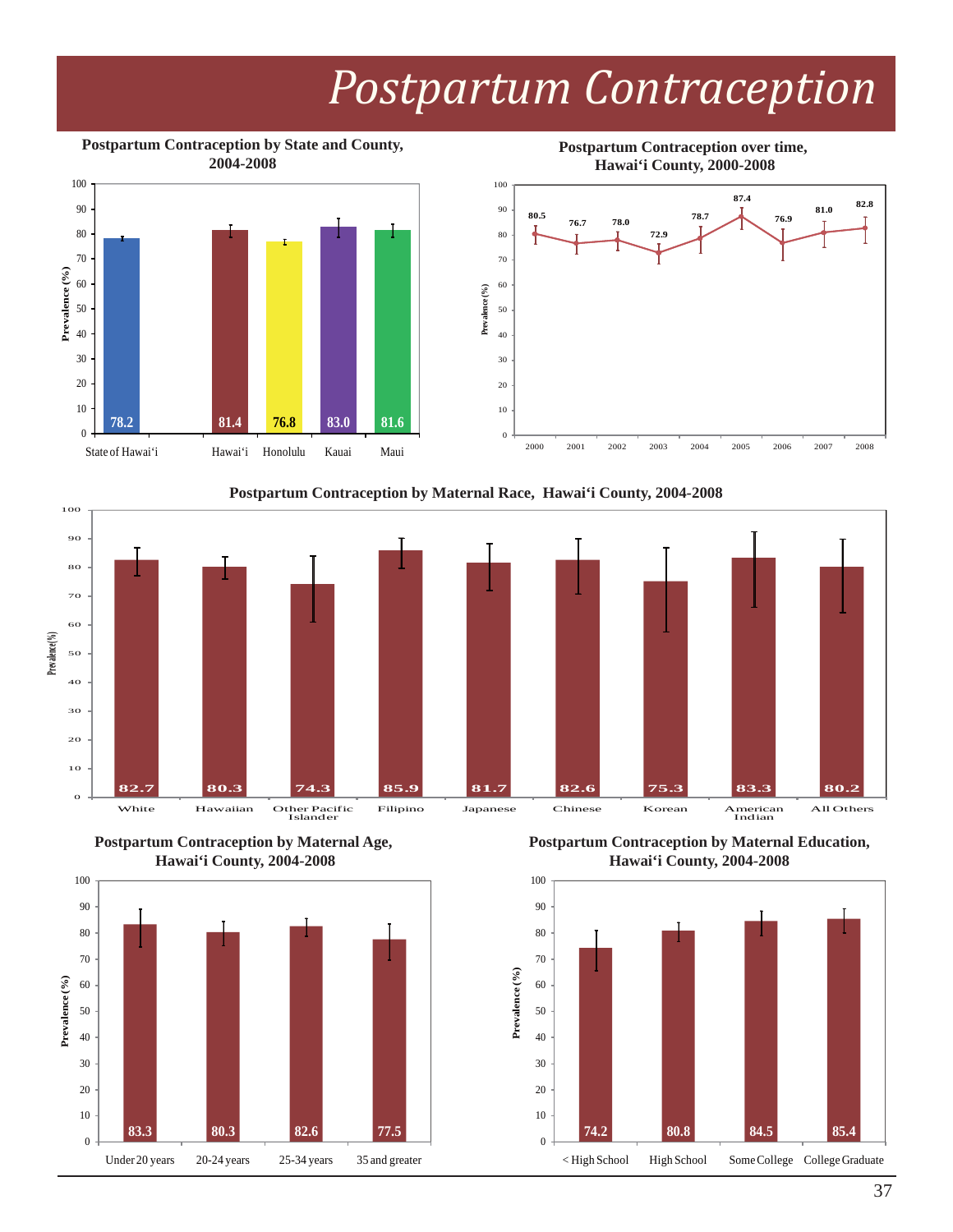### *Postpartum Contraception*

**Postpartum Contraception by State and County, 2004-2008**





**Postpartum Contraception by Maternal Race, Hawai'i County, 2004-2008**







**Postpartum Contraception by Maternal Education, Hawai'i County, 2004-2008**

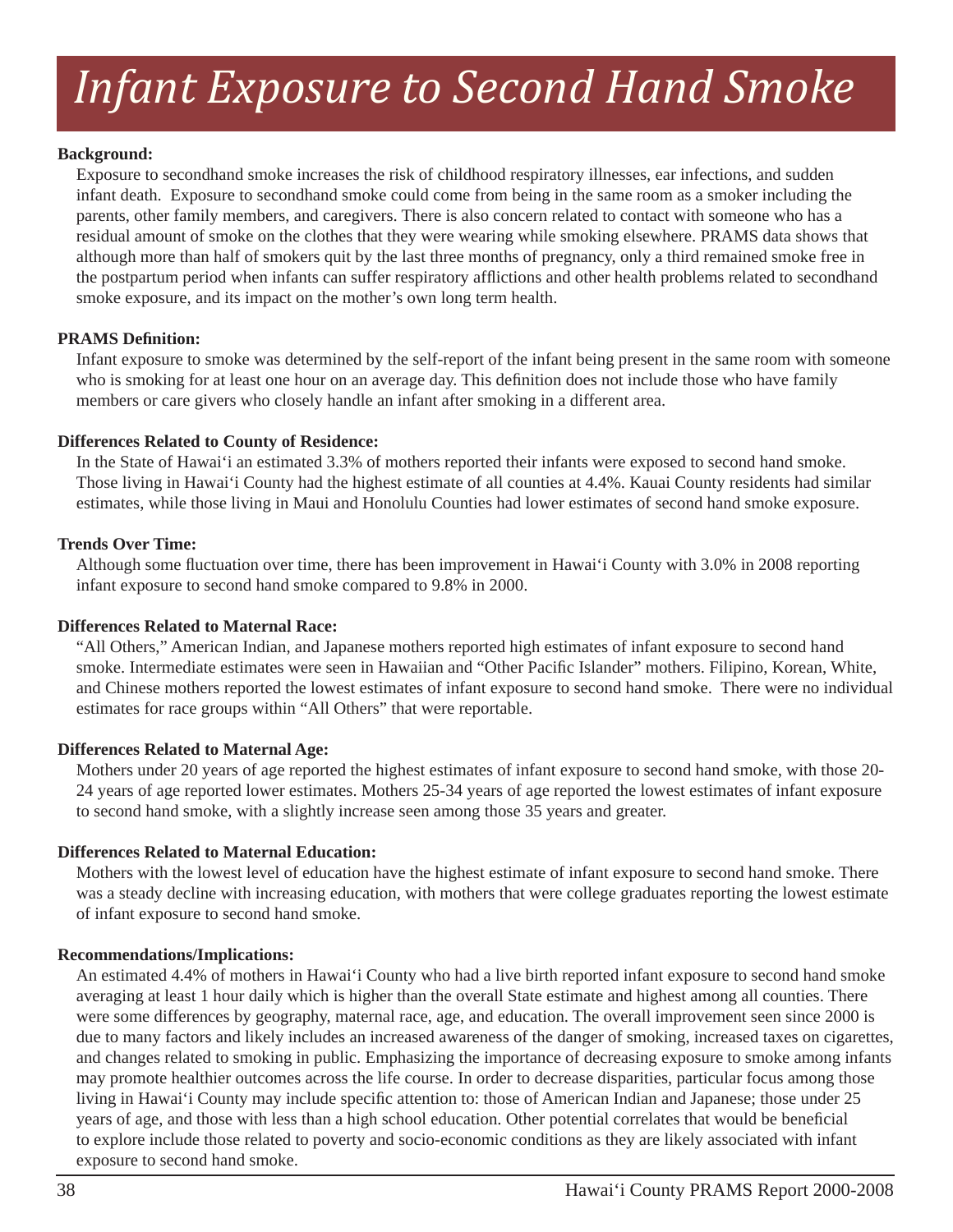### *Infant Exposure to Second Hand Smoke*

#### **Background:**

Exposure to secondhand smoke increases the risk of childhood respiratory illnesses, ear infections, and sudden infant death. Exposure to secondhand smoke could come from being in the same room as a smoker including the parents, other family members, and caregivers. There is also concern related to contact with someone who has a residual amount of smoke on the clothes that they were wearing while smoking elsewhere. PRAMS data shows that although more than half of smokers quit by the last three months of pregnancy, only a third remained smoke free in the postpartum period when infants can suffer respiratory afflictions and other health problems related to secondhand smoke exposure, and its impact on the mother's own long term health.

#### **PRAMS Defi nition:**

Infant exposure to smoke was determined by the self-report of the infant being present in the same room with someone who is smoking for at least one hour on an average day. This definition does not include those who have family members or care givers who closely handle an infant after smoking in a different area.

#### **Differences Related to County of Residence:**

In the State of Hawai'i an estimated 3.3% of mothers reported their infants were exposed to second hand smoke. Those living in Hawai'i County had the highest estimate of all counties at 4.4%. Kauai County residents had similar estimates, while those living in Maui and Honolulu Counties had lower estimates of second hand smoke exposure.

#### **Trends Over Time:**

Although some fluctuation over time, there has been improvement in Hawai'i County with 3.0% in 2008 reporting infant exposure to second hand smoke compared to 9.8% in 2000.

#### **Differences Related to Maternal Race:**

"All Others," American Indian, and Japanese mothers reported high estimates of infant exposure to second hand smoke. Intermediate estimates were seen in Hawaiian and "Other Pacific Islander" mothers. Filipino, Korean, White, and Chinese mothers reported the lowest estimates of infant exposure to second hand smoke. There were no individual estimates for race groups within "All Others" that were reportable.

#### **Differences Related to Maternal Age:**

Mothers under 20 years of age reported the highest estimates of infant exposure to second hand smoke, with those 20- 24 years of age reported lower estimates. Mothers 25-34 years of age reported the lowest estimates of infant exposure to second hand smoke, with a slightly increase seen among those 35 years and greater.

#### **Differences Related to Maternal Education:**

Mothers with the lowest level of education have the highest estimate of infant exposure to second hand smoke. There was a steady decline with increasing education, with mothers that were college graduates reporting the lowest estimate of infant exposure to second hand smoke.

#### **Recommendations/Implications:**

An estimated 4.4% of mothers in Hawai'i County who had a live birth reported infant exposure to second hand smoke averaging at least 1 hour daily which is higher than the overall State estimate and highest among all counties. There were some differences by geography, maternal race, age, and education. The overall improvement seen since 2000 is due to many factors and likely includes an increased awareness of the danger of smoking, increased taxes on cigarettes, and changes related to smoking in public. Emphasizing the importance of decreasing exposure to smoke among infants may promote healthier outcomes across the life course. In order to decrease disparities, particular focus among those living in Hawai'i County may include specific attention to: those of American Indian and Japanese; those under 25 years of age, and those with less than a high school education. Other potential correlates that would be beneficial to explore include those related to poverty and socio-economic conditions as they are likely associated with infant exposure to second hand smoke.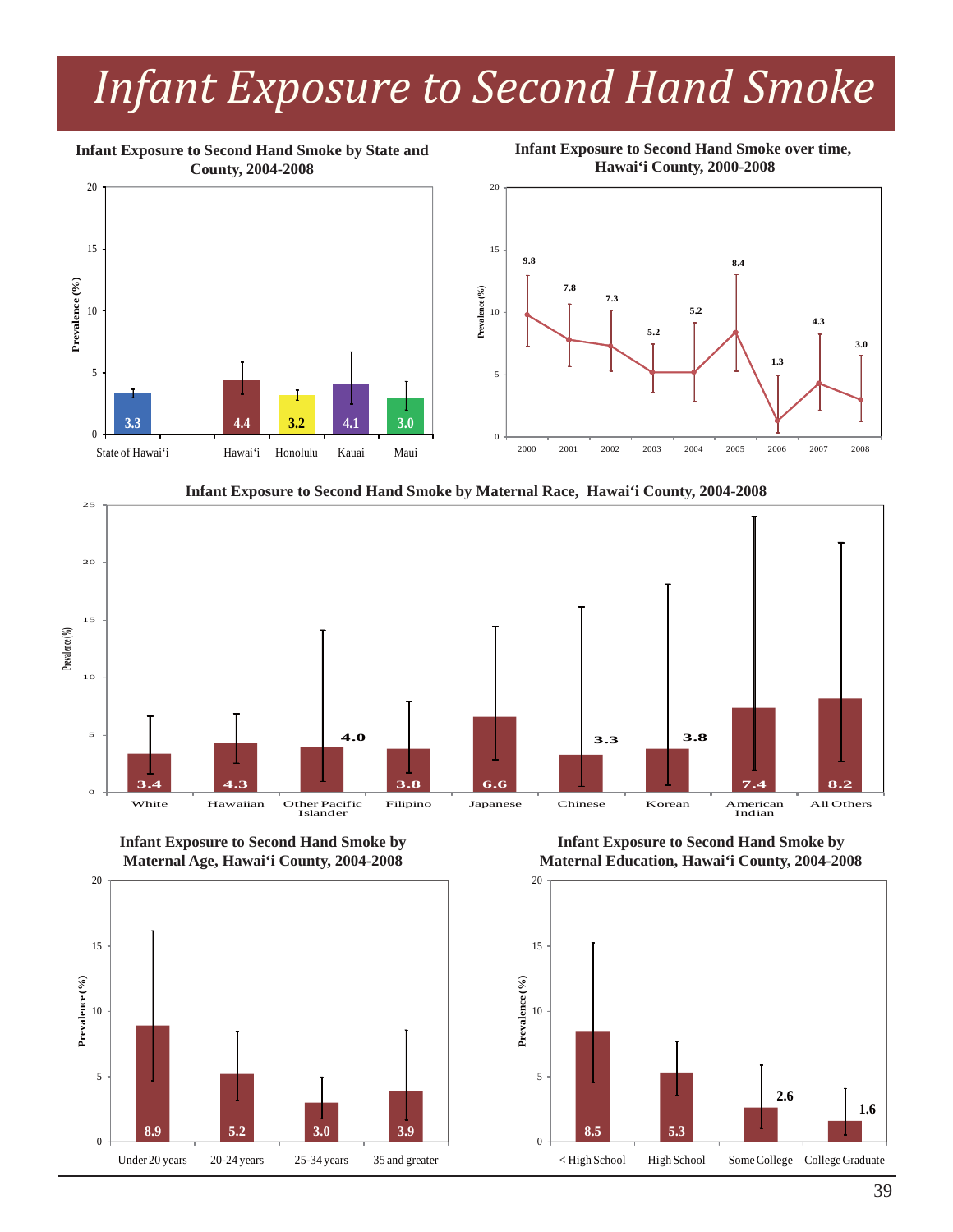### *Infant Exposure to Second Hand Smoke*

**Infant Exposure to Second Hand Smoke by State and County, 2004-2008**

**Infant Exposure to Second Hand Smoke over time, Hawai'i County, 2000-2008**











**Infant Exposure to Second Hand Smoke by Maternal Education, Hawai'i County, 2004-2008**

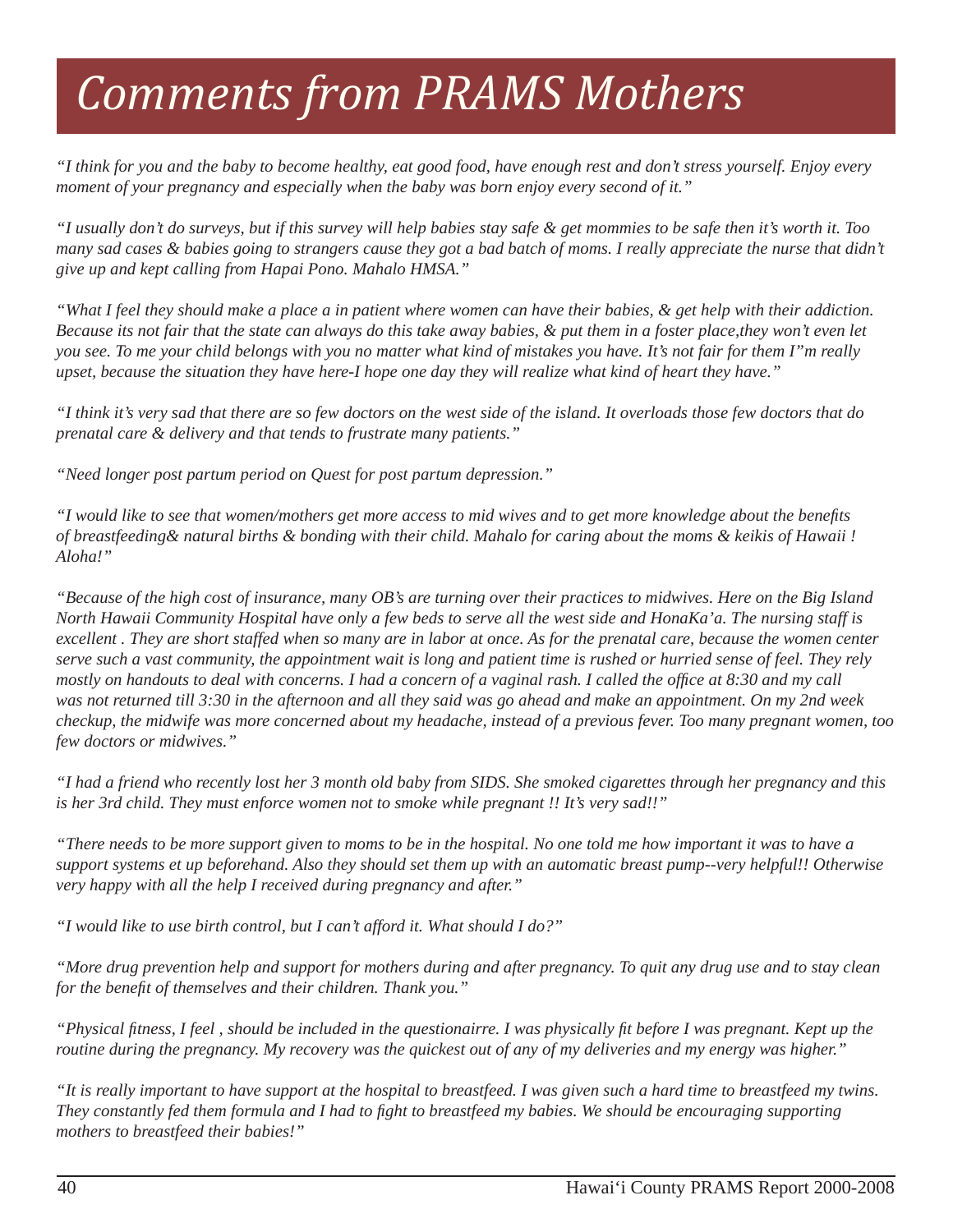### *Comments from PRAMS Mothers*

*"I think for you and the baby to become healthy, eat good food, have enough rest and don't stress yourself. Enjoy every moment of your pregnancy and especially when the baby was born enjoy every second of it."*

*"I usually don't do surveys, but if this survey will help babies stay safe & get mommies to be safe then it's worth it. Too many sad cases & babies going to strangers cause they got a bad batch of moms. I really appreciate the nurse that didn't give up and kept calling from Hapai Pono. Mahalo HMSA."*

*"What I feel they should make a place a in patient where women can have their babies, & get help with their addiction. Because its not fair that the state can always do this take away babies, & put them in a foster place,they won't even let you see. To me your child belongs with you no matter what kind of mistakes you have. It's not fair for them I"m really upset, because the situation they have here-I hope one day they will realize what kind of heart they have."*

*"I think it's very sad that there are so few doctors on the west side of the island. It overloads those few doctors that do prenatal care & delivery and that tends to frustrate many patients."*

*"Need longer post partum period on Quest for post partum depression."*

*"I would like to see that women/mothers get more access to mid wives and to get more knowledge about the benefi ts of breastfeeding& natural births & bonding with their child. Mahalo for caring about the moms & keikis of Hawaii ! Aloha!"* 

*"Because of the high cost of insurance, many OB's are turning over their practices to midwives. Here on the Big Island North Hawaii Community Hospital have only a few beds to serve all the west side and HonaKa'a. The nursing staff is excellent . They are short staffed when so many are in labor at once. As for the prenatal care, because the women center serve such a vast community, the appointment wait is long and patient time is rushed or hurried sense of feel. They rely mostly on handouts to deal with concerns. I had a concern of a vaginal rash. I called the office at 8:30 and my call was not returned till 3:30 in the afternoon and all they said was go ahead and make an appointment. On my 2nd week checkup, the midwife was more concerned about my headache, instead of a previous fever. Too many pregnant women, too few doctors or midwives."* 

*"I had a friend who recently lost her 3 month old baby from SIDS. She smoked cigarettes through her pregnancy and this is her 3rd child. They must enforce women not to smoke while pregnant !! It's very sad!!"*

*"There needs to be more support given to moms to be in the hospital. No one told me how important it was to have a support systems et up beforehand. Also they should set them up with an automatic breast pump--very helpful!! Otherwise very happy with all the help I received during pregnancy and after."*

*"I would like to use birth control, but I can't afford it. What should I do?"*

*"More drug prevention help and support for mothers during and after pregnancy. To quit any drug use and to stay clean for the benefit of themselves and their children. Thank you.*"

*"Physical fi tness, I feel , should be included in the questionairre. I was physically fi t before I was pregnant. Kept up the routine during the pregnancy. My recovery was the quickest out of any of my deliveries and my energy was higher."*

*"It is really important to have support at the hospital to breastfeed. I was given such a hard time to breastfeed my twins. They constantly fed them formula and I had to fi ght to breastfeed my babies. We should be encouraging supporting mothers to breastfeed their babies!"*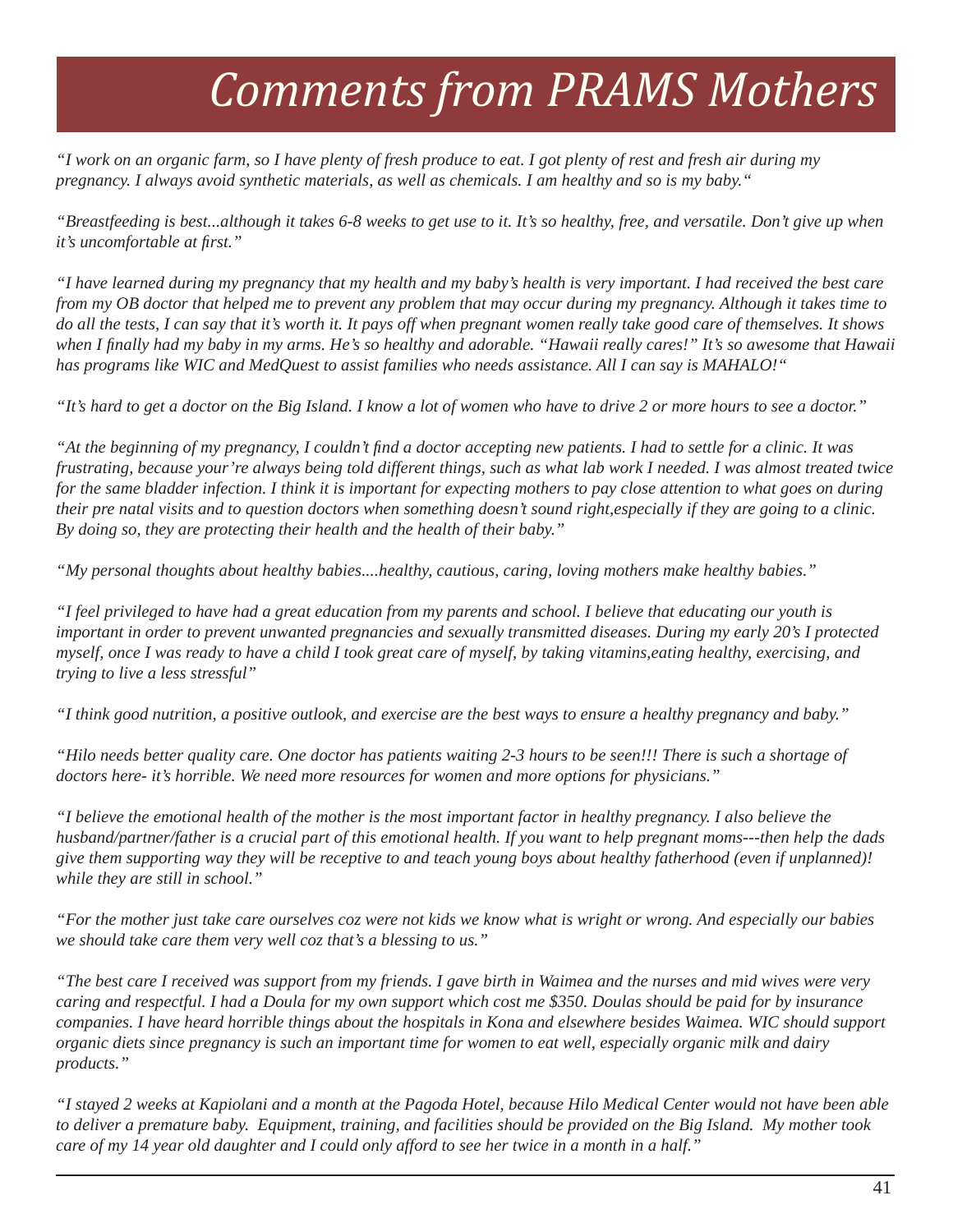### *Comments from PRAMS Mothers*

*"I work on an organic farm, so I have plenty of fresh produce to eat. I got plenty of rest and fresh air during my pregnancy. I always avoid synthetic materials, as well as chemicals. I am healthy and so is my baby."*

*"Breastfeeding is best...although it takes 6-8 weeks to get use to it. It's so healthy, free, and versatile. Don't give up when it's uncomfortable at first.*"

*"I have learned during my pregnancy that my health and my baby's health is very important. I had received the best care from my OB doctor that helped me to prevent any problem that may occur during my pregnancy. Although it takes time to do all the tests, I can say that it's worth it. It pays off when pregnant women really take good care of themselves. It shows when I fi nally had my baby in my arms. He's so healthy and adorable. "Hawaii really cares!" It's so awesome that Hawaii has programs like WIC and MedQuest to assist families who needs assistance. All I can say is MAHALO!"*

*"It's hard to get a doctor on the Big Island. I know a lot of women who have to drive 2 or more hours to see a doctor."*

*"At the beginning of my pregnancy, I couldn't find a doctor accepting new patients. I had to settle for a clinic. It was frustrating, because your're always being told different things, such as what lab work I needed. I was almost treated twice for the same bladder infection. I think it is important for expecting mothers to pay close attention to what goes on during their pre natal visits and to question doctors when something doesn't sound right,especially if they are going to a clinic. By doing so, they are protecting their health and the health of their baby."*

*"My personal thoughts about healthy babies....healthy, cautious, caring, loving mothers make healthy babies."*

*"I feel privileged to have had a great education from my parents and school. I believe that educating our youth is important in order to prevent unwanted pregnancies and sexually transmitted diseases. During my early 20's I protected myself, once I was ready to have a child I took great care of myself, by taking vitamins,eating healthy, exercising, and trying to live a less stressful"*

*"I think good nutrition, a positive outlook, and exercise are the best ways to ensure a healthy pregnancy and baby."*

*"Hilo needs better quality care. One doctor has patients waiting 2-3 hours to be seen!!! There is such a shortage of doctors here- it's horrible. We need more resources for women and more options for physicians."*

*"I believe the emotional health of the mother is the most important factor in healthy pregnancy. I also believe the husband/partner/father is a crucial part of this emotional health. If you want to help pregnant moms---then help the dads give them supporting way they will be receptive to and teach young boys about healthy fatherhood (even if unplanned)! while they are still in school."*

*"For the mother just take care ourselves coz were not kids we know what is wright or wrong. And especially our babies we should take care them very well coz that's a blessing to us."*

*"The best care I received was support from my friends. I gave birth in Waimea and the nurses and mid wives were very caring and respectful. I had a Doula for my own support which cost me \$350. Doulas should be paid for by insurance companies. I have heard horrible things about the hospitals in Kona and elsewhere besides Waimea. WIC should support organic diets since pregnancy is such an important time for women to eat well, especially organic milk and dairy products."*

*"I stayed 2 weeks at Kapiolani and a month at the Pagoda Hotel, because Hilo Medical Center would not have been able to deliver a premature baby. Equipment, training, and facilities should be provided on the Big Island. My mother took care of my 14 year old daughter and I could only afford to see her twice in a month in a half."*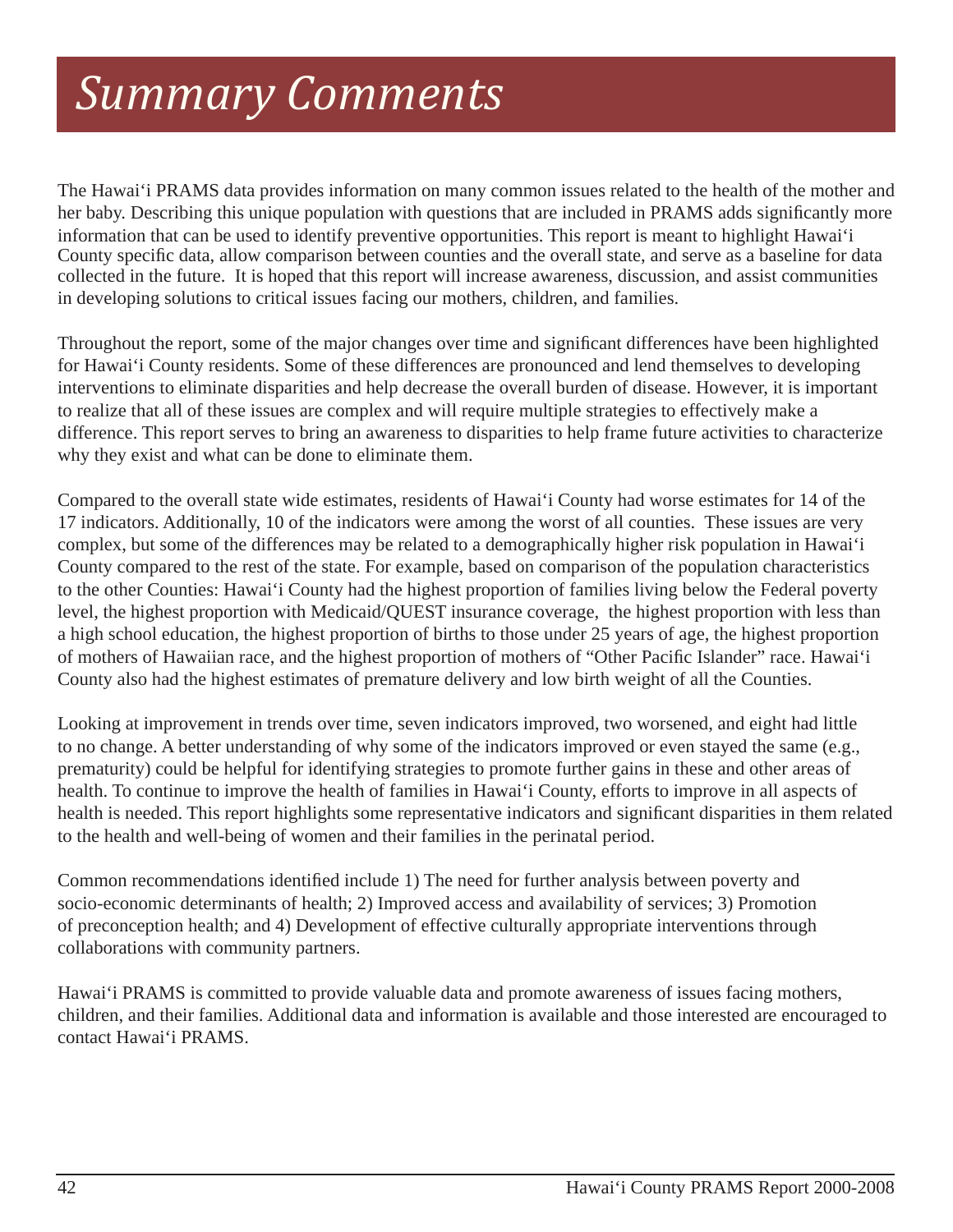The Hawai'i PRAMS data provides information on many common issues related to the health of the mother and her baby. Describing this unique population with questions that are included in PRAMS adds significantly more information that can be used to identify preventive opportunities. This report is meant to highlight Hawai'i County specific data, allow comparison between counties and the overall state, and serve as a baseline for data collected in the future. It is hoped that this report will increase awareness, discussion, and assist communities in developing solutions to critical issues facing our mothers, children, and families.

Throughout the report, some of the major changes over time and significant differences have been highlighted for Hawai'i County residents. Some of these differences are pronounced and lend themselves to developing interventions to eliminate disparities and help decrease the overall burden of disease. However, it is important to realize that all of these issues are complex and will require multiple strategies to effectively make a difference. This report serves to bring an awareness to disparities to help frame future activities to characterize why they exist and what can be done to eliminate them.

Compared to the overall state wide estimates, residents of Hawai'i County had worse estimates for 14 of the 17 indicators. Additionally, 10 of the indicators were among the worst of all counties. These issues are very complex, but some of the differences may be related to a demographically higher risk population in Hawai'i County compared to the rest of the state. For example, based on comparison of the population characteristics to the other Counties: Hawai'i County had the highest proportion of families living below the Federal poverty level, the highest proportion with Medicaid/QUEST insurance coverage, the highest proportion with less than a high school education, the highest proportion of births to those under 25 years of age, the highest proportion of mothers of Hawaiian race, and the highest proportion of mothers of "Other Pacific Islander" race. Hawai'i County also had the highest estimates of premature delivery and low birth weight of all the Counties.

Looking at improvement in trends over time, seven indicators improved, two worsened, and eight had little to no change. A better understanding of why some of the indicators improved or even stayed the same (e.g., prematurity) could be helpful for identifying strategies to promote further gains in these and other areas of health. To continue to improve the health of families in Hawai'i County, efforts to improve in all aspects of health is needed. This report highlights some representative indicators and significant disparities in them related to the health and well-being of women and their families in the perinatal period.

Common recommendations identified include 1) The need for further analysis between poverty and socio-economic determinants of health; 2) Improved access and availability of services; 3) Promotion of preconception health; and 4) Development of effective culturally appropriate interventions through collaborations with community partners.

Hawai'i PRAMS is committed to provide valuable data and promote awareness of issues facing mothers, children, and their families. Additional data and information is available and those interested are encouraged to contact Hawai'i PRAMS.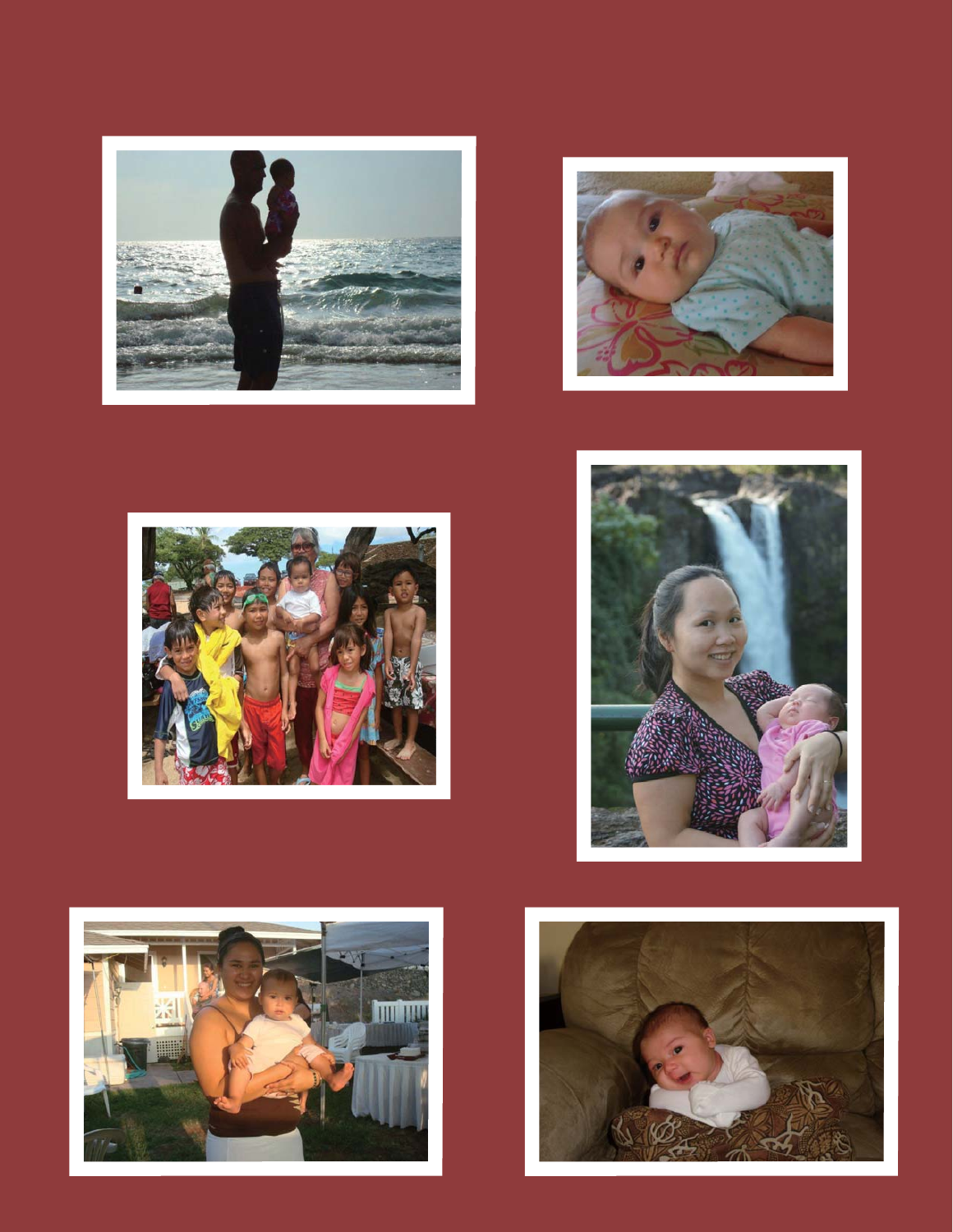